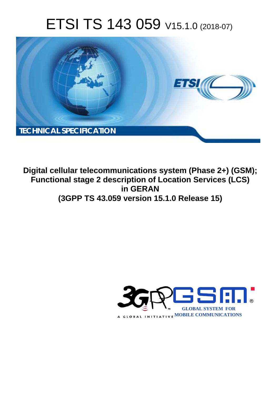# ETSI TS 143 059 V15.1.0 (2018-07)



**Digital cellular telecommunications system (Phase 2+) (GSM); Functional stage 2 description of Location Services (LCS) in GERAN (3GPP TS 43.059 version 15.1.0 Release 15)** 

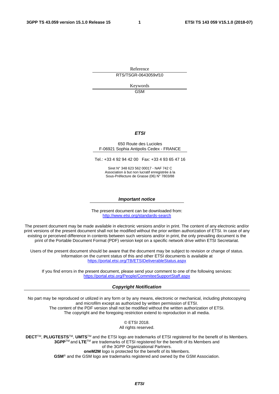Reference RTS/TSGR-0643059vf10

> Keywords GSM

#### *ETSI*

#### 650 Route des Lucioles F-06921 Sophia Antipolis Cedex - FRANCE

Tel.: +33 4 92 94 42 00 Fax: +33 4 93 65 47 16

Siret N° 348 623 562 00017 - NAF 742 C Association à but non lucratif enregistrée à la Sous-Préfecture de Grasse (06) N° 7803/88

#### *Important notice*

The present document can be downloaded from: <http://www.etsi.org/standards-search>

The present document may be made available in electronic versions and/or in print. The content of any electronic and/or print versions of the present document shall not be modified without the prior written authorization of ETSI. In case of any existing or perceived difference in contents between such versions and/or in print, the only prevailing document is the print of the Portable Document Format (PDF) version kept on a specific network drive within ETSI Secretariat.

Users of the present document should be aware that the document may be subject to revision or change of status. Information on the current status of this and other ETSI documents is available at <https://portal.etsi.org/TB/ETSIDeliverableStatus.aspx>

If you find errors in the present document, please send your comment to one of the following services: <https://portal.etsi.org/People/CommiteeSupportStaff.aspx>

#### *Copyright Notification*

No part may be reproduced or utilized in any form or by any means, electronic or mechanical, including photocopying and microfilm except as authorized by written permission of ETSI. The content of the PDF version shall not be modified without the written authorization of ETSI. The copyright and the foregoing restriction extend to reproduction in all media.

> © ETSI 2018. All rights reserved.

**DECT**TM, **PLUGTESTS**TM, **UMTS**TM and the ETSI logo are trademarks of ETSI registered for the benefit of its Members. **3GPP**TM and **LTE**TM are trademarks of ETSI registered for the benefit of its Members and of the 3GPP Organizational Partners. **oneM2M** logo is protected for the benefit of its Members.

**GSM**® and the GSM logo are trademarks registered and owned by the GSM Association.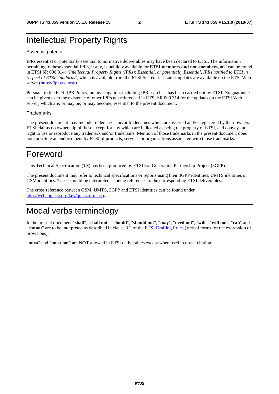## Intellectual Property Rights

#### Essential patents

IPRs essential or potentially essential to normative deliverables may have been declared to ETSI. The information pertaining to these essential IPRs, if any, is publicly available for **ETSI members and non-members**, and can be found in ETSI SR 000 314: *"Intellectual Property Rights (IPRs); Essential, or potentially Essential, IPRs notified to ETSI in respect of ETSI standards"*, which is available from the ETSI Secretariat. Latest updates are available on the ETSI Web server ([https://ipr.etsi.org/\)](https://ipr.etsi.org/).

Pursuant to the ETSI IPR Policy, no investigation, including IPR searches, has been carried out by ETSI. No guarantee can be given as to the existence of other IPRs not referenced in ETSI SR 000 314 (or the updates on the ETSI Web server) which are, or may be, or may become, essential to the present document.

#### **Trademarks**

The present document may include trademarks and/or tradenames which are asserted and/or registered by their owners. ETSI claims no ownership of these except for any which are indicated as being the property of ETSI, and conveys no right to use or reproduce any trademark and/or tradename. Mention of those trademarks in the present document does not constitute an endorsement by ETSI of products, services or organizations associated with those trademarks.

## Foreword

This Technical Specification (TS) has been produced by ETSI 3rd Generation Partnership Project (3GPP).

The present document may refer to technical specifications or reports using their 3GPP identities, UMTS identities or GSM identities. These should be interpreted as being references to the corresponding ETSI deliverables.

The cross reference between GSM, UMTS, 3GPP and ETSI identities can be found under [http://webapp.etsi.org/key/queryform.asp.](http://webapp.etsi.org/key/queryform.asp)

## Modal verbs terminology

In the present document "**shall**", "**shall not**", "**should**", "**should not**", "**may**", "**need not**", "**will**", "**will not**", "**can**" and "**cannot**" are to be interpreted as described in clause 3.2 of the [ETSI Drafting Rules](https://portal.etsi.org/Services/editHelp!/Howtostart/ETSIDraftingRules.aspx) (Verbal forms for the expression of provisions).

"**must**" and "**must not**" are **NOT** allowed in ETSI deliverables except when used in direct citation.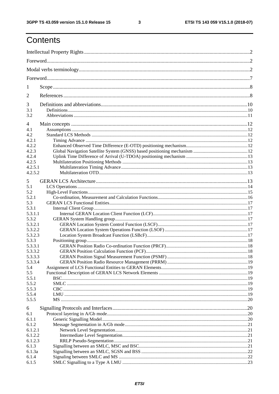$\mathbf{3}$ 

## Contents

| 1              |  |
|----------------|--|
| $\overline{2}$ |  |
| 3              |  |
| 3.1            |  |
| 3.2            |  |
| 4              |  |
| 4.1            |  |
| 4.2            |  |
| 4.2.1          |  |
| 4.2.2          |  |
| 4.2.3          |  |
| 4.2.4          |  |
| 4.2.5          |  |
| 4.2.5.1        |  |
| 4.2.5.2        |  |
| 5              |  |
| 5.1            |  |
| 5.2            |  |
| 5.2.1          |  |
| 5.3            |  |
| 5.3.1          |  |
| 5.3.1.1        |  |
| 5.3.2          |  |
| 5.3.2.1        |  |
| 5.3.2.2        |  |
| 5.3.2.3        |  |
| 5.3.3          |  |
| 5.3.3.1        |  |
| 5.3.3.2        |  |
| 5.3.3.3        |  |
| 5.3.3.4        |  |
| 5.4<br>5.5     |  |
| 5.5.1          |  |
| 5.5.2          |  |
| 5.5.3          |  |
| 5.5.4          |  |
| 5.5.5          |  |
| 6              |  |
| 6.1            |  |
| 6.1.1          |  |
| 6.1.2          |  |
| 6.1.2.1        |  |
| 6.1.2.2        |  |
| 6.1.2.3        |  |
| 6.1.3          |  |
| 6.1.3a         |  |
| 6.1.4          |  |
| 6.1.5          |  |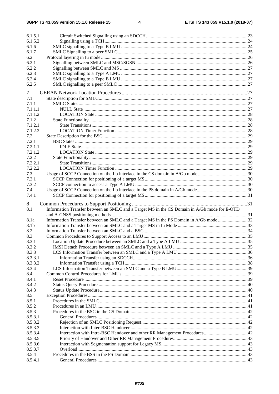| 6.1.5.1 |                                                                                              |  |
|---------|----------------------------------------------------------------------------------------------|--|
| 6.1.5.2 |                                                                                              |  |
| 6.1.6   |                                                                                              |  |
| 6.1.7   |                                                                                              |  |
| 6.2     |                                                                                              |  |
| 6.2.1   |                                                                                              |  |
| 6.2.2   |                                                                                              |  |
| 6.2.3   |                                                                                              |  |
| 6.2.4   |                                                                                              |  |
| 6.2.5   |                                                                                              |  |
| 7       |                                                                                              |  |
| 7.1     |                                                                                              |  |
| 7.1.1   |                                                                                              |  |
| 7.1.1.1 |                                                                                              |  |
| 7.1.1.2 |                                                                                              |  |
| 7.1.2   |                                                                                              |  |
|         |                                                                                              |  |
| 7.1.2.1 |                                                                                              |  |
| 7.1.2.2 |                                                                                              |  |
| 7.2     |                                                                                              |  |
| 7.2.1   |                                                                                              |  |
| 7.2.1.1 |                                                                                              |  |
| 7.2.1.2 |                                                                                              |  |
| 7.2.2   |                                                                                              |  |
| 7.2.2.1 |                                                                                              |  |
| 7.2.2.2 |                                                                                              |  |
| 7.3     | Usage of SCCP Connection on the Lb interface in the CS domain in A/Gb mode 30                |  |
| 7.3.1   |                                                                                              |  |
| 7.3.2   |                                                                                              |  |
| 7.4     |                                                                                              |  |
|         |                                                                                              |  |
| 7.4.1   |                                                                                              |  |
|         |                                                                                              |  |
| 8       |                                                                                              |  |
| 8.1     | Information Transfer between an SMLC and a Target MS in the CS Domain in A/Gb mode for E-OTD |  |
|         |                                                                                              |  |
| 8.1a    | Information Transfer between an SMLC and a Target MS in the PS Domain in A/Gb mode 32        |  |
| 8.1b    |                                                                                              |  |
| 8.2     |                                                                                              |  |
| 8.3     |                                                                                              |  |
| 8.3.1   |                                                                                              |  |
| 8.3.2   |                                                                                              |  |
| 8.3.3   |                                                                                              |  |
| 8.3.3.1 |                                                                                              |  |
| 8.3.3.2 |                                                                                              |  |
| 8.3.4   |                                                                                              |  |
| 8.4     |                                                                                              |  |
| 8.4.1   |                                                                                              |  |
| 8.4.2   |                                                                                              |  |
| 8.4.3   |                                                                                              |  |
| 8.5     |                                                                                              |  |
| 8.5.1   |                                                                                              |  |
| 8.5.2   |                                                                                              |  |
| 8.5.3   |                                                                                              |  |
| 8.5.3.1 |                                                                                              |  |
| 8.5.3.2 |                                                                                              |  |
| 8.5.3.3 |                                                                                              |  |
| 8.5.3.4 |                                                                                              |  |
| 8.5.3.5 |                                                                                              |  |
| 8.5.3.6 |                                                                                              |  |
| 8.5.3.7 |                                                                                              |  |
| 8.5.4   |                                                                                              |  |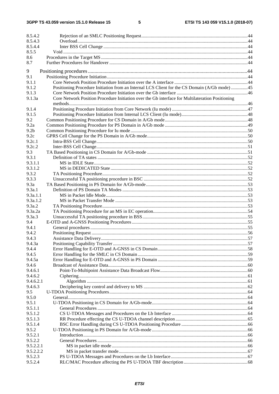$5\phantom{a}$ 

| 8.5.4.2              |                                                                                                  |  |
|----------------------|--------------------------------------------------------------------------------------------------|--|
| 8.5.4.3              |                                                                                                  |  |
| 8.5.4.4              |                                                                                                  |  |
| 8.5.5                |                                                                                                  |  |
| 8.6                  |                                                                                                  |  |
| 8.7                  |                                                                                                  |  |
|                      |                                                                                                  |  |
| 9<br>9.1             |                                                                                                  |  |
| 9.1.1                |                                                                                                  |  |
| 9.1.2                | Positioning Procedure Initiation from an Internal LCS Client for the CS Domain (A/Gb mode) 45    |  |
| 9.1.3                |                                                                                                  |  |
| 9.1.3a               | Core Network Position Procedure Initiation over the Gb interface for Multilateration Positioning |  |
|                      |                                                                                                  |  |
| 9.1.4                |                                                                                                  |  |
| 9.1.5                |                                                                                                  |  |
| 9.2                  |                                                                                                  |  |
| 9.2a                 |                                                                                                  |  |
| 9.2 <sub>b</sub>     |                                                                                                  |  |
| 9.2c                 |                                                                                                  |  |
| 9.2c.1               |                                                                                                  |  |
| 9.2c.2               |                                                                                                  |  |
| 9.3                  |                                                                                                  |  |
| 9.3.1                |                                                                                                  |  |
| 9.3.1.1              |                                                                                                  |  |
| 9.3.1.2              |                                                                                                  |  |
| 9.3.2                |                                                                                                  |  |
| 9.3.3                |                                                                                                  |  |
| 9.3a                 |                                                                                                  |  |
| 9.3a.1               |                                                                                                  |  |
| 9.3a.1.1             |                                                                                                  |  |
| 9.3a.1.2             |                                                                                                  |  |
| 9.3a.2               |                                                                                                  |  |
| 9.3a.2a              |                                                                                                  |  |
| 9.3a.3               |                                                                                                  |  |
| 9.4                  |                                                                                                  |  |
| 9.4.1                |                                                                                                  |  |
| 9.4.2                |                                                                                                  |  |
| 9.4.3                |                                                                                                  |  |
| 9.4.3a               |                                                                                                  |  |
| 9.4.4                |                                                                                                  |  |
| 9.4.5                |                                                                                                  |  |
| 9.4.5a               |                                                                                                  |  |
| 9.4.6                |                                                                                                  |  |
| 9.4.6.1              |                                                                                                  |  |
| 9.4.6.2<br>9.4.6.2.1 |                                                                                                  |  |
| 9.4.6.3              |                                                                                                  |  |
| 9.5                  |                                                                                                  |  |
| 9.5.0                |                                                                                                  |  |
| 9.5.1                |                                                                                                  |  |
| 9.5.1.1              |                                                                                                  |  |
| 9.5.1.2              |                                                                                                  |  |
| 9.5.1.3              |                                                                                                  |  |
| 9.5.1.4              |                                                                                                  |  |
| 9.5.2                |                                                                                                  |  |
| 9.5.2.1              |                                                                                                  |  |
| 9.5.2.2              |                                                                                                  |  |
| 9.5.2.2.1            |                                                                                                  |  |
| 9.5.2.2.2            |                                                                                                  |  |
| 9.5.2.3              |                                                                                                  |  |
| 9.5.2.4              |                                                                                                  |  |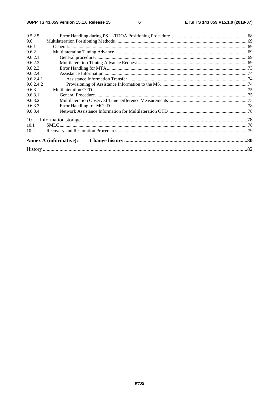| 9.5.2.5   |                               |  |
|-----------|-------------------------------|--|
| 9.6       |                               |  |
| 9.6.1     |                               |  |
| 9.6.2     |                               |  |
| 9.6.2.1   |                               |  |
| 9.6.2.2   |                               |  |
| 9.6.2.3   |                               |  |
| 9.6.2.4   |                               |  |
| 9.6.2.4.1 |                               |  |
| 9.6.2.4.2 |                               |  |
| 9.6.3     |                               |  |
| 9.6.3.1   |                               |  |
| 9.6.3.2   |                               |  |
| 9.6.3.3   |                               |  |
| 9.6.3.4   |                               |  |
| 10        |                               |  |
| 10.1      |                               |  |
| 10.2      |                               |  |
|           | <b>Annex A (informative):</b> |  |
|           |                               |  |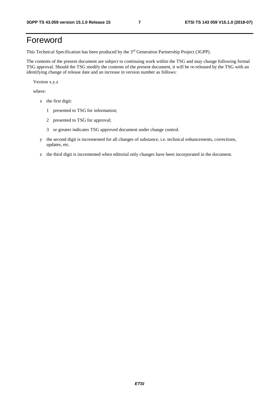## Foreword

This Technical Specification has been produced by the 3rd Generation Partnership Project (3GPP).

The contents of the present document are subject to continuing work within the TSG and may change following formal TSG approval. Should the TSG modify the contents of the present document, it will be re-released by the TSG with an identifying change of release date and an increase in version number as follows:

Version x.y.z

where:

- x the first digit:
	- 1 presented to TSG for information;
	- 2 presented to TSG for approval;
	- 3 or greater indicates TSG approved document under change control.
- y the second digit is incremented for all changes of substance, i.e. technical enhancements, corrections, updates, etc.
- z the third digit is incremented when editorial only changes have been incorporated in the document.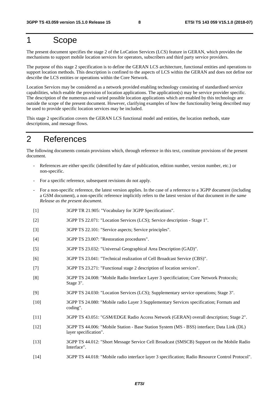## 1 Scope

The present document specifies the stage 2 of the LoCation Services (LCS) feature in GERAN, which provides the mechanisms to support mobile location services for operators, subscribers and third party service providers.

The purpose of this stage 2 specification is to define the GERAN LCS architecture, functional entities and operations to support location methods. This description is confined to the aspects of LCS within the GERAN and does not define nor describe the LCS entities or operations within the Core Network.

Location Services may be considered as a network provided enabling technology consisting of standardised service capabilities, which enable the provision of location applications. The application(s) may be service provider specific. The description of the numerous and varied possible location applications which are enabled by this technology are outside the scope of the present document. However, clarifying examples of how the functionality being described may be used to provide specific location services may be included.

This stage 2 specification covers the GERAN LCS functional model and entities, the location methods, state descriptions, and message flows.

## 2 References

The following documents contain provisions which, through reference in this text, constitute provisions of the present document.

- References are either specific (identified by date of publication, edition number, version number, etc.) or non-specific.
- For a specific reference, subsequent revisions do not apply.
- For a non-specific reference, the latest version applies. In the case of a reference to a 3GPP document (including a GSM document), a non-specific reference implicitly refers to the latest version of that document *in the same Release as the present document*.
- [1] 3GPP TR 21.905: "Vocabulary for 3GPP Specifications".
- [2] 3GPP TS 22.071: "Location Services (LCS); Service description Stage 1".
- [3] 3GPP TS 22.101: "Service aspects; Service principles".
- [4] 3GPP TS 23.007: "Restoration procedures".
- [5] 3GPP TS 23.032: "Universal Geographical Area Description (GAD)".
- [6] 3GPP TS 23.041: "Technical realization of Cell Broadcast Service (CBS)".
- [7] 3GPP TS 23.271: "Functional stage 2 description of location services".
- [8] 3GPP TS 24.008: "Mobile Radio Interface Layer 3 specificiation; Core Network Protocols; Stage 3".
- [9] 3GPP TS 24.030: "Location Services (LCS); Supplementary service operations; Stage 3".
- [10] 3GPP TS 24.080: "Mobile radio Layer 3 Supplementary Services specification; Formats and coding".
- [11] 3GPP TS 43.051: "GSM/EDGE Radio Access Network (GERAN) overall description; Stage 2".
- [12] 3GPP TS 44.006: "Mobile Station Base Station System (MS BSS) interface; Data Link (DL) layer specification".
- [13] 3GPP TS 44.012: "Short Message Service Cell Broadcast (SMSCB) Support on the Mobile Radio Interface".
- [14] 3GPP TS 44.018: "Mobile radio interface layer 3 specification; Radio Resource Control Protocol".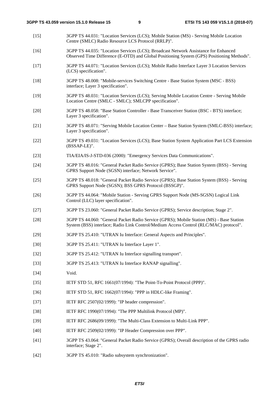- [15] 3GPP TS 44.031: "Location Services (LCS); Mobile Station (MS) Serving Mobile Location Centre (SMLC) Radio Resource LCS Protocol (RRLP)".
- [16] 3GPP TS 44.035: "Location Services (LCS); Broadcast Network Assistance for Enhanced Observed Time Difference (E-OTD) and Global Positioning System (GPS) Positioning Methods".
- [17] 3GPP TS 44.071: "Location Services (LCS); Mobile Radio Interface Layer 3 Location Services (LCS) specification".
- [18] 3GPP TS 48.008: "Mobile-services Switching Centre Base Station System (MSC BSS) interface; Layer 3 specification".
- [19] 3GPP TS 48.031: "Location Services (LCS); Serving Mobile Location Centre Serving Mobile Location Centre (SMLC - SMLC); SMLCPP specification".
- [20] 3GPP TS 48.058: "Base Station Controller Base Transceiver Station (BSC BTS) interface; Layer 3 specification".
- [21] 3GPP TS 48.071: "Serving Mobile Location Center Base Station System (SMLC-BSS) interface; Layer 3 specification".
- [22] 3GPP TS 49.031: "Location Services (LCS); Base Station System Application Part LCS Extension (BSSAP-LE)".
- [23] TIA/EIA/IS-J-STD-036 (2000): "Emergency Services Data Communications".
- [24] 3GPP TS 48.016: "General Packet Radio Service (GPRS); Base Station System (BSS) Serving GPRS Support Node (SGSN) interface; Network Service".
- [25] 3GPP TS 48.018: "General Packet Radio Service (GPRS); Base Station System (BSS) Serving GPRS Support Node (SGSN); BSS GPRS Protocol (BSSGP)".
- [26] 3GPP TS 44.064: "Mobile Station Serving GPRS Support Node (MS-SGSN) Logical Link Control (LLC) layer specification".
- [27] 3GPP TS 23.060: "General Packet Radio Service (GPRS); Service description; Stage 2".
- [28] 3GPP TS 44.060: "General Packet Radio Service (GPRS); Mobile Station (MS) Base Station System (BSS) interface; Radio Link Control/Medium Access Control (RLC/MAC) protocol".
- [29] 3GPP TS 25.410: "UTRAN Iu Interface: General Aspects and Principles".
- [30] 3GPP TS 25.411: "UTRAN Iu Interface Layer 1".
- [32] 3GPP TS 25.412: "UTRAN Iu Interface signalling transport".
- [33] 3GPP TS 25.413: "UTRAN Iu Interface RANAP signalling".
- [34] Void.
- [35] IETF STD 51, RFC 1661(07/1994): "The Point-To-Point Protocol (PPP)".
- [36] IETF STD 51, RFC 1662(07/1994): "PPP in HDLC-like Framing".
- [37] **IETF RFC 2507(02/1999): "IP header compression".**
- [38] IETF RFC 1990(07/1994): "The PPP Multilink Protocol (MP)".
- [39] IETF RFC 2686(09/1999): "The Multi-Class Extension to Multi-Link PPP".
- [40] **IETF RFC 2509(02/1999): "IP Header Compression over PPP".**
- [41] 3GPP TS 43.064: "General Packet Radio Service (GPRS); Overall description of the GPRS radio interface; Stage 2".
- [42] 3GPP TS 45.010: "Radio subsystem synchronization".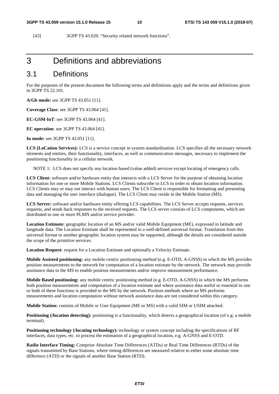[43] 3GPP TS 43.020. "Security related network functions".

## 3 Definitions and abbreviations

## 3.1 Definitions

For the purposes of the present document the following terms and definitions apply and the terms and definitions given in 3GPP TS 22.101.

**A/Gb mode:** see 3GPP TS 43.051 [11].

**Coverage Class**: see 3GPP TS 43.064 [41].

**EC-GSM-IoT**: see 3GPP TS 43.064 [41].

**EC operation**: see 3GPP TS 43.064 [41].

**Iu mode:** see 3GPP TS 43.051 [11].

**LCS (LoCation Services):** LCS is a service concept in system standardisation. LCS specifies all the necessary network elements and entities, their functionality, interfaces, as well as communication messages, necessary to implement the positioning functionality in a cellular network.

NOTE 1: LCS does not specify any location based (value added) services except locating of emergency calls.

**LCS Client:** software and/or hardware entity that interacts with a LCS Server for the purpose of obtaining location information for one or more Mobile Stations. LCS Clients subscribe to LCS in order to obtain location information. LCS Clients may or may not interact with human users. The LCS Client is responsible for formatting and presenting data and managing the user interface (dialogue). The LCS Client may reside in the Mobile Station (MS).

**LCS Server:** software and/or hardware entity offering LCS capabilities. The LCS Server accepts requests, services requests, and sends back responses to the received requests. The LCS server consists of LCS components, which are distributed to one or more PLMN and/or service provider.

**Location Estimate:** geographic location of an MS and/or valid Mobile Equipment (ME), expressed in latitude and longitude data. The Location Estimate shall be represented in a well-defined universal format. Translation from this universal format to another geographic location system may be supported, although the details are considered outside the scope of the primitive services.

**Location Request**: request for a Location Estimate and optionally a Velocity Estimate.

**Mobile Assisted positioning:** any mobile centric positioning method (e.g. E-OTD, A-GNSS) in which the MS provides position measurements to the network for computation of a location estimate by the network. The network may provide assistance data to the MS to enable position measurements and/or improve measurement performance.

**Mobile Based positioning:** any mobile centric positioning method (e.g. E-OTD, A-GNSS) in which the MS performs both position measurements and computation of a location estimate and where assistance data useful or essential to one or both of these functions is provided to the MS by the network. Position methods where an MS performs measurements and location computation without network assistance data are not considered within this category.

**Mobile Station:** consists of Mobile or User Equipment (ME or MS) with a valid SIM or USIM attached.

**Positioning (***l***ocation detecting):** positioning is a functionality, which detects a geographical location (of e.g. a mobile terminal).

**Positioning technology (/locating technology):** technology or system concept including the specifications of RF interfaces, data types, etc. to process the estimation of a geographical location, e.g. A-GNSS and E-OTD.

**Radio Interface Timing:** Comprise Absolute Time Differences (ATDs) or Real Time Differences (RTDs) of the signals transmitted by Base Stations, where timing differences are measured relative to either some absolute time difference (ATD) or the signals of another Base Station (RTD).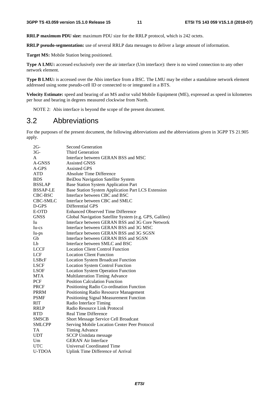**RRLP maximum PDU size:** maximum PDU size for the RRLP protocol, which is 242 octets.

**RRLP pseudo-segmentation:** use of several RRLP data messages to deliver a large amount of information.

**Target MS:** Mobile Station being positioned.

**Type A LMU:** accessed exclusively over the air interface (Um interface): there is no wired connection to any other network element.

**Type B LMU:** is accessed over the Abis interface from a BSC. The LMU may be either a standalone network element addressed using some pseudo-cell ID or connected to or integrated in a BTS.

**Velocity Estimate:** speed and bearing of an MS and/or valid Mobile Equipment (ME), expressed as speed in kilometres per hour and bearing in degrees measured clockwise from North.

NOTE 2: Abis interface is beyond the scope of the present document.

## 3.2 Abbreviations

For the purposes of the present document, the following abbreviations and the abbreviations given in 3GPP TS 21.905 apply.

| $2G-$           | <b>Second Generation</b>                               |
|-----------------|--------------------------------------------------------|
| $3G-$           | Third Generation                                       |
| A               | Interface between GERAN BSS and MSC                    |
| A-GNSS          | <b>Assisted GNSS</b>                                   |
| $A-GPS$         | <b>Assisted GPS</b>                                    |
| <b>ATD</b>      | <b>Absolute Time Difference</b>                        |
| <b>BDS</b>      | BeiDou Navigation Satellite System                     |
| <b>BSSLAP</b>   | <b>Base Station System Application Part</b>            |
| <b>BSSAP-LE</b> | Base Station System Application Part LCS Extension     |
| CBC-BSC         | Interface between CBC and BSC                          |
| CBC-SMLC        | Interface between CBC and SMLC                         |
| D-GPS           | <b>Differential GPS</b>                                |
| E-OTD           | <b>Enhanced Observed Time Difference</b>               |
| <b>GNSS</b>     | Global Navigation Satellite System (e.g. GPS, Galileo) |
| Iu              | Interface between GERAN BSS and 3G Core Network        |
| Iu-cs           | Interface between GERAN BSS and 3G MSC                 |
| Iu-ps           | Interface between GERAN BSS and 3G SGSN                |
| Gb              | Interface between GERAN BSS and SGSN                   |
| L <sub>b</sub>  | Interface between SMLC and BSC                         |
| <b>LCCF</b>     | <b>Location Client Control Function</b>                |
| <b>LCF</b>      | <b>Location Client Function</b>                        |
| LSBcF           | <b>Location System Broadcast Function</b>              |
| <b>LSCF</b>     | <b>Location System Control Function</b>                |
| <b>LSOF</b>     | <b>Location System Operation Function</b>              |
| <b>MTA</b>      | <b>Multilateration Timing Advance</b>                  |
| <b>PCF</b>      | <b>Position Calculation Function</b>                   |
| <b>PRCF</b>     | Positioning Radio Co-ordination Function               |
| <b>PRRM</b>     | Positioning Radio Resource Management                  |
| <b>PSMF</b>     | Positioning Signal Measurement Function                |
| <b>RIT</b>      | Radio Interface Timing                                 |
| <b>RRLP</b>     | Radio Resource Link Protocol                           |
| <b>RTD</b>      | <b>Real Time Difference</b>                            |
| <b>SMSCB</b>    | Short Message Service Cell Broadcast                   |
| <b>SMLCPP</b>   | Serving Mobile Location Center Peer Protocol           |
| <b>TA</b>       | <b>Timing Advance</b>                                  |
| <b>UDT</b>      | <b>SCCP Unitdata message</b>                           |
| Um              | <b>GERAN Air Interface</b>                             |
| <b>UTC</b>      | <b>Universal Coordinated Time</b>                      |
| <b>U-TDOA</b>   | <b>Uplink Time Difference of Arrival</b>               |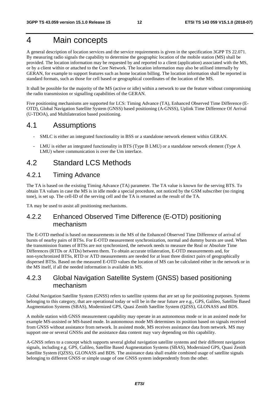## 4 Main concepts

A general description of location services and the service requirements is given in the specification 3GPP TS 22.071. By measuring radio signals the capability to determine the geographic location of the mobile station (MS) shall be provided. The location information may be requested by and reported to a client (application) associated with the MS, or by a client within or attached to the Core Network. The location information may also be utilised internally by GERAN, for example to support features such as home location billing. The location information shall be reported in standard formats, such as those for cell based or geographical coordinates of the location of the MS.

It shall be possible for the majority of the MS (active or idle) within a network to use the feature without compromising the radio transmission or signalling capabilities of the GERAN.

Five positioning mechanisms are supported for LCS: Timing Advance (TA), Enhanced Observed Time Difference (E-OTD), Global Navigation Satellite System (GNSS) based positioning (A-GNSS), Uplink Time Difference Of Arrival (U-TDOA), and Multilateration based positioning.

## 4.1 Assumptions

- SMLC is either an integrated functionality in BSS or a standalone network element within GERAN.
- LMU is either an integrated functionality in BTS (Type B LMU) or a standalone network element (Type A LMU) where communication is over the Um interface.

## 4.2 Standard LCS Methods

## 4.2.1 Timing Advance

The TA is based on the existing Timing Advance (TA) parameter. The TA value is known for the serving BTS. To obtain TA values in case the MS is in idle mode a special procedure, not noticed by the GSM subscriber (no ringing tone), is set up. The cell-ID of the serving cell and the TA is returned as the result of the TA.

TA may be used to assist all positioning mechanisms.

## 4.2.2 Enhanced Observed Time Difference (E-OTD) positioning mechanism

The E-OTD method is based on measurements in the MS of the Enhanced Observed Time Difference of arrival of bursts of nearby pairs of BTSs. For E-OTD measurement synchronization, normal and dummy bursts are used. When the transmission frames of BTSs are not synchronized, the network needs to measure the Real or Absolute Time Differences (RTDs or ATDs) between them. To obtain accurate trilateration, E-OTD measurements and, for non-synchronized BTSs, RTD or ATD measurements are needed for at least three distinct pairs of geographically dispersed BTSs. Based on the measured E-OTD values the location of MS can be calculated either in the network or in the MS itself, if all the needed information is available in MS.

### 4.2.3 Global Navigation Satellite System (GNSS) based positioning mechanism

Global Navigation Satellite System (GNSS) refers to satellite systems that are set up for positioning purposes. Systems belonging to this category, that are operational today or will be in the near future are e.g., GPS, Galileo, Satellite Based Augmentation Systems (SBAS), Modernized GPS, Quasi Zenith Satellite System (QZSS), GLONASS and BDS.

A mobile station with GNSS measurement capability may operate in an autonomous mode or in an assisted mode for example MS-assisted or MS-based mode. In autonomous mode MS determines its position based on signals received from GNSS without assistance from network. In assisted mode, MS receives assistance data from network. MS may support one or several GNSSs and the assistance data content may vary depending on this capability.

A-GNSS refers to a concept which supports several global navigation satellite systems and their different navigation signals, including e.g. GPS, Galileo, Satellite Based Augmentation Systems (SBAS), Modernized GPS, Quasi Zenith Satellite System (QZSS), GLONASS and BDS. The assistance data shall enable combined usage of satellite signals belonging to different GNSS or simple usage of one GNSS system independently from the other.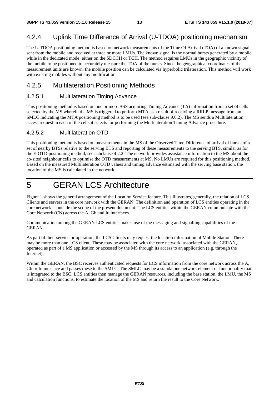### 4.2.4 Uplink Time Difference of Arrival (U-TDOA) positioning mechanism

The U-TDOA positioning method is based on network measurements of the Time Of Arrival (TOA) of a known signal sent from the mobile and received at three or more LMUs. The known signal is the normal bursts generated by a mobile while in the dedicated mode; either on the SDCCH or TCH. The method requires LMUs in the geographic vicinity of the mobile to be positioned to accurately measure the TOA of the bursts. Since the geographical coordinates of the measurement units are known, the mobile position can be calculated via hyperbolic trilateration. This method will work with existing mobiles without any modification.

### 4.2.5 Multilateration Positioning Methods

#### 4.2.5.1 Multilateration Timing Advance

This positioning method is based on one or more BSS acquiring Timing Advance (TA) information from a set of cells selected by the MS wherein the MS is triggered to perform MTA as a result of receiving a RRLP message from an SMLC indicating the MTA positioning method is to be used (see sub-clause 9.6.2). The MS sends a Multilateration access request in each of the cells it selects for performing the Multilateration Timing Advance procedure.

#### 4.2.5.2 Multilateration OTD

This positioning method is based on measurements in the MS of the Observed Time Difference of arrival of bursts of a set of nearby BTSs relative to the serving BTS and reporting of these measurements to the serving BTS, similar as for the E-OTD positioning method, see subclause 4.2.2. The network provides assistance information to the MS about the co-sited neighbour cells to optimise the OTD measurements at MS. No LMUs are required for this positioning method. Based on the measured Multilateration OTD values and timing advance estimated with the serving base station, the location of the MS is calculated in the network.

## 5 GERAN LCS Architecture

Figure 1 shows the general arrangement of the Location Service feature. This illustrates, generally, the relation of LCS Clients and servers in the core network with the GERAN. The definition and operation of LCS entities operating in the core network is outside the scope of the present document. The LCS entities within the GERAN communicate with the Core Network (CN) across the A, Gb and Iu interfaces.

Communication among the GERAN LCS entities makes use of the messaging and signalling capabilities of the GERAN.

As part of their service or operation, the LCS Clients may request the location information of Mobile Station. There may be more than one LCS client. These may be associated with the core network, associated with the GERAN, operated as part of a MS application or accessed by the MS through its access to an application (e.g. through the Internet).

Within the GERAN, the BSC receives authenticated requests for LCS information from the core network across the A, Gb or Iu interface and passes these to the SMLC. The SMLC may be a standalone network element or functionality that is integrated to the BSC. LCS entities then manage the GERAN resources, including the base station, the LMU, the MS and calculation functions, to estimate the location of the MS and return the result to the Core Network.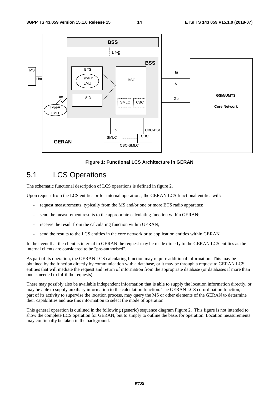

**Figure 1: Functional LCS Architecture in GERAN** 

## 5.1 LCS Operations

The schematic functional description of LCS operations is defined in figure 2.

Upon request from the LCS entities or for internal operations, the GERAN LCS functional entities will:

- request measurements, typically from the MS and/or one or more BTS radio apparatus;
- send the measurement results to the appropriate calculating function within GERAN;
- receive the result from the calculating function within GERAN;
- send the results to the LCS entities in the core network or to application entities within GERAN.

In the event that the client is internal to GERAN the request may be made directly to the GERAN LCS entities as the internal clients are considered to be "pre-authorised".

As part of its operation, the GERAN LCS calculating function may require additional information. This may be obtained by the function directly by communication with a database, or it may be through a request to GERAN LCS entities that will mediate the request and return of information from the appropriate database (or databases if more than one is needed to fulfil the requests).

There may possibly also be available independent information that is able to supply the location information directly, or may be able to supply auxiliary information to the calculation function. The GERAN LCS co-ordination function, as part of its activity to supervise the location process, may query the MS or other elements of the GERAN to determine their capabilities and use this information to select the mode of operation.

This general operation is outlined in the following (generic) sequence diagram Figure 2. This figure is not intended to show the complete LCS operation for GERAN, but to simply to outline the basis for operation. Location measurements may continually be taken in the background.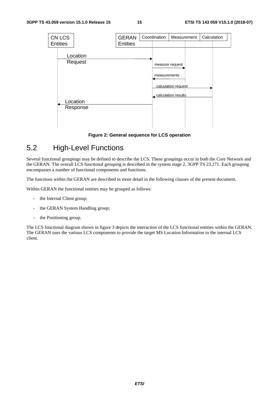

#### **Figure 2: General sequence for LCS operation**

## 5.2 High-Level Functions

Several functional groupings may be defined to describe the LCS. These groupings occur in both the Core Network and the GERAN. The overall LCS functional grouping is described in the system stage 2, 3GPP TS 23.271. Each grouping encompasses a number of functional components and functions.

The functions within the GERAN are described in more detail in the following clauses of the present document.

Within GERAN the functional entities may be grouped as follows:

- the Internal Client group;
- the GERAN System Handling group;
- the Positioning group.

The LCS functional diagram shown in figure 3 depicts the interaction of the LCS functional entities within the GERAN. The GERAN uses the various LCS components to provide the target MS Location Information to the internal LCS client.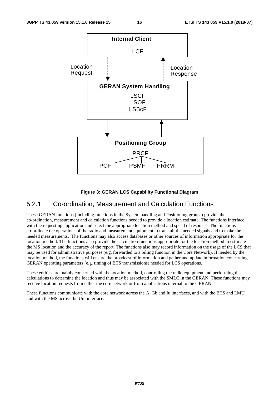

#### **Figure 3: GERAN LCS Capability Functional Diagram**

### 5.2.1 Co-ordination, Measurement and Calculation Functions

These GERAN functions (including functions in the System handling and Positioning groups) provide the co-ordination, measurement and calculation functions needed to provide a location estimate. The functions interface with the requesting application and select the appropriate location method and speed of response. The functions co-ordinate the operations of the radio and measurement equipment to transmit the needed signals and to make the needed measurements. The functions may also access databases or other sources of information appropriate for the location method. The functions also provide the calculation functions appropriate for the location method to estimate the MS location and the accuracy of the report. The functions also may record information on the usage of the LCS that may be used for administrative purposes (e.g. forwarded to a billing function in the Core Network). If needed by the location method, the functions will ensure the broadcast of information and gather and update information concerning GERAN operating parameters (e.g. timing of BTS transmissions) needed for LCS operations.

These entities are mainly concerned with the location method, controlling the radio equipment and performing the calculations to determine the location and thus may be associated with the SMLC in the GERAN. These functions may receive location requests from either the core network or from applications internal to the GERAN.

These functions communicate with the core network across the A, Gb and Iu interfaces, and with the BTS and LMU and with the MS across the Um interface.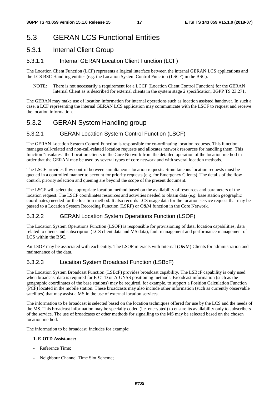## 5.3 GERAN LCS Functional Entities

## 5.3.1 Internal Client Group

### 5.3.1.1 Internal GERAN Location Client Function (LCF)

The Location Client Function (LCF) represents a logical interface between the internal GERAN LCS applications and the LCS BSC Handling entities (e.g. the Location System Control Function (LSCF) in the BSC).

NOTE: There is not necessarily a requirement for a LCCF (Location Client Control Function) for the GERAN Internal Client as is described for external clients in the system stage 2 specification, 3GPP TS 23.271.

The GERAN may make use of location information for internal operations such as location assisted handover. In such a case, a LCF representing the internal GERAN LCS application may communicate with the LSCF to request and receive the location information.

### 5.3.2 GERAN System Handling group

### 5.3.2.1 GERAN Location System Control Function (LSCF)

The GERAN Location System Control Function is responsible for co-ordinating location requests. This function manages call-related and non-call-related location requests and allocates network resources for handling them. This function "insulates" the Location clients in the Core Network from the detailed operation of the location method in order that the GERAN may be used by several types of core network and with several location methods.

The LSCF provides flow control between simultaneous location requests. Simultaneous location requests must be queued in a controlled manner to account for priority requests (e.g. for Emergency Clients). The details of the flow control, priority selection and queuing are beyond the scope of the present document.

The LSCF will select the appropriate location method based on the availability of resources and parameters of the location request. The LSCF coordinates resources and activities needed to obtain data (e.g. base station geographic coordinates) needed for the location method. It also records LCS usage data for the location service request that may be passed to a Location System Recording Function (LSRF) or O&M function in the Core Network.

#### 5.3.2.2 GERAN Location System Operations Function (LSOF)

The Location System Operations Function (LSOF) is responsible for provisioning of data, location capabilities, data related to clients and subscription (LCS client data and MS data), fault management and performance management of LCS within the BSC.

An LSOF may be associated with each entity. The LSOF interacts with Internal (O&M) Clients for administration and maintenance of the data.

#### 5.3.2.3 Location System Broadcast Function (LSBcF)

The Location System Broadcast Function (LSBcF) provides broadcast capability. The LSBcF capability is only used when broadcast data is required for E-OTD or A-GNSS positioning methods. Broadcast information (such as the geographic coordinates of the base stations) may be required, for example, to support a Position Calculation Function (PCF) located in the mobile station. These broadcasts may also include other information (such as currently observable satellites) that may assist a MS in the use of external location services.

The information to be broadcast is selected based on the location techniques offered for use by the LCS and the needs of the MS. This broadcast information may be specially coded (i.e. encrypted) to ensure its availability only to subscribers of the service. The use of broadcasts or other methods for signalling to the MS may be selected based on the chosen location method.

The information to be broadcast includes for example:

#### **1. E-OTD Assistance:**

- Reference Time:
- Neighbour Channel Time Slot Scheme;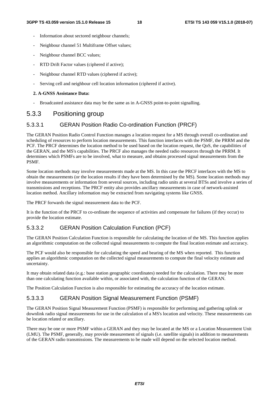- Information about sectored neighbour channels:
- Neighbour channel 51 Multiframe Offset values;
- Neighbour channel BCC values;
- RTD Drift Factor values (ciphered if active);
- Neighbour channel RTD values (ciphered if active);
- Serving cell and neighbour cell location information (ciphered if active).

#### **2. A-GNSS Assistance Data:**

- Broadcasted assistance data may be the same as in A-GNSS point-to-point signalling.

### 5.3.3 Positioning group

#### 5.3.3.1 GERAN Position Radio Co-ordination Function (PRCF)

The GERAN Position Radio Control Function manages a location request for a MS through overall co-ordination and scheduling of resources to perform location measurements. This function interfaces with the PSMF, the PRRM and the PCF. The PRCF determines the location method to be used based on the location request, the QoS, the capabilities of the GERAN, and the MS's capabilities. The PRCF also manages the needed radio resources through the PRRM. It determines which PSMFs are to be involved, what to measure, and obtains processed signal measurements from the PSMF.

Some location methods may involve measurements made at the MS. In this case the PRCF interfaces with the MS to obtain the measurements (or the location results if they have been determined by the MS). Some location methods may involve measurements or information from several sources, including radio units at several BTSs and involve a series of transmissions and receptions. The PRCF entity also provides ancillary measurements in case of network-assisted location method. Ancillary information may be extracted from navigating systems like GNSS.

The PRCF forwards the signal measurement data to the PCF.

It is the function of the PRCF to co-ordinate the sequence of activities and compensate for failures (if they occur) to provide the location estimate.

#### 5.3.3.2 GERAN Position Calculation Function (PCF)

The GERAN Position Calculation Function is responsible for calculating the location of the MS. This function applies an algorithmic computation on the collected signal measurements to compute the final location estimate and accuracy.

The PCF would also be responsible for calculating the speed and bearing of the MS when reported. This function applies an algorithmic computation on the collected signal measurements to compute the final velocity estimate and uncertainty.

It may obtain related data (e.g.: base station geographic coordinates) needed for the calculation. There may be more than one calculating function available within, or associated with, the calculation function of the GERAN.

The Position Calculation Function is also responsible for estimating the accuracy of the location estimate.

#### 5.3.3.3 GERAN Position Signal Measurement Function (PSMF)

The GERAN Position Signal Measurement Function (PSMF) is responsible for performing and gathering uplink or downlink radio signal measurements for use in the calculation of a MS's location and velocity. These measurements can be location related or ancillary.

There may be one or more PSMF within a GERAN and they may be located at the MS or a Location Measurement Unit (LMU). The PSMF, generally, may provide measurement of signals (i.e. satellite signals) in addition to measurements of the GERAN radio transmissions. The measurements to be made will depend on the selected location method.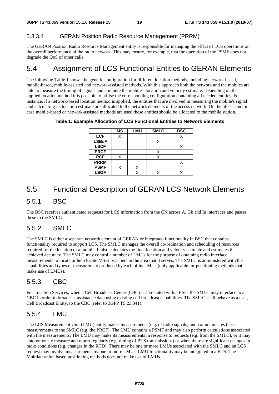#### 5.3.3.4 GERAN Position Radio Resource Management (PRRM)

The GERAN Position Radio Resource Management entity is responsible for managing the effect of LCS operations on the overall performance of the radio network. This may ensure, for example, that the operation of the PSMF does not degrade the QoS of other calls.

## 5.4 Assignment of LCS Functional Entities to GERAN Elements

The following Table 1 shows the generic configuration for different location methods, including network-based, mobile-based, mobile-assisted and network-assisted methods. With this approach both the network and the mobiles are able to measure the timing of signals and compute the mobile's location and velocity estimate. Depending on the applied location method it is possible to utilise the corresponding configuration containing all needed entities. For instance, if a network-based location method is applied, the entities that are involved in measuring the mobile's signal and calculating its location estimate are allocated to the network elements of the access network. On the other hand, in case mobile-based or network-assisted methods are used these entities should be allocated to the mobile station.

**Table 1: Example Allocation of LCS Functional Entities to Network Elements** 

|              | <b>MS</b> | <b>LMU</b> | <b>SMLC</b> | <b>BSC</b> |
|--------------|-----------|------------|-------------|------------|
| <b>LCF</b>   |           |            |             |            |
| <b>LSBcF</b> |           |            |             |            |
| <b>LSCF</b>  |           |            |             |            |
| <b>PRCF</b>  |           |            | X           |            |
| <b>PCF</b>   |           |            |             |            |
| <b>PRRM</b>  |           |            |             |            |
| <b>PSMF</b>  |           |            |             |            |
| <b>LSOF</b>  |           |            |             |            |

## 5.5 Functional Description of GERAN LCS Network Elements

### 5.5.1 BSC

The BSC receives authenticated requests for LCS information from the CN across A, Gb and Iu interfaces and passes these to the SMLC.

### 5.5.2 SMLC

The SMLC is either a separate network element of GERAN or integrated functionality in BSC that contains functionality required to support LCS. The SMLC manages the overall co-ordination and scheduling of resources required for the location of a mobile. It also calculates the final location and velocity estimate and estimates the achieved accuracy. The SMLC may control a number of LMUs for the purpose of obtaining radio interface measurements to locate or help locate MS subscribers in the area that it serves. The SMLC is administered with the capabilities and types of measurement produced by each of its LMUs (only applicable for positioning methods that make use of LMUs).

### 5.5.3 CBC

For Location Services, when a Cell Broadcast Center (CBC) is associated with a BSC, the SMLC may interface to a CBC in order to broadcast assistance data using existing cell broadcast capabilities. The SMLC shall behave as a user, Cell Broadcast Entity, to the CBC (refer to 3GPP TS 23.041).

### 5.5.4 LMU

The LCS Measurement Unit (LMU) entity makes measurements (e.g. of radio signals) and communicates these measurements to the SMLC (e.g. the PRCF). The LMU contains a PSMF and may also perform calculations associated with the measurements. The LMU may make its measurements in response to requests (e.g. from the SMLC), or it may autonomously measure and report regularly (e.g. timing of BTS transmissions) or when there are significant changes in radio conditions (e.g. changes in the RTD). There may be one or more LMUs associated with the SMLC and an LCS request may involve measurements by one or more LMUs. LMU functionality may be integrated in a BTS. The Multilateration based positioning methods does not make use of LMUs.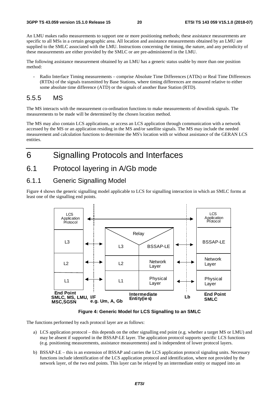An LMU makes radio measurements to support one or more positioning methods; these assistance measurements are specific to all MSs in a certain geographic area. All location and assistance measurements obtained by an LMU are supplied to the SMLC associated with the LMU. Instructions concerning the timing, the nature, and any periodicity of these measurements are either provided by the SMLC or are pre-administered in the LMU.

The following assistance measurement obtained by an LMU has a generic status usable by more than one position method:

- Radio Interface Timing measurements – comprise Absolute Time Differences (ATDs) or Real Time Differences (RTDs) of the signals transmitted by Base Stations, where timing differences are measured relative to either some absolute time difference (ATD) or the signals of another Base Station (RTD).

## 5.5.5 MS

The MS interacts with the measurement co-ordination functions to make measurements of downlink signals. The measurements to be made will be determined by the chosen location method.

The MS may also contain LCS applications, or access an LCS application through communication with a network accessed by the MS or an application residing in the MS and/or satellite signals. The MS may include the needed measurement and calculation functions to determine the MS's location with or without assistance of the GERAN LCS entities.

## 6 Signalling Protocols and Interfaces

## 6.1 Protocol layering in A/Gb mode

### 6.1.1 Generic Signalling Model

Figure 4 shows the generic signalling model applicable to LCS for signalling interaction in which an SMLC forms at least one of the signalling end points.



**Figure 4: Generic Model for LCS Signalling to an SMLC** 

The functions performed by each protocol layer are as follows:

- a) LCS application protocol this depends on the other signalling end point (e.g. whether a target MS or LMU) and may be absent if supported in the BSSAP-LE layer. The application protocol supports specific LCS functions (e.g. positioning measurements, assistance measurements) and is independent of lower protocol layers.
- b) BSSAP-LE this is an extension of BSSAP and carries the LCS application protocol signaling units. Necessary functions include identification of the LCS application protocol and identification, where not provided by the network layer, of the two end points. This layer can be relayed by an intermediate entity or mapped into an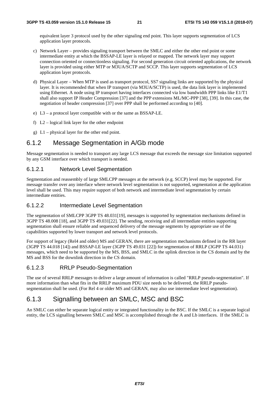equivalent layer 3 protocol used by the other signaling end point. This layer supports segmentation of LCS application layer protocols.

- c) Network Layer provides signaling transport between the SMLC and either the other end point or some intermediate entity at which the BSSAP-LE layer is relayed or mapped. The network layer may support connection oriented or connectionless signaling. For second generation circuit oriented applications, the network layer is provided using either MTP or M3UA/SCTP and SCCP. This layer supports segmentation of LCS application layer protocols.
- d) Physical Layer When MTP is used as transport protocol, SS7 signaling links are supported by the physical layer. It is recommended that when IP transport (via M3UA/SCTP) is used, the data link layer is implemented using Ethernet. A node using IP transport having interfaces connected via low bandwidth PPP links like E1/T1 shall also support IP Header Compression [37] and the PPP extensions ML/MC-PPP [38], [39]. In this case, the negotiation of header compression [37] over PPP shall be performed according to [40].
- e) L3 a protocol layer compatible with or the same as BSSAP-LE.
- f) L2 logical link layer for the other endpoint
- g) L1 physical layer for the other end point.

### 6.1.2 Message Segmentation in A/Gb mode

Message segmentation is needed to transport any large LCS message that exceeds the message size limitation supported by any GSM interface over which transport is needed.

#### 6.1.2.1 Network Level Segmentation

Segmentation and reassembly of large SMLCPP messages at the network (e.g. SCCP) level may be supported. For message transfer over any interface where network level segmentation is not supported, segmentation at the application level shall be used. This may require support of both network and intermediate level segmentation by certain intermediate entities.

#### 6.1.2.2 Intermediate Level Segmentation

The segmentation of SMLCPP 3GPP TS 48.031[19], messages is supported by segmentation mechanisms defined in 3GPP TS 48.008 [18], and 3GPP TS 49.031[22]. The sending, receiving and all intermediate entities supporting segmentation shall ensure reliable and sequenced delivery of the message segments by appropriate use of the capabilities supported by lower transport and network level protocols.

For support of legacy (Rel4 and older) MS and GERAN, there are segmentation mechanisms defined in the RR layer (3GPP TS 44.018 [14]) and BSSAP-LE layer (3GPP TS 49.031 [22]) for segmentation of RRLP (3GPP TS 44.031) messages, which need to be supported by the MS, BSS, and SMLC in the uplink direction in the CS domain and by the MS and BSS for the downlink direction in the CS domain.

#### 6.1.2.3 RRLP Pseudo-Segmentation

The use of several RRLP messages to deliver a large amount of information is called "RRLP pseudo-segmentation". If more information than what fits in the RRLP maximum PDU size needs to be delivered, the RRLP pseudosegmentation shall be used. (For Rel 4 or older MS and GERAN, may also use intermediate level segmentation).

## 6.1.3 Signalling between an SMLC, MSC and BSC

An SMLC can either be separate logical entity or integrated functionality in the BSC. If the SMLC is a separate logical entity, the LCS signalling between SMLC and MSC is accomplished through the A and Lb interfaces. If the SMLC is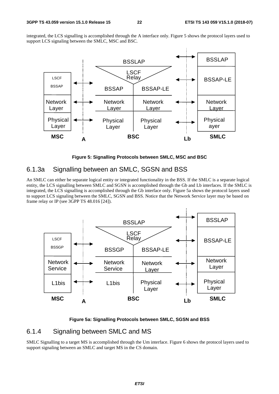integrated, the LCS signalling is accomplished through the A interface only. Figure 5 shows the protocol layers used to support LCS signaling between the SMLC, MSC and BSC.



**Figure 5: Signalling Protocols between SMLC, MSC and BSC** 

### 6.1.3a Signalling between an SMLC, SGSN and BSS

An SMLC can either be separate logical entity or integrated functionality in the BSS. If the SMLC is a separate logical entity, the LCS signalling between SMLC and SGSN is accomplished through the Gb and Lb interfaces. If the SMLC is integrated, the LCS signalling is accomplished through the Gb interface only. Figure 5a shows the protocol layers used to support LCS signaling between the SMLC, SGSN and BSS. Notice that the Network Service layer may be based on frame relay or IP (see 3GPP TS 48.016 [24]).



#### **Figure 5a: Signalling Protocols between SMLC, SGSN and BSS**

#### 6.1.4 Signaling between SMLC and MS

SMLC Signalling to a target MS is accomplished through the Um interface. Figure 6 shows the protocol layers used to support signaling between an SMLC and target MS in the CS domain.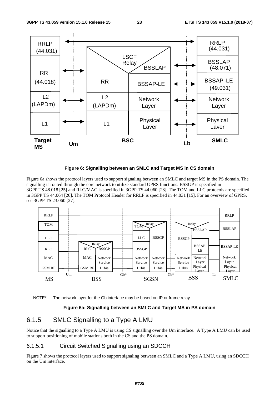

#### **Figure 6: Signalling between an SMLC and Target MS in CS domain**

Figure 6a shows the protocol layers used to support signaling between an SMLC and target MS in the PS domain. The signalling is routed through the core network to utilize standard GPRS functions. BSSGP is specified in 3GPP TS 48.018 [25] and RLC/MAC is specified in 3GPP TS 44.060 [28]. The TOM and LLC protocols are specified in 3GPP TS 44.064 [26]. The TOM Protocol Header for RRLP is specified in 44.031 [15]. For an overview of GPRS, see 3GPP TS 23.060 [27].



NOTE\*: The network layer for the Gb interface may be based on IP or frame relay.

#### **Figure 6a: Signalling between an SMLC and Target MS in PS domain**

### 6.1.5 SMLC Signalling to a Type A LMU

Notice that the signalling to a Type A LMU is using CS signalling over the Um interface. A Type A LMU can be used to support positioning of mobile stations both in the CS and the PS domain.

#### 6.1.5.1 Circuit Switched Signalling using an SDCCH

Figure 7 shows the protocol layers used to support signaling between an SMLC and a Type A LMU, using an SDCCH on the Um interface.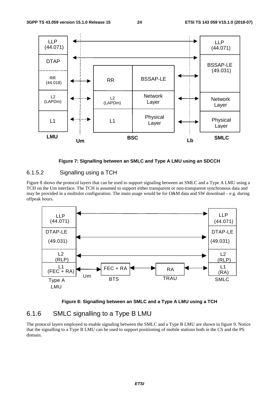



### 6.1.5.2 Signalling using a TCH

Figure 8 shows the protocol layers that can be used to support signaling between an SMLC and a Type A LMU using a TCH on the Um interface. The TCH is assumed to support either transparent or non-transparent synchronous data and may be provided in a multislot configuration. The main usage would be for O&M data and SW download – e.g. during offpeak hours.





### 6.1.6 SMLC signalling to a Type B LMU

The protocol layers employed to enable signaling between the SMLC and a Type B LMU are shown in figure 9. Notice that the signalling to a Type B LMU can be used to support positioning of mobile stations both in the CS and the PS domain.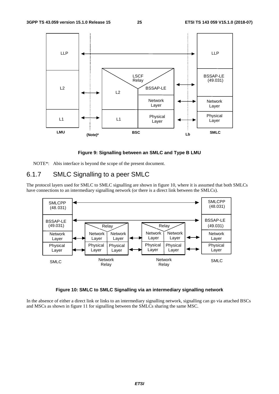

#### **Figure 9: Signalling between an SMLC and Type B LMU**

NOTE\*: Abis interface is beyond the scope of the present document.

## 6.1.7 SMLC Signalling to a peer SMLC

The protocol layers used for SMLC to SMLC signalling are shown in figure 10, where it is assumed that both SMLCs have connections to an intermediary signalling network (or there is a direct link between the SMLCs).



#### **Figure 10: SMLC to SMLC Signalling via an intermediary signalling network**

In the absence of either a direct link or links to an intermediary signalling network, signalling can go via attached BSCs and MSCs as shown in figure 11 for signalling between the SMLCs sharing the same MSC.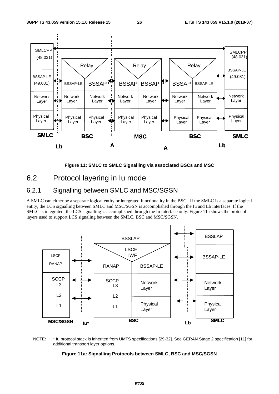

**Figure 11: SMLC to SMLC Signalling via associated BSCs and MSC** 

## 6.2 Protocol layering in Iu mode

## 6.2.1 Signalling between SMLC and MSC/SGSN

A SMLC can either be a separate logical entity or integrated functionality in the BSC. If the SMLC is a separate logical entity, the LCS signalling between SMLC and MSC/SGSN is accomplished through the Iu and Lb interfaces. If the SMLC is integrated, the LCS signalling is accomplished through the Iu interface only. Figure 11a shows the protocol layers used to support LCS signaling between the SMLC, BSC and MSC/SGSN.





#### **Figure 11a: Signalling Protocols between SMLC, BSC and MSC/SGSN**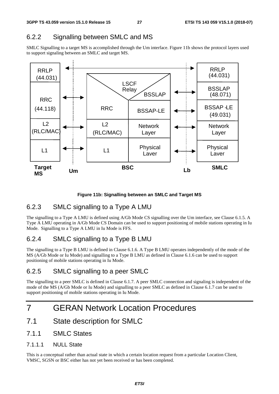## 6.2.2 Signalling between SMLC and MS

SMLC Signalling to a target MS is accomplished through the Um interface. Figure 11b shows the protocol layers used to support signaling between an SMLC and target MS.



**Figure 11b: Signalling between an SMLC and Target MS** 

## 6.2.3 SMLC signalling to a Type A LMU

The signalling to a Type A LMU is defined using A/Gb Mode CS signalling over the Um interface, see Clause 6.1.5. A Type A LMU operating in A/Gb Mode CS Domain can be used to support positioning of mobile stations operating in Iu Mode. Signalling to a Type A LMU in Iu Mode is FFS.

## 6.2.4 SMLC signalling to a Type B LMU

The signalling to a Type B LMU is defined in Clause 6.1.6. A Type B LMU operates independently of the mode of the MS (A/Gb Mode or Iu Mode) and signalling to a Type B LMU as defined in Clause 6.1.6 can be used to support positioning of mobile stations operating in Iu Mode.

## 6.2.5 SMLC signalling to a peer SMLC

The signalling to a peer SMLC is defined in Clause 6.1.7. A peer SMLC connection and signaling is independent of the mode of the MS (A/Gb Mode or Iu Mode) and signalling to a peer SMLC as defined in Clause 6.1.7 can be used to support positioning of mobile stations operating in Iu Mode.

## 7 GERAN Network Location Procedures

- 7.1 State description for SMLC
- 7.1.1 SMLC States
- 7.1.1.1 NULL State

This is a conceptual rather than actual state in which a certain location request from a particular Location Client, VMSC, SGSN or BSC either has not yet been received or has been completed.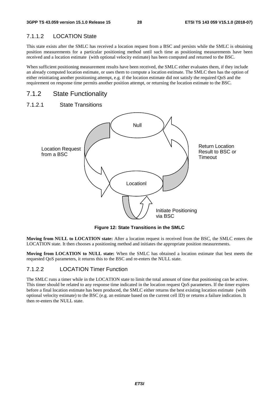### 7.1.1.2 LOCATION State

This state exists after the SMLC has received a location request from a BSC and persists while the SMLC is obtaining position measurements for a particular positioning method until such time as positioning measurements have been received and a location estimate (with optional velocity estimate) has been computed and returned to the BSC.

When sufficient positioning measurement results have been received, the SMLC either evaluates them, if they include an already computed location estimate, or uses them to compute a location estimate. The SMLC then has the option of either reinitiating another positioning attempt, e.g. if the location estimate did not satisfy the required QoS and the requirement on response time permits another position attempt, or returning the location estimate to the BSC.

### 7.1.2 State Functionality

#### 7.1.2.1 State Transitions



**Figure 12: State Transitions in the SMLC** 

**Moving from NULL to LOCATION state:** After a location request is received from the BSC, the SMLC enters the LOCATION state. It then chooses a positioning method and initiates the appropriate position measurements.

**Moving from LOCATION to NULL state:** When the SMLC has obtained a location estimate that best meets the requested QoS parameters, it returns this to the BSC and re-enters the NULL state.

#### 7.1.2.2 LOCATION Timer Function

The SMLC runs a timer while in the LOCATION state to limit the total amount of time that positioning can be active. This timer should be related to any response time indicated in the location request QoS parameters. If the timer expires before a final location estimate has been produced, the SMLC either returns the best existing location estimate (with optional velocity estimate) to the BSC (e.g. an estimate based on the current cell ID) or returns a failure indication. It then re-enters the NULL state.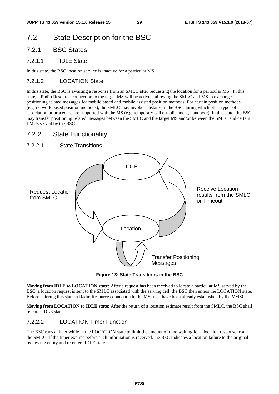## 7.2 State Description for the BSC

- 7.2.1 BSC States
- 7.2.1.1 IDLE State

In this state, the BSC location service is inactive for a particular MS.

#### 7.2.1.2 LOCATION State

In this state, the BSC is awaiting a response from an SMLC after requesting the location for a particular MS. In this state, a Radio Resource connection to the target MS will be active – allowing the SMLC and MS to exchange positioning related messages for mobile based and mobile assisted position methods. For certain position methods (e.g. network based position methods), the SMLC may invoke substates in the BSC during which other types of association or procedure are supported with the MS (e.g. temporary call establishment, handover). In this state, the BSC may transfer positioning related messages between the SMLC and the target MS and/or between the SMLC and certain LMUs served by the BSC.

#### 7.2.2 State Functionality





**Figure 13: State Transitions in the BSC** 

**Moving from IDLE to LOCATION state:** After a request has been received to locate a particular MS served by the BSC, a location request is sent to the SMLC associated with the serving cell: the BSC then enters the LOCATION state. Before entering this state, a Radio Resource connection to the MS must have been already established by the VMSC.

**Moving from LOCATION to IDLE state:** After the return of a location estimate result from the SMLC, the BSC shall re-enter IDLE state.

#### 7.2.2.2 LOCATION Timer Function

The BSC runs a timer while in the LOCATION state to limit the amount of time waiting for a location response from the SMLC. If the timer expires before such information is received, the BSC indicates a location failure to the original requesting entity and re-enters IDLE state.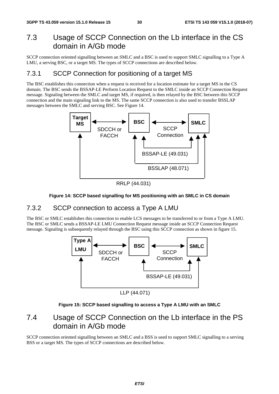## 7.3 Usage of SCCP Connection on the Lb interface in the CS domain in A/Gb mode

SCCP connection oriented signalling between an SMLC and a BSC is used to support SMLC signalling to a Type A LMU, a serving BSC, or a target MS. The types of SCCP connections are described below.

## 7.3.1 SCCP Connection for positioning of a target MS

The BSC establishes this connection when a request is received for a location estimate for a target MS in the CS domain. The BSC sends the BSSAP-LE Perform Location Request to the SMLC inside an SCCP Connection Request message. Signaling between the SMLC and target MS, if required, is then relayed by the BSC between this SCCP connection and the main signaling link to the MS. The same SCCP connection is also used to transfer BSSLAP messages between the SMLC and serving BSC. See Figure 14.



RRLP (44.031)

#### **Figure 14: SCCP based signalling for MS positioning with an SMLC in CS domain**

## 7.3.2 SCCP connection to access a Type A LMU

The BSC or SMLC establishes this connection to enable LCS messages to be transferred to or from a Type A LMU. The BSC or SMLC sends a BSSAP-LE LMU Connection Request message inside an SCCP Connection Request message. Signaling is subsequently relayed through the BSC using this SCCP connection as shown in figure 15.



LLP (44.071)

#### **Figure 15: SCCP based signalling to access a Type A LMU with an SMLC**

## 7.4 Usage of SCCP Connection on the Lb interface in the PS domain in A/Gb mode

SCCP connection oriented signalling between an SMLC and a BSS is used to support SMLC signalling to a serving BSS or a target MS. The types of SCCP connections are described below.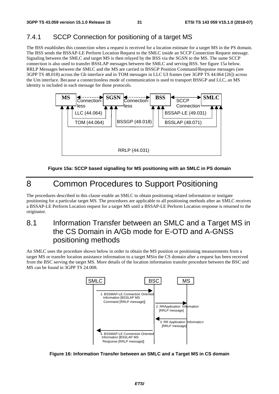## 7.4.1 SCCP Connection for positioning of a target MS

The BSS establishes this connection when a request is received for a location estimate for a target MS in the PS domain. The BSS sends the BSSAP-LE Perform Location Request to the SMLC inside an SCCP Connection Request message. Signaling between the SMLC and target MS is then relayed by the BSS via the SGSN to the MS. The same SCCP connection is also used to transfer BSSLAP messages between the SMLC and serving BSS. See figure 15a below. RRLP Messages between the SMLC and the MS are carried in BSSGP Position Command/Response messages (see 3GPP TS 48.018) across the Gb interface and in TOM messages in LLC UI frames (see 3GPP TS 44.064 [26]) across the Um interface. Because a connectionless mode of communication is used to transport BSSGP and LLC, an MS identity is included in each message for those protocols.



### **Figure 15a: SCCP based signalling for MS positioning with an SMLC in PS domain**

## 8 Common Procedures to Support Positioning

The procedures described in this clause enable an SMLC to obtain positioning related information or instigate positioning for a particular target MS. The procedures are applicable to all positioning methods after an SMLC receives a BSSAP-LE Perform Location request for a target MS until a BSSAP-LE Perform Location response is returned to the originator.

## 8.1 Information Transfer between an SMLC and a Target MS in the CS Domain in A/Gb mode for E-OTD and A-GNSS positioning methods

An SMLC uses the procedure shown below in order to obtain the MS position or positioning measurements from a target MS or transfer location assistance information to a target MSin the CS domain after a request has been received from the BSC serving the target MS. More details of the location information transfer procedure between the BSC and MS can be found in 3GPP TS 24.008.



**Figure 16: Information Transfer between an SMLC and a Target MS in CS domain**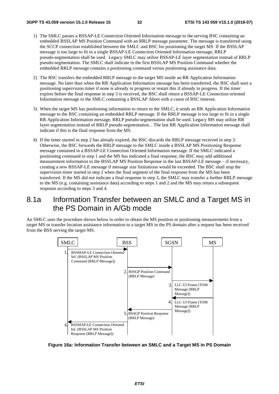- 1) The SMLC passes a BSSAP-LE Connection Oriented Information message to the serving BSC containing an embedded BSSLAP MS Position Command with an RRLP message parameter. The message is transferred using the SCCP connection established between the SMLC and BSC for positioning the target MS If the BSSLAP message is too large to fit in a single BSSAP-LE Connection Oriented Information message, RRLP pseudo-segmentation shall be used. Legacy SMLC may utilize BSSAP-LE layer segmentation instead of RRLP pseudo-segmentation. The SMLC shall indicate in the first BSSLAP MS Position Command whether the embedded RRLP message contains a positioning command versus positioning assistance data.
- 2) The BSC transfers the embedded RRLP message to the target MS inside an RR Application Information message. No later than when the RR Application Information message has been transferred, the BSC shall start a positioning supervision timer if none is already in progress or restart this if already in progress. If the timer expires before the final response in step 3 is received, the BSC shall return a BSSAP-LE Connection oriented Information message to the SMLC containing a BSSLAP Abort with a cause of BSC timeout.
- 3) When the target MS has positioning information to return to the SMLC, it sends an RR Application Information message to the BSC containing an embedded RRLP message. If the RRLP message is too large to fit in a single RR Application Information message, RRLP pseudo-segmentation shall be used. Legacy MS may utilize RR layer segmentation instead of RRLP pseudo-segmentation. . The last RR Application Information message shall indicate if this is the final response from the MS.
- 4) If the timer started in step 2 has already expired, the BSC discards the RRLP message received in step 3. Otherwise, the BSC forwards the RRLP message to the SMLC inside a BSSLAP MS Positioning Response message contained in a BSSAP-LE Connection Oriented Information message. If the SMLC indicated a positioning command in step 1 and the MS has indicated a final response, the BSC may add additional measurement information to the BSSLAP MS Position Response in the last BSSAP-LE message – if necessary, creating a new BSSAP-LE message if message size limitations would be exceeded. The BSC shall stop the supervision timer started in step  $\overline{2}$  when the final segment of the final response from the MS has been transferred. If the MS did not indicate a final response in step 3, the SMLC may transfer a further RRLP message to the MS (e.g. containing assistance data) according to steps 1 and 2 and the MS may return a subsequent response according to steps 3 and 4.

## 8.1a Information Transfer between an SMLC and a Target MS in the PS Domain in A/Gb mode

An SMLC uses the procedure shown below in order to obtain the MS position or positioning measurements from a target MS or transfer location assistance information to a target MS in the PS domain after a request has been received from the BSS serving the target MS.



**Figure 16a: Information Transfer between an SMLC and a Target MS in PS Domain**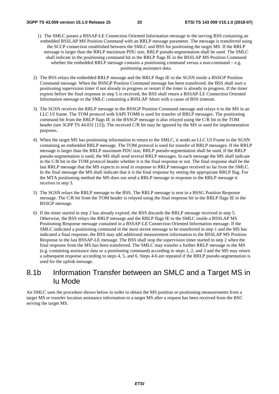- 1) The SMLC passes a BSSAP-LE Connection Oriented Information message to the serving BSS containing an embedded BSSLAP MS Position Command with an RRLP message parameter. The message is transferred using the SCCP connection established between the SMLC and BSS for positioning the target MS. If the RRLP message is larger than the RRLP maximum PDU size, RRLP pseudo-segmentation shall be used. The SMLC shall indicate in the positioning command bit in the RRLP flags IE in the BSSLAP MS Position Command whether the embedded RRLP message contains a positioning command versus a non-command  $-e.g.$ positioning assistance data.
- 2) The BSS relays the embedded RRLP message and the RRLP flags IE to the SGSN inside a BSSGP Position Command message. When the BSSGP Position Command message has been transferred, the BSS shall start a positioning supervision timer if not already in progress or restart if the timer is already in progress. If the timer expires before the final response in step 5 is received, the BSS shall return a BSSAP-LE Connection Oriented Information message to the SMLC containing a BSSLAP Abort with a cause of BSS timeout.
- 3) The SGSN receives the RRLP message in the BSSGP Position Command message and relays it to the MS in an LLC UI frame. The TOM protocol with SAPI TOM8 is used for transfer of RRLP messages. The positioning command bit from the RRLP flags IE in the BSSGP message is also relayed using the C/R bit in the TOM header (see 3GPP TS 44.031 [15]). The received C/R bit may be ignored by the MS or used for implementation purposes.
- 4) When the target MS has positioning information to return to the SMLC, it sends an LLC UI Frame to the SGSN containing an embedded RRLP message. The TOM protocol is used for transfer of RRLP messages. If the RRLP message is larger than the RRLP maximum PDU size, RRLP pseudo-segmentation shall be used. If the RRLP pseudo-segmentation is used, the MS shall send several RRLP messages. In each message the MS shall indicate in the C/R bit in the TOM protocol header whether it is the final response or not. The final response shall be the last RRLP message that the MS expects to send in response to RRLP messages received so far from the SMLC. In the final message the MS shall indicate that it is the final response by setting the appropriate RRLP flag. For the MTA positioning method the MS does not send a RRLP message in response to the RRLP message it receives in step 3.
- 5) The SGSN relays the RRLP message to the BSS. The RRLP message is sent in a BSSG Position Response message. The C/R bit from the TOM header is relayed using the final response bit in the RRLP flags IE in the BSSGP message.
- 6) If the timer started in step 2 has already expired, the BSS discards the RRLP message received in step 5. Otherwise, the BSS relays the RRLP message and the RRLP flags IE to the SMLC inside a BSSLAP MS Positioning Response message contained in a BSSAP-LE Connection Oriented Information message. If the SMLC indicated a positioning command in the most recent message to be transferred in step 1 and the MS has indicated a final response, the BSS may add additional measurement information to the BSSLAP MS Position Response in the last BSSAP-LE message. The BSS shall stop the supervision timer started in step 2 when the final response from the MS has been transferred. The SMLC may transfer a further RRLP message to the MS (e.g. containing assistance data or a positioning command) according to steps 1, 2, and 3 and the MS may return a subsequent response according to steps 4, 5, and 6. Steps 4-6 are repeated if the RRLP pseudo-segmentation is used for the uplink message.

## 8.1b Information Transfer between an SMLC and a Target MS in Iu Mode

An SMLC uses the procedure shown below in order to obtain the MS position or positioning measurements from a target MS or transfer location assistance information to a target MS after a request has been received from the BSC serving the target MS.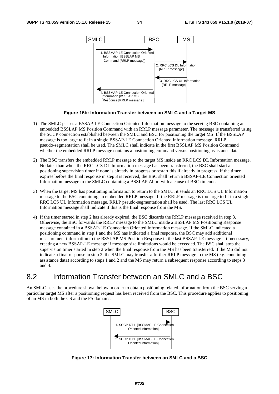

#### **Figure 16b: Information Transfer between an SMLC and a Target MS**

- 1) The SMLC passes a BSSAP-LE Connection Oriented Information message to the serving BSC containing an embedded BSSLAP MS Position Command with an RRLP message parameter. The message is transferred using the SCCP connection established between the SMLC and BSC for positioning the target MS If the BSSLAP message is too large to fit in a single BSSAP-LE Connection Oriented Information message, RRLP pseudo-segmentation shall be used. The SMLC shall indicate in the first BSSLAP MS Position Command whether the embedded RRLP message contains a positioning command versus positioning assistance data.
- 2) The BSC transfers the embedded RRLP message to the target MS inside an RRC LCS DL Information message. No later than when the RRC LCS DL Information message has been transferred, the BSC shall start a positioning supervision timer if none is already in progress or restart this if already in progress. If the timer expires before the final response in step 3 is received, the BSC shall return a BSSAP-LE Connection oriented Information message to the SMLC containing a BSSLAP Abort with a cause of BSC timeout.
- 3) When the target MS has positioning information to return to the SMLC, it sends an RRC LCS UL Information message to the BSC containing an embedded RRLP message. If the RRLP message is too large to fit in a single RRC LCS UL Information message, RRLP pseudo-segmentation shall be used. The last RRC LCS UL Information message shall indicate if this is the final response from the MS.
- 4) If the timer started in step 2 has already expired, the BSC discards the RRLP message received in step 3. Otherwise, the BSC forwards the RRLP message to the SMLC inside a BSSLAP MS Positioning Response message contained in a BSSAP-LE Connection Oriented Information message. If the SMLC indicated a positioning command in step 1 and the MS has indicated a final response, the BSC may add additional measurement information to the BSSLAP MS Position Response in the last BSSAP-LE message – if necessary, creating a new BSSAP-LE message if message size limitations would be exceeded. The BSC shall stop the supervision timer started in step 2 when the final response from the MS has been transferred. If the MS did not indicate a final response in step 2, the SMLC may transfer a further RRLP message to the MS (e.g. containing assistance data) according to steps 1 and 2 and the MS may return a subsequent response according to steps 3 and 4.

## 8.2 Information Transfer between an SMLC and a BSC

An SMLC uses the procedure shown below in order to obtain positioning related information from the BSC serving a particular target MS after a positioning request has been received from the BSC. This procedure applies to positioning of an MS in both the CS and the PS domains.



**Figure 17: Information Transfer between an SMLC and a BSC**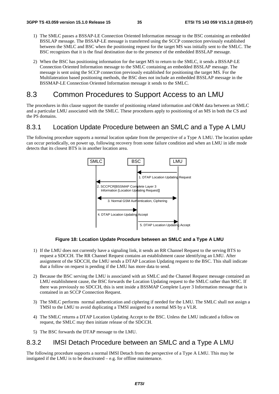- 1) The SMLC passes a BSSAP-LE Connection Oriented Information message to the BSC containing an embedded BSSLAP message. The BSSAP-LE message is transferred using the SCCP connection previously established between the SMLC and BSC when the positioning request for the target MS was initially sent to the SMLC. The BSC recognizes that it is the final destination due to the presence of the embedded BSSLAP message.
- 2) When the BSC has positioning information for the target MS to return to the SMLC, it sends a BSSAP-LE Connection Oriented Information message to the SMLC containing an embedded BSSLAP message. The message is sent using the SCCP connection previously established for positioning the target MS. For the Multilateration based positioning methods, the BSC does not include an embedded BSSLAP message in the BSSMAP-LE Connection Oriented Information message it sends to the SMLC.

## 8.3 Common Procedures to Support Access to an LMU

The procedures in this clause support the transfer of positioning related information and O&M data between an SMLC and a particular LMU associated with the SMLC. These procedures apply to positioning of an MS in both the CS and the PS domains.

### 8.3.1 Location Update Procedure between an SMLC and a Type A LMU

The following procedure supports a normal location update from the perspective of a Type A LMU. The location update can occur periodically, on power up, following recovery from some failure condition and when an LMU in idle mode detects that its closest BTS is in another location area.



#### **Figure 18: Location Update Procedure between an SMLC and a Type A LMU**

- 1) If the LMU does not currently have a signaling link, it sends an RR Channel Request to the serving BTS to request a SDCCH. The RR Channel Request contains an establishment cause identifying an LMU. After assignment of the SDCCH, the LMU sends a DTAP Location Updating request to the BSC. This shall indicate that a follow on request is pending if the LMU has more data to send.
- 2) Because the BSC serving the LMU is associated with an SMLC and the Channel Request message contained an LMU establishment cause, the BSC forwards the Location Updating request to the SMLC rather than MSC. If there was previously no SDCCH, this is sent inside a BSSMAP Complete Layer 3 Information message that is contained in an SCCP Connection Request.
- 3) The SMLC performs normal authentication and ciphering if needed for the LMU. The SMLC shall not assign a TMSI to the LMU to avoid duplicating a TMSI assigned to a normal MS by a VLR.
- 4) The SMLC returns a DTAP Location Updating Accept to the BSC. Unless the LMU indicated a follow on request, the SMLC may then initiate release of the SDCCH.
- 5) The BSC forwards the DTAP message to the LMU.

### 8.3.2 IMSI Detach Procedure between an SMLC and a Type A LMU

The following procedure supports a normal IMSI Detach from the perspective of a Type A LMU. This may be instigated if the LMU is to be deactivated – e.g. for offline maintenance.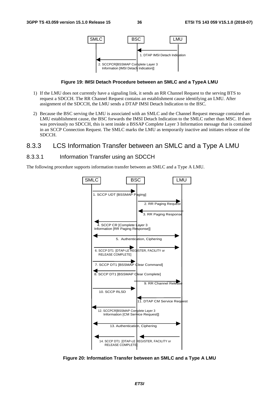

**Figure 19: IMSI Detach Procedure between an SMLC and a TypeA LMU** 

- 1) If the LMU does not currently have a signaling link, it sends an RR Channel Request to the serving BTS to request a SDCCH. The RR Channel Request contains an establishment cause identifying an LMU. After assignment of the SDCCH, the LMU sends a DTAP IMSI Detach Indication to the BSC.
- 2) Because the BSC serving the LMU is associated with an SMLC and the Channel Request message contained an LMU establishment cause, the BSC forwards the IMSI Detach Indication to the SMLC rather than MSC. If there was previously no SDCCH, this is sent inside a BSSAP Complete Layer 3 Information message that is contained in an SCCP Connection Request. The SMLC marks the LMU as temporarily inactive and initiates release of the SDCCH.

## 8.3.3 LCS Information Transfer between an SMLC and a Type A LMU

### 8.3.3.1 Information Transfer using an SDCCH

The following procedure supports information transfer between an SMLC and a Type A LMU.



**Figure 20: Information Transfer between an SMLC and a Type A LMU**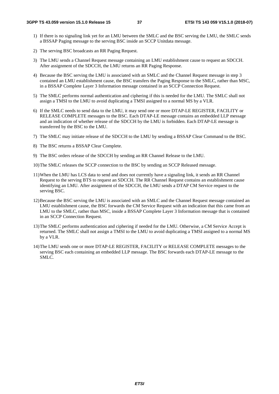- 1) If there is no signaling link yet for an LMU between the SMLC and the BSC serving the LMU, the SMLC sends a BSSAP Paging message to the serving BSC inside an SCCP Unitdata message.
- 2) The serving BSC broadcasts an RR Paging Request.
- 3) The LMU sends a Channel Request message containing an LMU establishment cause to request an SDCCH. After assignment of the SDCCH, the LMU returns an RR Paging Response.
- 4) Because the BSC serving the LMU is associated with an SMLC and the Channel Request message in step 3 contained an LMU establishment cause, the BSC transfers the Paging Response to the SMLC, rather than MSC, in a BSSAP Complete Layer 3 Information message contained in an SCCP Connection Request.
- 5) The SMLC performs normal authentication and ciphering if this is needed for the LMU. The SMLC shall not assign a TMSI to the LMU to avoid duplicating a TMSI assigned to a normal MS by a VLR.
- 6) If the SMLC needs to send data to the LMU, it may send one or more DTAP-LE REGISTER, FACILITY or RELEASE COMPLETE messages to the BSC. Each DTAP-LE message contains an embedded LLP message and an indication of whether release of the SDCCH by the LMU is forbidden. Each DTAP-LE message is transferred by the BSC to the LMU.
- 7) The SMLC may initiate release of the SDCCH to the LMU by sending a BSSAP Clear Command to the BSC.
- 8) The BSC returns a BSSAP Clear Complete.
- 9) The BSC orders release of the SDCCH by sending an RR Channel Release to the LMU.
- 10) The SMLC releases the SCCP connection to the BSC by sending an SCCP Released message.
- 11) When the LMU has LCS data to send and does not currently have a signaling link, it sends an RR Channel Request to the serving BTS to request an SDCCH. The RR Channel Request contains an establishment cause identifying an LMU. After assignment of the SDCCH, the LMU sends a DTAP CM Service request to the serving BSC.
- 12) Because the BSC serving the LMU is associated with an SMLC and the Channel Request message contained an LMU establishment cause, the BSC forwards the CM Service Request with an indication that this came from an LMU to the SMLC, rather than MSC, inside a BSSAP Complete Layer 3 Information message that is contained in an SCCP Connection Request.
- 13) The SMLC performs authentication and ciphering if needed for the LMU. Otherwise, a CM Service Accept is returned. The SMLC shall not assign a TMSI to the LMU to avoid duplicating a TMSI assigned to a normal MS by a VLR.
- 14) The LMU sends one or more DTAP-LE REGISTER, FACILITY or RELEASE COMPLETE messages to the serving BSC each containing an embedded LLP message. The BSC forwards each DTAP-LE message to the SMLC.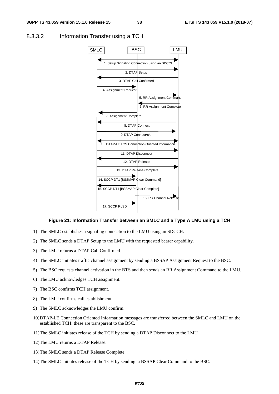

### 8.3.3.2 Information Transfer using a TCH

#### **Figure 21: Information Transfer between an SMLC and a Type A LMU using a TCH**

- 1) The SMLC establishes a signaling connection to the LMU using an SDCCH.
- 2) The SMLC sends a DTAP Setup to the LMU with the requested bearer capability.
- 3) The LMU returns a DTAP Call Confirmed.
- 4) The SMLC initiates traffic channel assignment by sending a BSSAP Assignment Request to the BSC.
- 5) The BSC requests channel activation in the BTS and then sends an RR Assignment Command to the LMU.
- 6) The LMU acknowledges TCH assignment.
- 7) The BSC confirms TCH assignment.
- 8) The LMU confirms call establishment.
- 9) The SMLC acknowledges the LMU confirm.
- 10) DTAP-LE Connection Oriented Information messages are transferred between the SMLC and LMU on the established TCH: these are transparent to the BSC.
- 11) The SMLC initiates release of the TCH by sending a DTAP Disconnect to the LMU
- 12) The LMU returns a DTAP Release.
- 13) The SMLC sends a DTAP Release Complete.
- 14) The SMLC initiates release of the TCH by sending a BSSAP Clear Command to the BSC.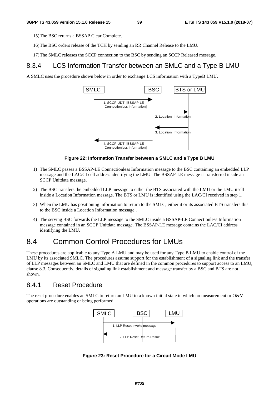15) The BSC returns a BSSAP Clear Complete.

16) The BSC orders release of the TCH by sending an RR Channel Release to the LMU.

17) The SMLC releases the SCCP connection to the BSC by sending an SCCP Released message.

## 8.3.4 LCS Information Transfer between an SMLC and a Type B LMU

A SMLC uses the procedure shown below in order to exchange LCS information with a TypeB LMU.



**Figure 22: Information Transfer between a SMLC and a Type B LMU** 

- 1) The SMLC passes a BSSAP-LE Connectionless Information message to the BSC containing an embedded LLP message and the LAC/CI cell address identifying the LMU. The BSSAP-LE message is transferred inside an SCCP Unitdata message.
- 2) The BSC transfers the embedded LLP message to either the BTS associated with the LMU or the LMU itself inside a Location Information message. The BTS or LMU is identified using the LAC/CI received in step 1.
- 3) When the LMU has positioning information to return to the SMLC, either it or its associated BTS transfers this to the BSC inside a Location Information message..
- 4) The serving BSC forwards the LLP message to the SMLC inside a BSSAP-LE Connectionless Information message contained in an SCCP Unitdata message. The BSSAP-LE message contains the LAC/CI address identifying the LMU.

# 8.4 Common Control Procedures for LMUs

These procedures are applicable to any Type A LMU and may be used for any Type B LMU to enable control of the LMU by its associated SMLC. The procedures assume support for the establishment of a signaling link and the transfer of LLP messages between an SMLC and LMU that are defined in the common procedures to support access to an LMU, clause 8.3. Consequently, details of signaling link establishment and message transfer by a BSC and BTS are not shown.

## 8.4.1 Reset Procedure

The reset procedure enables an SMLC to return an LMU to a known initial state in which no measurement or O&M operations are outstanding or being performed.



**Figure 23: Reset Procedure for a Circuit Mode LMU**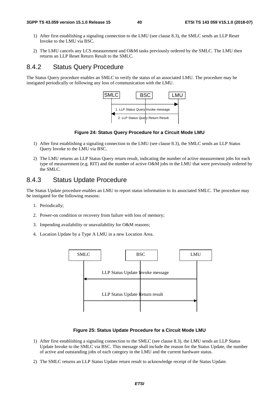- 1) After first establishing a signaling connection to the LMU (see clause 8.3), the SMLC sends an LLP Reset Invoke to the LMU via BSC.
- 2) The LMU cancels any LCS measurement and O&M tasks previously ordered by the SMLC. The LMU then returns an LLP Reset Return Result to the SMLC.

## 8.4.2 Status Query Procedure

The Status Query procedure enables an SMLC to verify the status of an associated LMU. The procedure may be instigated periodically or following any loss of communication with the LMU.



#### **Figure 24: Status Query Procedure for a Circuit Mode LMU**

- 1) After first establishing a signaling connection to the LMU (see clause 8.3), the SMLC sends an LLP Status Query Invoke to the LMU via BSC.
- 2) The LMU returns an LLP Status Query return result, indicating the number of active measurement jobs for each type of measurement (e.g. RIT) and the number of active O&M jobs in the LMU that were previously ordered by the SMLC.

## 8.4.3 Status Update Procedure

The Status Update procedure enables an LMU to report status information to its associated SMLC. The procedure may be instigated for the following reasons:

- 1. Periodically;
- 2. Power-on condition or recovery from failure with loss of memory;
- 3. Impending availability or unavailability for O&M reasons;
- 4. Location Update by a Type A LMU in a new Location Area.



### **Figure 25: Status Update Procedure for a Circuit Mode LMU**

- 1) After first establishing a signaling connection to the SMLC (see clause 8.3), the LMU sends an LLP Status Update Invoke to the SMLC via BSC. This message shall include the reason for the Status Update, the number of active and outstanding jobs of each category in the LMU and the current hardware status.
- 2) The SMLC returns an LLP Status Update return result to acknowledge receipt of the Status Update.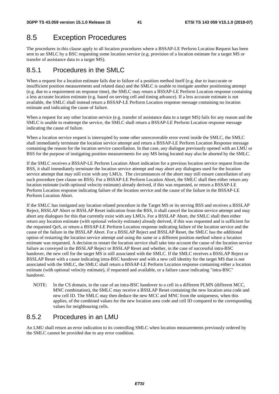# 8.5 Exception Procedures

The procedures in this clause apply to all location procedures where a BSSAP-LE Perform Location Request has been sent to an SMLC by a BSC requesting some location service (e.g. provision of a location estimate for a target MS or transfer of assistance data to a target MS).

# 8.5.1 Procedures in the SMLC

When a request for a location estimate fails due to failure of a position method itself (e.g. due to inaccurate or insufficient position measurements and related data) and the SMLC is unable to instigate another positioning attempt (e.g. due to a requirement on response time), the SMLC may return a BSSAP-LE Perform Location response containing a less accurate location estimate (e.g. based on serving cell and timing advance). If a less accurate estimate is not available, the SMLC shall instead return a BSSAP-LE Perform Location response message containing no location estimate and indicating the cause of failure.

When a request for any other location service (e.g. transfer of assistance data to a target MS) fails for any reason and the SMLC is unable to reattempt the service, the SMLC shall return a BSSAP-LE Perform Location response message indicating the cause of failure.

When a location service request is interrupted by some other unrecoverable error event inside the SMLC, the SMLC shall immediately terminate the location service attempt and return a BSSAP-LE Perform Location Response message containing the reason for the location service cancellation. In that case, any dialogue previously opened with an LMU or BSS for the purpose of instigating position measurements for any MS being located may also be aborted by the SMLC.

If the SMLC receives a BSSAP-LE Perform Location Abort indication for a previous location service request from the BSS, it shall immediately terminate the location service attempt and may abort any dialogues used for the location service attempt that may still exist with any LMUs. The circumstances of the abort may still ensure cancellation of any such procedure (see clause on BSS). For a BSSAP-LE Perform Location Abort, the SMLC shall then either return any location estimate (with optional velocity estimate) already derived, if this was requested, or return a BSSAP-LE Perform Location response indicating failure of the location service and the cause of the failure in the BSSAP-LE Perform Location Abort.

If the SMLC has instigated any location related procedure in the Target MS or its serving BSS and receives a BSSLAP Reject, BSSLAP Abort or BSSLAP Reset indication from the BSS, it shall cancel the location service attempt and may abort any dialogues for this that currently exist with any LMUs. For a BSSLAP Abort, the SMLC shall then either return any location estimate (with optional velocity estimate) already derived, if this was requested and is sufficient for the requested QoS, or return a BSSAP-LE Perform Location response indicating failure of the location service and the cause of the failure in the BSSLAP Abort. For a BSSLAP Reject and BSSLAP Reset, the SMLC has the additional option of restarting the location service attempt and using the same or a different position method where a location estimate was requested. A decision to restart the location service shall take into account the cause of the location service failure as conveyed in the BSSLAP Reject or BSSLAP Reset and whether, in the case of successful intra-BSC handover, the new cell for the target MS is still associated with the SMLC. If the SMLC receives a BSSLAP Reject or BSSLAP Reset with a cause indicating intra-BSC handover and with a new cell identity for the target MS that is not associated with the SMLC, the SMLC shall return a BSSAP-LE Perform Location response containing either a location estimate (with optional velocity estimate), if requested and available, or a failure cause indicating "intra-BSC" handover.

NOTE: In the CS domain, in the case of an intra-BSC handover to a cell in a different PLMN (different MCC, MNC combination), the SMLC may receive a BSSLAP Reset containing the new location area code and new cell ID. The SMLC may then deduce the new MCC and MNC from the uniqueness, when this applies, of the combined values for the new location area code and cell ID compared to the corresponding values for neighbouring cells.

## 8.5.2 Procedures in an LMU

An LMU shall return an error indication to its controlling SMLC when location measurements previously ordered by the SMLC cannot be provided due to any error condition.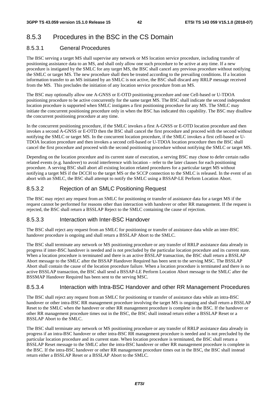# 8.5.3 Procedures in the BSC in the CS Domain

### 8.5.3.1 General Procedures

The BSC serving a target MS shall supervise any network or MS location service procedure, including transfer of positioning assistance data to an MS, and shall only allow one such procedure to be active at any time. If a new procedure is instigated by the SMLC for any target MS, the BSC shall cancel any previous procedure without notifying the SMLC or target MS. The new procedure shall then be treated according to the prevailing conditions. If a location information transfer to an MS initiated by an SMLC is not active, the BSC shall discard any RRLP message received from the MS. This precludes the initiation of any location service procedure from an MS.

The BSC may optionally allow one A-GNSS or E-OTD positioning procedure and one Cell-based or U-TDOA positioning procedure to be active concurrently for the same target MS. The BSC shall indicate the second independent location procedure is supported when SMLC instigates a first positioning procedure for any MS. The SMLC may initiate the concurrent positioning procedure only in when the BSC has indicated this capability. The BSC may disallow the concurrent positioning procedure at any time.

In the concurrent positioning procedure, if the SMLC invokes a first A-GNSS or E-OTD location procedure and then invokes a second A-GNSS or E-OTD then the BSC shall cancel the first procedure and proceed with the second without notifying the SMLC or target MS. In the concurrent location procedure, if the SMLC invokes a first cell-based or U-TDOA location procedure and then invokes a second cell-based or U-TDOA location procedure then the BSC shall cancel the first procedure and proceed with the second positioning procedure without notifying the SMLC or target MS.

Depending on the location procedure and its current state of execution, a serving BSC may chose to defer certain radio related events (e.g. handover) to avoid interference with location – refer to the later clauses for each positioning procedure. A serving BSC shall abort all existing location related procedures for a particular target MS without notifying a target MS if the DCCH to the target MS or the SCCP connection to the SMLC is released. In the event of an abort with an SMLC, the BSC shall attempt to notify the SMLC using a BSSAP-LE Perform Location Abort.

### 8.5.3.2 Rejection of an SMLC Positioning Request

The BSC may reject any request from an SMLC for positioning or transfer of assistance data for a target MS if the request cannot be performed for reasons other than interaction with handover or other RR management. If the request is rejected, the BSC shall return a BSSLAP Reject to the SMLC containing the cause of rejection.

### 8.5.3.3 Interaction with Inter-BSC Handover

The BSC shall reject any request from an SMLC for positioning or transfer of assistance data while an inter-BSC handover procedure is ongoing and shall return a BSSLAP Abort to the SMLC.

The BSC shall terminate any network or MS positioning procedure or any transfer of RRLP assistance data already in progress if inter-BSC handover is needed and is not precluded by the particular location procedure and its current state. When a location procedure is terminated and there is an active BSSLAP transaction, the BSC shall return a BSSLAP Abort message to the SMLC after the BSSAP Handover Required has been sent to the serving MSC. The BSSLAP Abort shall contain the cause of the location procedure failure. When a location procedure is terminated and there is no active BSSLAP transaction, the BSC shall send a BSSAP-LE Perform Location Abort message to the SMLC after the BSSMAP Handover Required has been sent to the serving MSC.

### 8.5.3.4 Interaction with Intra-BSC Handover and other RR Management Procedures

The BSC shall reject any request from an SMLC for positioning or transfer of assistance data while an intra-BSC handover or other intra-BSC RR management procedure involving the target MS is ongoing and shall return a BSSLAP Reset to the SMLC when the handover or other RR management procedure is complete in the BSC. If the handover or other RR management procedure times out in the BSC, the BSC shall instead return either a BSSLAP Reset or a BSSLAP Abort to the SMLC.

The BSC shall terminate any network or MS positioning procedure or any transfer of RRLP assistance data already in progress if an intra-BSC handover or other intra-BSC RR management procedure is needed and is not precluded by the particular location procedure and its current state. When location procedure is terminated, the BSC shall return a BSSLAP Reset message to the SMLC after the intra-BSC handover or other RR management procedure is complete in the BSC. If the intra-BSC handover or other RR management procedure times out in the BSC, the BSC shall instead return either a BSSLAP Reset or a BSSLAP Abort to the SMLC.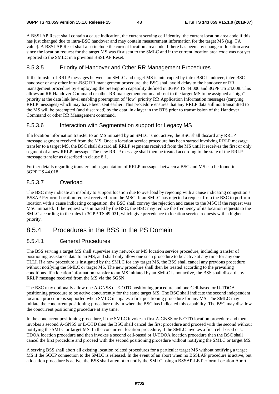A BSSLAP Reset shall contain a cause indication, the current serving cell identity, the current location area code if this has just changed due to intra-BSC handover and may contain measurement information for the target MS (e.g. TA value). A BSSLAP Reset shall also include the current location area code if there has been any change of location area since the location request for the target MS was first sent to the SMLC and if the current location area code was not yet reported to the SMLC in a previous BSSLAP Reset.

### 8.5.3.5 Priority of Handover and Other RR Management Procedures

If the transfer of RRLP messages between an SMLC and target MS is interrupted by intra-BSC handover, inter-BSC handover or any other intra-BSC RR management procedure, the BSC shall avoid delay to the handover or RR management procedure by employing the preemption capability defined in 3GPP TS 44.006 and 3GPP TS 24.008. This allows an RR Handover Command or other RR management command sent to the target MS to be assigned a "high" priority at the data link level enabling preemption of "low" priority RR Application Information messages (carrying RRLP messages) which may have been sent earlier. This procedure ensures that any RRLP data still not transmitted to the MS will be preempted (and discarded) by the data link layer in the BTS prior to transmission of the Handover Command or other RR Management command.

### 8.5.3.6 Interaction with Segmentation support for Legacy MS

If a location information transfer to an MS initiated by an SMLC is not active, the BSC shall discard any RRLP message segment received from the MS. Once a location service procedure has been started involving RRLP message transfer to a target MS, the BSC shall discard all RRLP segments received from the MS until it receives the first or only segment of a new RRLP message. The new RRLP message shall then be treated according to the state of the RRLP message transfer as described in clause 8.1.

Further details regarding transfer and segmentation of RRLP messages between a BSC and MS can be found in 3GPP TS 44.018.

### 8.5.3.7 Overload

The BSC may indicate an inability to support location due to overload by rejecting with a cause indicating congestion a BSSAP Perform Location request received from the MSC. If an SMLC has rejected a request from the BSC to perform location with a cause indicating congestion, the BSC shall convey the rejection and cause to the MSC if the request was MSC initiated. If the request was initiated by the BSC, the BSC may reduce the frequency of its location requests to the SMLC according to the rules in 3GPP TS 49.031, which give precedence to location service requests with a higher priority.

## 8.5.4 Procedures in the BSS in the PS Domain

## 8.5.4.1 General Procedures

The BSS serving a target MS shall supervise any network or MS location service procedure, including transfer of positioning assistance data to an MS, and shall only allow one such procedure to be active at any time for any one TLLI. If a new procedure is instigated by the SMLC for any target MS, the BSS shall cancel any previous procedure without notifying the SMLC or target MS. The new procedure shall then be treated according to the prevailing conditions. If a location information transfer to an MS initiated by an SMLC is not active, the BSS shall discard any RRLP message received from the MS via the SGSN.

The BSC may optionally allow one A-GNSS or E-OTD positioning procedure and one Cell-based or U-TDOA positioning procedure to be active concurrently for the same target MS. The BSC shall indicate the second independent location procedure is supported when SMLC instigates a first positioning procedure for any MS. The SMLC may initiate the concurrent positioning procedure only in when the BSC has indicated this capability. The BSC may disallow the concurrent positioning procedure at any time.

In the concurrent positioning procedure, if the SMLC invokes a first A-GNSS or E-OTD location procedure and then invokes a second A-GNSS or E-OTD then the BSC shall cancel the first procedure and proceed with the second without notifying the SMLC or target MS. In the concurrent location procedure, if the SMLC invokes a first cell-based or U-TDOA location procedure and then invokes a second cell-based or U-TDOA location procedure then the BSC shall cancel the first procedure and proceed with the second positioning procedure without notifying the SMLC or target MS.

A serving BSS shall abort all existing location related procedures for a particular target MS without notifying a target MS if the SCCP connection to the SMLC is released. In the event of an abort when no BSSLAP procedure is active, but a location procedure is active, the BSS shall attempt to notify the SMLC using a BSSAP-LE Perform Location Abort.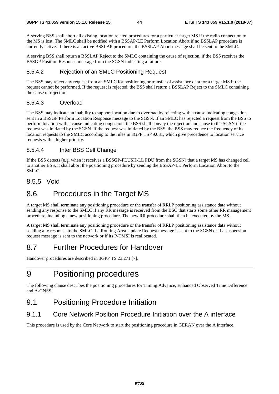A serving BSS shall abort all existing location related procedures for a particular target MS if the radio connection to the MS is lost. The SMLC shall be notified with a BSSAP-LE Perform Location Abort if no BSSLAP procedure is currently active. If there is an active BSSLAP procedure, the BSSLAP Abort message shall be sent to the SMLC.

A serving BSS shall return a BSSLAP Reject to the SMLC containing the cause of rejection, if the BSS receives the BSSGP Position Response message from the SGSN indicating a failure.

### 8.5.4.2 Rejection of an SMLC Positioning Request

The BSS may reject any request from an SMLC for positioning or transfer of assistance data for a target MS if the request cannot be performed. If the request is rejected, the BSS shall return a BSSLAP Reject to the SMLC containing the cause of rejection.

### 8.5.4.3 Overload

The BSS may indicate an inability to support location due to overload by rejecting with a cause indicating congestion sent in a BSSGP Perform Location Response message to the SGSN. If an SMLC has rejected a request from the BSS to perform location with a cause indicating congestion, the BSS shall convey the rejection and cause to the SGSN if the request was initiated by the SGSN. If the request was initiated by the BSS, the BSS may reduce the frequency of its location requests to the SMLC according to the rules in 3GPP TS 49.031, which give precedence to location service requests with a higher priority.

### 8.5.4.4 Inter BSS Cell Change

If the BSS detects (e.g. when it receives a BSSGP-FLUSH-LL PDU from the SGSN) that a target MS has changed cell to another BSS, it shall abort the positioning procedure by sending the BSSAP-LE Perform Location Abort to the SMLC.

## 8.5.5 Void

# 8.6 Procedures in the Target MS

A target MS shall terminate any positioning procedure or the transfer of RRLP positioning assistance data without sending any response to the SMLC if any RR message is received from the BSC that starts some other RR management procedure, including a new positioning procedure. The new RR procedure shall then be executed by the MS.

A target MS shall terminate any positioning procedure or the transfer of RRLP positioning assistance data without sending any response to the SMLC if a Routing Area Update Request message is sent to the SGSN or if a suspension request message is sent to the network or if its P-TMSI is reallocated.

# 8.7 Further Procedures for Handover

Handover procedures are described in 3GPP TS 23.271 [7].

# 9 Positioning procedures

The following clause describes the positioning procedures for Timing Advance, Enhanced Observed Time Difference and A-GNSS.

# 9.1 Positioning Procedure Initiation

## 9.1.1 Core Network Position Procedure Initiation over the A interface

This procedure is used by the Core Network to start the positioning procedure in GERAN over the A interface.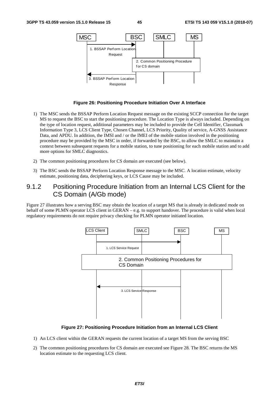

#### **Figure 26: Positioning Procedure Initiation Over A Interface**

- 1) The MSC sends the BSSAP Perform Location Request message on the existing SCCP connection for the target MS to request the BSC to start the positioning procedure. The Location Type is always included. Depending on the type of location request, additional parameters may be included to provide the Cell Identifier, Classmark Information Type 3, LCS Client Type, Chosen Channel, LCS Priority, Quality of service, A-GNSS Assistance Data, and APDU. In addition, the IMSI and / or the IMEI of the mobile station involved in the positioning procedure may be provided by the MSC in order, if forwarded by the BSC, to allow the SMLC to maintain a context between subsequent requests for a mobile station, to tune positioning for each mobile station and to add more options for SMLC diagnostics.
- 2) The common positioning procedures for CS domain are executed (see below).
- 3) The BSC sends the BSSAP Perform Location Response message to the MSC. A location estimate, velocity estimate, positioning data, deciphering keys, or LCS Cause may be included.

## 9.1.2 Positioning Procedure Initiation from an Internal LCS Client for the CS Domain (A/Gb mode)

Figure 27 illustrates how a serving BSC may obtain the location of a target MS that is already in dedicated mode on behalf of some PLMN operator LCS client in GERAN – e.g. to support handover. The procedure is valid when local regulatory requirements do not require privacy checking for PLMN operator initiated location.



**Figure 27: Positioning Procedure Initiation from an Internal LCS Client** 

- 1) An LCS client within the GERAN requests the current location of a target MS from the serving BSC
- 2) The common positioning procedures for CS domain are executed see Figure 28. The BSC returns the MS location estimate to the requesting LCS client.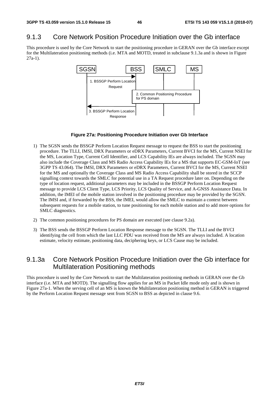## 9.1.3 Core Network Position Procedure Initiation over the Gb interface

This procedure is used by the Core Network to start the positioning procedure in GERAN over the Gb interface except for the Multilateration positioning methods (i.e. MTA and MOTD, treated in subclause 9.1.3a and is shown in Figure 27a-1).



#### **Figure 27a: Positioning Procedure Initiation over Gb Interface**

- 1) The SGSN sends the BSSGP Perform Location Request message to request the BSS to start the positioning procedure. The TLLI, IMSI, DRX Parameters or eDRX Parameters, Current BVCI for the MS, Current NSEI for the MS, Location Type, Current Cell Identifier, and LCS Capability IEs are always included. The SGSN may also include the Coverage Class and MS Radio Access Capability IEs for a MS that supports EC-GSM-IoT (see 3GPP TS 43.064). The IMSI, DRX Parameters or eDRX Parameters, Current BVCI for the MS, Current NSEI for the MS and optionally the Coverage Class and MS Radio Access Capability shall be stored in the SCCP signalling context towards the SMLC for potential use in a TA Request procedure later on. Depending on the type of location request, additional parameters may be included in the BSSGP Perform Location Request message to provide LCS Client Type, LCS Priority, LCS Quality of Service, and A-GNSS Assistance Data. In addition, the IMEI of the mobile station involved in the positioning procedure may be provided by the SGSN. The IMSI and, if forwarded by the BSS, the IMEI, would allow the SMLC to maintain a context between subsequent requests for a mobile station, to tune positioning for each mobile station and to add more options for SMLC diagnostics.
- 2) The common positioning procedures for PS domain are executed (see clause 9.2a).
- 3) The BSS sends the BSSGP Perform Location Response message to the SGSN. The TLLI and the BVCI identifying the cell from which the last LLC PDU was received from the MS are always included. A location estimate, velocity estimate, positioning data, deciphering keys, or LCS Cause may be included.

## 9.1.3a Core Network Position Procedure Initiation over the Gb interface for Multilateration Positioning methods

This procedure is used by the Core Network to start the Multilateration positioning methods in GERAN over the Gb interface (i.e. MTA and MOTD). The signalling flow applies for an MS in Packet Idle mode only and is shown in Figure 27a-1. When the serving cell of an MS is known the Multilateration positioning method in GERAN is triggered by the Perform Location Request message sent from SGSN to BSS as depicted in clause 9.6.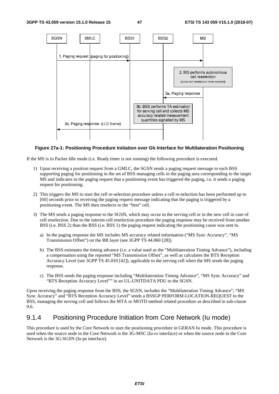

#### **Figure 27a-1: Positioning Procedure Initiation over Gb Interface for Multilateration Positioning**

If the MS is in Packet Idle mode (i.e. Ready timer is not running) the following procedure is executed.

- 1) Upon receiving a position request from a GMLC, the SGSN sends a paging request message to each BSS supporting paging for positioning in the set of BSS managing cells in the paging area corresponding to the target MS and indicates in the paging request that a positioning event has triggered the paging, i.e. it sends a paging request for positioning.
- 2) This triggers the MS to start the cell re-selection procedure unless a cell re-selection has been performed up to [60] seconds prior to receiving the paging request message indicating that the paging is triggered by a positioning event. The MS then reselects to the "best" cell.
- 3) The MS sends a paging response to the SGSN, which may occur in the serving cell or in the new cell in case of cell reselection. Due to the interim cell reselection procedure the paging response may be received from another BSS (i.e. BSS 2) than the BSS (i.e. BSS 1) the paging request indicating the positioning cause was sent to.
	- a) In the paging response the MS includes MS accuracy related information ("MS Sync Accuracy", "MS Transmission Offset") on the RR layer (see 3GPP TS 44.060 [28]).
	- b) The BSS estimates the timing advance (i.e. a value used as the "Multilateration Timing Advance"), including a compensation using the reported "MS Transmission Offset", as well as calculates the BTS Reception Accuracy Level (see 3GPP TS 45.010 [42]), applicable to the serving cell when the MS sends the paging response.
	- c) The BSS sends the paging response including "Multilateration Timing Advance", "MS Sync Accuracy" and "BTS Reception Accuracy Level"" in an UL-UNITDATA PDU to the SGSN.

Upon receiving the paging response from the BSS, the SGSN, includes the "Multilateration Timing Advance", "MS Sync Accuracy" and "BTS Reception Accuracy Level" sends a BSSGP PERFORM-LOCATION-REQUEST to the BSS, managing the serving cell and follows the MTA or MOTD method related procedure as described in sub-clause 9.6.

## 9.1.4 Positioning Procedure Initiation from Core Network (Iu mode)

This procedure is used by the Core Network to start the positioning procedure in GERAN Iu mode. This procedure is used when the source node in the Core Network is the 3G-MSC (Iu-cs interface) or when the source node in the Core Network is the 3G-SGSN (Iu-ps interface).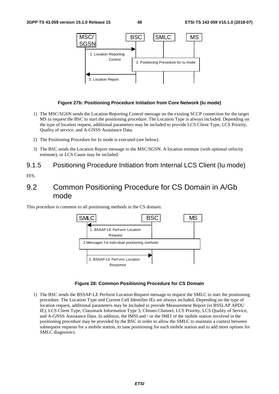

### **Figure 27b: Positioning Procedure Initiation from Core Network (Iu mode)**

- 1) The MSC/SGSN sends the Location Reporting Control message on the existing SCCP connection for the target MS to request the BSC to start the positioning procedure. The Location Type is always included. Depending on the type of location request, additional parameters may be included to provide LCS Client Type, LCS Priority, Quality of service, and A-GNSS Assistance Data.
- 2) The Positioning Procedure for Iu mode is executed (see below).
- 3) The BSC sends the Location Report message to the MSC/SGSN. A location estimate (with optional velocity estimate), or LCS Cause may be included.
- 9.1.5 Positioning Procedure Initiation from Internal LCS Client (Iu mode)

FFS.

# 9.2 Common Positioning Procedure for CS Domain in A/Gb mode

This procedure is common to all positioning methods in the CS domain.



#### **Figure 28: Common Positioning Procedure for CS Domain**

1) The BSC sends the BSSAP-LE Perform Location Request message to request the SMLC to start the positioning procedure. The Location Type and Current Cell Identifier IEs are always included. Depending on the type of location request, additional parameters may be included to provide Measurement Report (in BSSLAP APDU IE), LCS Client Type, Classmark Information Type 3, Chosen Channel, LCS Priority, LCS Quality of Service, and A-GNSS Assistance Data. In addition, the IMSI and / or the IMEI of the mobile station involved in the positioning procedure may be provided by the BSC in order to allow the SMLC to maintain a context between subsequent requests for a mobile station, to tune positioning for each mobile station and to add more options for SMLC diagnostics.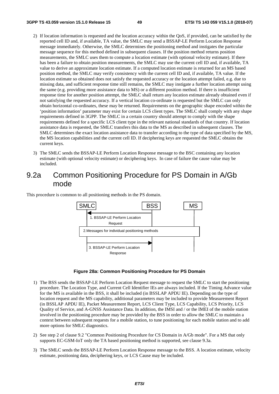- 2) If location information is requested and the location accuracy within the QoS, if provided, can be satisfied by the reported cell ID and, if available, TA value, the SMLC may send a BSSAP-LE Perform Location Response message immediately. Otherwise, the SMLC determines the positioning method and instigates the particular message sequence for this method defined in subsequent clauses. If the position method returns position measurements, the SMLC uses them to compute a location estimate (with optional velocity estimate). If there has been a failure to obtain position measurements, the SMLC may use the current cell ID and, if available, TA value to derive an approximate location estimate. If a computed location estimate is returned for an MS based position method, the SMLC may verify consistency with the current cell ID and, if available, TA value. If the location estimate so obtained does not satisfy the requested accuracy or the location attempt failed, e.g. due to missing data, and sufficient response time still remains, the SMLC may instigate a further location attempt using the same (e.g. providing more assistance data to MS) or a different position method. If there is insufficient response time for another position attempt, the SMLC shall return any location estimate already obtained even if not satisfying the requested accuracy. If a vertical location co-ordinate is requested but the SMLC can only obtain horizontal co-ordinates, these may be returned. Requirements on the geographic shape encoded within the 'position information' parameter may exist for certain LCS client types. The SMLC shall comply with any shape requirements defined in 3GPP. The SMLC in a certain country should attempt to comply with the shape requirements defined for a specific LCS client type in the relevant national standards of that country. If location assistance data is requested, the SMLC transfers this data to the MS as described in subsequent clauses. The SMLC determines the exact location assistance data to transfer according to the type of data specified by the MS, the MS location capabilities and the current cell ID. If deciphering keys are requested the SMLC obtains the current keys.
- 3) The SMLC sends the BSSAP-LE Perform Location Response message to the BSC containing any location estimate (with optional velocity estimate) or deciphering keys. In case of failure the cause value may be included.

# 9.2a Common Positioning Procedure for PS Domain in A/Gb mode

This procedure is common to all positioning methods in the PS domain.



#### **Figure 28a: Common Positioning Procedure for PS Domain**

- 1) The BSS sends the BSSAP-LE Perform Location Request message to request the SMLC to start the positioning procedure. The Location Type, and Current Cell Identifier IEs are always included. If the Timing Advance value for the MS is available in the BSS, it shall be included (in BSSLAP APDU IE). Depending on the type of location request and the MS capability, additional parameters may be included to provide Measurement Report (in BSSLAP APDU IE), Packet Measurement Report, LCS Client Type, LCS Capability, LCS Priority, LCS Quality of Service, and A-GNSS Assistance Data. In addition, the IMSI and / or the IMEI of the mobile station involved in the positioning procedure may be provided by the BSS in order to allow the SMLC to maintain a context between subsequent requests for a mobile station, to tune positioning for each mobile station and to add more options for SMLC diagnostics.
- 2) See step 2 of clause 9.2 "Common Positioning Procedure for CS Domain in A/Gb mode". For a MS that only supports EC-GSM-IoT only the TA based positioning method is supported, see clause 9.3a.
- 3) The SMLC sends the BSSAP-LE Perform Location Response message to the BSS. A location estimate, velocity estimate, positioning data, deciphering keys, or LCS Cause may be included.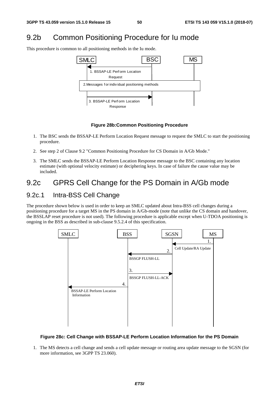# 9.2b Common Positioning Procedure for Iu mode

This procedure is common to all positioning methods in the Iu mode.



### **Figure 28b:Common Positioning Procedure**

- 1. The BSC sends the BSSAP-LE Perform Location Request message to request the SMLC to start the positioning procedure.
- 2. See step 2 of Clause 9.2 "Common Positioning Procedure for CS Domain in A/Gb Mode."
- 3. The SMLC sends the BSSAP-LE Perform Location Response message to the BSC containing any location estimate (with optional velocity estimate) or deciphering keys. In case of failure the cause value may be included.

# 9.2c GPRS Cell Change for the PS Domain in A/Gb mode

# 9.2c.1 Intra-BSS Cell Change

The procedure shown below is used in order to keep an SMLC updated about Intra-BSS cell changes during a positioning procedure for a target MS in the PS domain in A/Gb-mode (note that unlike the CS domain and handover, the BSSLAP reset procedure is not used). The following procedure is applicable except when U-TDOA positioning is ongoing in the BSS as described in sub-clause 9.5.2.4 of this specification.



#### **Figure 28c: Cell Change with BSSAP-LE Perform Location Information for the PS Domain**

1. The MS detects a cell change and sends a cell update message or routing area update message to the SGSN (for more information, see 3GPP TS 23.060).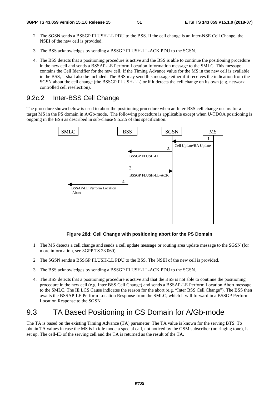- 2. The SGSN sends a BSSGP FLUSH-LL PDU to the BSS. If the cell change is an Inter-NSE Cell Change, the NSEI of the new cell is provided.
- 3. The BSS acknowledges by sending a BSSGP FLUSH-LL-ACK PDU to the SGSN.
- 4. The BSS detects that a positioning procedure is active and the BSS is able to continue the positioning procedure in the new cell and sends a BSSAP-LE Perform Location Information message to the SMLC. This message contains the Cell Identifier for the new cell. If the Timing Advance value for the MS in the new cell is available in the BSS, it shall also be included. The BSS may send this message either if it receives the indication from the SGSN about the cell change (the BSSGP FLUSH-LL) or if it detects the cell change on its own (e.g. network controlled cell reselection).

# 9.2c.2 Inter-BSS Cell Change

The procedure shown below is used to abort the positioning procedure when an Inter-BSS cell change occurs for a target MS in the PS domain in A/Gb-mode. The following procedure is applicable except when U-TDOA positioning is ongoing in the BSS as described in sub-clause 9.5.2.5 of this specification.



**Figure 28d: Cell Change with positioning abort for the PS Domain** 

- 1. The MS detects a cell change and sends a cell update message or routing area update message to the SGSN (for more information, see 3GPP TS 23.060).
- 2. The SGSN sends a BSSGP FLUSH-LL PDU to the BSS. The NSEI of the new cell is provided.
- 3. The BSS acknowledges by sending a BSSGP FLUSH-LL-ACK PDU to the SGSN.
- 4. The BSS detects that a positioning procedure is active and that the BSS is not able to continue the positioning procedure in the new cell (e.g. Inter BSS Cell Change) and sends a BSSAP-LE Perform Location Abort message to the SMLC. The IE LCS Cause indicates the reason for the abort (e.g. "Inter BSS Cell Change"). The BSS then awaits the BSSAP-LE Perform Location Response from the SMLC, which it will forward in a BSSGP Perform Location Response to the SGSN.

# 9.3 TA Based Positioning in CS Domain for A/Gb-mode

The TA is based on the existing Timing Advance (TA) parameter. The TA value is known for the serving BTS. To obtain TA values in case the MS is in idle mode a special call, not noticed by the GSM subscriber (no ringing tone), is set up. The cell-ID of the serving cell and the TA is returned as the result of the TA.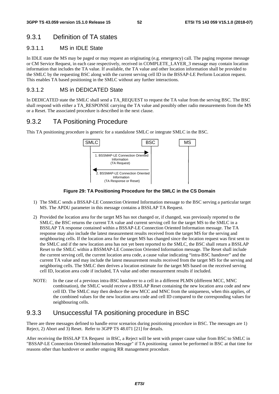# 9.3.1 Definition of TA states

### 9.3.1.1 MS in IDLE State

In IDLE state the MS may be paged or may request an originating (e.g. emergency) call. The paging response message or CM Service Request, in each case respectively, received in COMPLETE\_LAYER\_3 message may contain location information that includes the TA value. If available, the TA value and other location information shall be provided to the SMLC by the requesting BSC along with the current serving cell ID in the BSSAP-LE Perform Location request. This enables TA based positioning in the SMLC without any further interactions.

### 9.3.1.2 MS in DEDICATED State

In DEDICATED state the SMLC shall send a TA\_REQUEST to request the TA value from the serving BSC. The BSC shall respond with either a TA\_RESPONSE carrying the TA value and possibly other radio measurements from the MS or a Reset. The associated procedure is described in the next clause.

## 9.3.2 TA Positioning Procedure

This TA positioning procedure is generic for a standalone SMLC or integrate SMLC in the BSC.





- 1) The SMLC sends a BSSAP-LE Connection Oriented Information message to the BSC serving a particular target MS. The APDU parameter in this message contains a BSSLAP TA Request.
- 2) Provided the location area for the target MS has not changed or, if changed, was previously reported to the SMLC, the BSC returns the current TA value and current serving cell for the target MS to the SMLC in a BSSLAP TA response contained within a BSSAP-LE Connection Oriented Information message. The TA response may also include the latest measurement results received from the target MS for the serving and neighbouring cells. If the location area for the target MS has changed since the location request was first sent to the SMLC and if the new location area has not yet been reported to the SMLC, the BSC shall return a BSSLAP Reset to the SMLC within a BSSMAP-LE Connection Oriented Information message. The Reset shall include the current serving cell, the current location area code, a cause value indicating "intra-BSC handover" and the current TA value and may include the latest measurement results received from the target MS for the serving and neighboring cells. The SMLC then derives a location estimate for the target MS based on the received serving cell ID, location area code if included, TA value and other measurement results if included.
- NOTE: In the case of a previous intra-BSC handover to a cell in a different PLMN (different MCC, MNC combination), the SMLC would receive a BSSLAP Reset containing the new location area code and new cell ID. The SMLC may then deduce the new MCC and MNC from the uniqueness, when this applies, of the combined values for the new location area code and cell ID compared to the corresponding values for neighbouring cells.

## 9.3.3 Unsuccessful TA positioning procedure in BSC

There are three messages defined to handle error scenarios during positioning procedure in BSC. The messages are 1) Reject, 2) Abort and 3) Reset. Refer to 3GPP TS 48.071 [21] for details.

After receiving the BSSLAP TA Request in BSC, a Reject will be sent with proper cause value from BSC to SMLC in "BSSAP-LE Connection Oriented Information Message" if TA positioning cannot be performed in BSC at that time for reasons other than handover or another ongoing RR management procedure.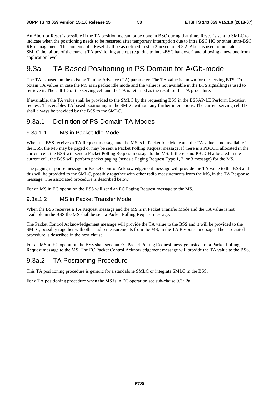An Abort or Reset is possible if the TA positioning cannot be done in BSC during that time. Reset is sent to SMLC to indicate when the positioning needs to be restarted after temporary interruption due to intra BSC HO or other intra-BSC RR management. The contents of a Reset shall be as defined in step 2 in section 9.3.2. Abort is used to indicate to SMLC the failure of the current TA positioning attempt (e.g. due to inter-BSC handover) and allowing a new one from application level.

# 9.3a TA Based Positioning in PS Domain for A/Gb-mode

The TA is based on the existing Timing Advance (TA) parameter. The TA value is known for the serving BTS. To obtain TA values in case the MS is in packet idle mode and the value is not available in the BTS signalling is used to retrieve it. The cell-ID of the serving cell and the TA is returned as the result of the TA procedure.

If available, the TA value shall be provided to the SMLC by the requesting BSS in the BSSAP-LE Perform Location request. This enables TA based positioning in the SMLC without any further interactions. The current serving cell ID shall always be provided by the BSS to the SMLC.

## 9.3a.1 Definition of PS Domain TA Modes

### 9.3a.1.1 MS in Packet Idle Mode

When the BSS receives a TA Request message and the MS is in Packet Idle Mode and the TA value is not available in the BSS, the MS may be paged or may be sent a Packet Polling Request message. If there is a PBCCH allocated in the current cell, the BSS will send a Packet Polling Request message to the MS. If there is no PBCCH allocated in the current cell, the BSS will perform packet paging (sends a Paging Request Type 1, 2, or 3 message) for the MS.

The paging response message or Packet Control Acknowledgement message will provide the TA value to the BSS and this will be provided to the SMLC, possibly together with other radio measurements from the MS, in the TA Response message. The associated procedure is described below.

For an MS in EC operation the BSS will send an EC Paging Request message to the MS.

### 9.3a.1.2 MS in Packet Transfer Mode

When the BSS receives a TA Request message and the MS is in Packet Transfer Mode and the TA value is not available in the BSS the MS shall be sent a Packet Polling Request message.

The Packet Control Acknowledgement message will provide the TA value to the BSS and it will be provided to the SMLC, possibly together with other radio measurements from the MS, in the TA Response message. The associated procedure is described in the next clause.

For an MS in EC operation the BSS shall send an EC Packet Polling Request message instead of a Packet Polling Request message to the MS. The EC Packet Control Acknowledgement message will provide the TA value to the BSS.

## 9.3a.2 TA Positioning Procedure

This TA positioning procedure is generic for a standalone SMLC or integrate SMLC in the BSS.

For a TA positioning procedure when the MS is in EC operation see sub-clause 9.3a.2a.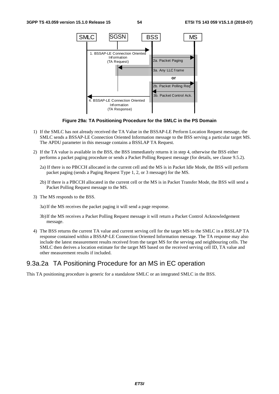

### **Figure 29a: TA Positioning Procedure for the SMLC in the PS Domain**

- 1) If the SMLC has not already received the TA Value in the BSSAP-LE Perform Location Request message, the SMLC sends a BSSAP-LE Connection Oriented Information message to the BSS serving a particular target MS. The APDU parameter in this message contains a BSSLAP TA Request.
- 2) If the TA value is available in the BSS, the BSS immediately returns it in step 4, otherwise the BSS either performs a packet paging procedure or sends a Packet Polling Request message (for details, see clause 9.5.2).
	- 2a) If there is no PBCCH allocated in the current cell and the MS is in Packet Idle Mode, the BSS will perform packet paging (sends a Paging Request Type 1, 2, or 3 message) for the MS.
	- 2b) If there is a PBCCH allocated in the current cell or the MS is in Packet Transfer Mode, the BSS will send a Packet Polling Request message to the MS.
- 3) The MS responds to the BSS.
	- 3a) If the MS receives the packet paging it will send a page response.
	- 3b) If the MS receives a Packet Polling Request message it will return a Packet Control Acknowledgement message.
- 4) The BSS returns the current TA value and current serving cell for the target MS to the SMLC in a BSSLAP TA response contained within a BSSAP-LE Connection Oriented Information message. The TA response may also include the latest measurement results received from the target MS for the serving and neighbouring cells. The SMLC then derives a location estimate for the target MS based on the received serving cell ID, TA value and other measurement results if included.

## 9.3a.2a TA Positioning Procedure for an MS in EC operation

This TA positioning procedure is generic for a standalone SMLC or an integrated SMLC in the BSS.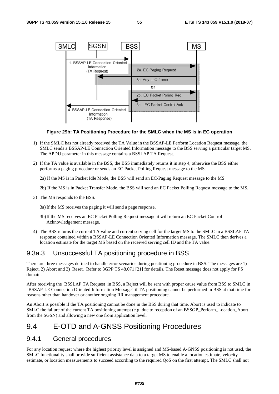

#### **Figure 29b: TA Positioning Procedure for the SMLC when the MS is in EC operation**

- 1) If the SMLC has not already received the TA Value in the BSSAP-LE Perform Location Request message, the SMLC sends a BSSAP-LE Connection Oriented Information message to the BSS serving a particular target MS. The APDU parameter in this message contains a BSSLAP TA Request.
- 2) If the TA value is available in the BSS, the BSS immediately returns it in step 4, otherwise the BSS either performs a paging procedure or sends an EC Packet Polling Request message to the MS.
	- 2a) If the MS is in Packet Idle Mode, the BSS will send an EC-Paging Request message to the MS.
	- 2b) If the MS is in Packet Transfer Mode, the BSS will send an EC Packet Polling Request message to the MS.
- 3) The MS responds to the BSS.

3a) If the MS receives the paging it will send a page response.

- 3b) If the MS receives an EC Packet Polling Request message it will return an EC Packet Control Acknowledgement message.
- 4) The BSS returns the current TA value and current serving cell for the target MS to the SMLC in a BSSLAP TA response contained within a BSSAP-LE Connection Oriented Information message. The SMLC then derives a location estimate for the target MS based on the received serving cell ID and the TA value.

## 9.3a.3 Unsuccessful TA positioning procedure in BSS

There are three messages defined to handle error scenarios during positioning procedure in BSS. The messages are 1) Reject, 2) Abort and 3) Reset. Refer to 3GPP TS 48.071 [21] for details. The Reset message does not apply for PS domain.

After receiving the BSSLAP TA Request in BSS, a Reject will be sent with proper cause value from BSS to SMLC in "BSSAP-LE Connection Oriented Information Message" if TA positioning cannot be performed in BSS at that time for reasons other than handover or another ongoing RR management procedure.

An Abort is possible if the TA positioning cannot be done in the BSS during that time. Abort is used to indicate to SMLC the failure of the current TA positioning attempt (e.g. due to reception of an BSSGP\_Perform\_Location\_Abort from the SGSN) and allowing a new one from application level.

# 9.4 E-OTD and A-GNSS Positioning Procedures

### 9.4.1 General procedures

For any location request where the highest priority level is assigned and MS-based A-GNSS positioning is not used, the SMLC functionality shall provide sufficient assistance data to a target MS to enable a location estimate, velocity estimate, or location measurements to succeed according to the required QoS on the first attempt. The SMLC shall not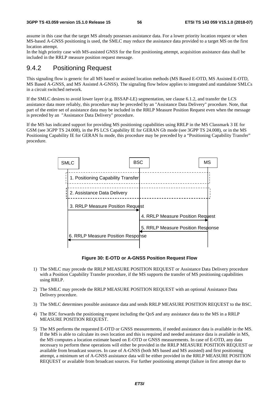assume in this case that the target MS already possesses assistance data. For a lower priority location request or when MS-based A-GNSS positioning is used, the SMLC may reduce the assistance data provided to a target MS on the first location attempt.

In the high priority case with MS-assisted GNSS for the first positioning attempt, acquisition assistance data shall be included in the RRLP measure position request message.

## 9.4.2 Positioning Request

This signaling flow is generic for all MS based or assisted location methods (MS Based E-OTD, MS Assisted E-OTD, MS Based A-GNSS, and MS Assisted A-GNSS). The signaling flow below applies to integrated and standalone SMLCs in a circuit switched network.

If the SMLC desires to avoid lower layer (e.g. BSSAP-LE) segmentation, see clause 6.1.2, and transfer the LCS assistance data more reliably, this procedure may be preceded by an "Assistance Data Delivery" procedure. Note, that part of the entire set of assistance data may be included in the RRLP Measure Position Request even when the message is preceded by an "Assistance Data Delivery" procedure.

If the MS has indicated support for providing MS positioning capabilities using RRLP in the MS Classmark 3 IE for GSM (see 3GPP TS 24.008), in the PS LCS Capability IE for GERAN Gb mode (see 3GPP TS 24.008), or in the MS Positioning Capability IE for GERAN Iu mode, this procedure may be preceded by a "Positioning Capability Transfer" procedure.



**Figure 30: E-OTD or A-GNSS Position Request Flow** 

- 1) The SMLC may precede the RRLP MEASURE POSITION REQUEST or Assistance Data Delivery procedure with a Position Capability Transfer procedure, if the MS supports the transfer of MS positioning capabilities using RRLP.
- 2) The SMLC may precede the RRLP MEASURE POSITION REQUEST with an optional Assistance Data Delivery procedure.
- 3) The SMLC determines possible assistance data and sends RRLP MEASURE POSITION REQUEST to the BSC.
- 4) The BSC forwards the positioning request including the QoS and any assistance data to the MS in a RRLP MEASURE POSITION REQUEST.
- 5) The MS performs the requested E-OTD or GNSS measurements, if needed assistance data is available in the MS. If the MS is able to calculate its own location and this is required and needed assistance data is available in MS, the MS computes a location estimate based on E-OTD or GNSS measurements. In case of E-OTD, any data necessary to perform these operations will either be provided in the RRLP MEASURE POSITION REQUEST or available from broadcast sources. In case of A-GNSS (both MS based and MS assisted) and first positioning attempt, a minimum set of A-GNSS assistance data will be either provided in the RRLP MEASURE POSITION REQUEST or available from broadcast sources. For further positioning attempt (failure in first attempt due to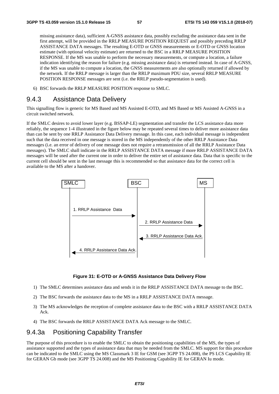missing assistance data), sufficient A-GNSS assistance data, possibly excluding the assistance data sent in the first attempt, will be provided in the RRLP MEASURE POSITION REQUEST and possibly preceding RRLP ASSISTANCE DATA messages. The resulting E-OTD or GNSS measurements or E-OTD or GNSS location estimate (with optional velocity estimate) are returned to the BSC in a RRLP MEASURE POSITION RESPONSE. If the MS was unable to perform the necessary measurements, or compute a location, a failure indication identifying the reason for failure (e.g. missing assistance data) is returned instead. In case of A-GNSS, if the MS was unable to compute a location, the GNSS measurements are also optionally returned if allowed by the network. If the RRLP message is larger than the RRLP maximum PDU size, several RRLP MEASURE POSITION RESPONSE messages are sent (i.e. the RRLP pseudo-segmentation is used).

6) BSC forwards the RRLP MEASURE POSITION response to SMLC.

## 9.4.3 Assistance Data Delivery

This signalling flow is generic for MS Based and MS Assisted E-OTD, and MS Based or MS Assisted A-GNSS in a circuit switched network.

If the SMLC desires to avoid lower layer (e.g. BSSAP-LE) segmentation and transfer the LCS assistance data more reliably, the sequence 1-4 illustrated in the figure below may be repeated several times to deliver more assistance data than can be sent by one RRLP Assistance Data Delivery message. In this case, each individual message is independent such that the data received in one message is stored in the MS independently of the other RRLP Assistance Data messages (i.e. an error of delivery of one message does not require a retransmission of all the RRLP Assistance Data messages). The SMLC shall indicate in the RRLP ASSISTANCE DATA message if more RRLP ASSISTANCE DATA messages will be used after the current one in order to deliver the entire set of assistance data. Data that is specific to the current cell should be sent in the last message this is recommended so that assistance data for the correct cell is available to the MS after a handover.



#### **Figure 31: E-OTD or A-GNSS Assistance Data Delivery Flow**

- 1) The SMLC determines assistance data and sends it in the RRLP ASSISTANCE DATA message to the BSC.
- 2) The BSC forwards the assistance data to the MS in a RRLP ASSISTANCE DATA message.
- 3) The MS acknowledges the reception of complete assistance data to the BSC with a RRLP ASSISTANCE DATA Ack.
- 4) The BSC forwards the RRLP ASSISTANCE DATA Ack message to the SMLC.

### 9.4.3a Positioning Capability Transfer

The purpose of this procedure is to enable the SMLC to obtain the positioning capabilities of the MS, the types of assistance supported and the types of assistance data that may be needed from the SMLC. MS support for this procedure can be indicated to the SMLC using the MS Classmark 3 IE for GSM (see 3GPP TS 24.008), the PS LCS Capability IE for GERAN Gb mode (see 3GPP TS 24.008) and the MS Positioning Capability IE for GERAN Iu mode.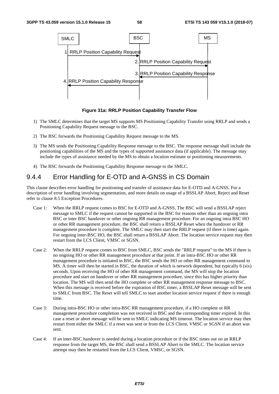

**Figure 31a: RRLP Position Capability Transfer Flow** 

- 1) The SMLC determines that the target MS supports MS Positioning Capability Transfer using RRLP and sends a Positioning Capability Request message to the BSC.
- 2) The BSC forwards the Positioning Capability Request message to the MS.
- 3) The MS sends the Positioning Capability Response message to the BSC. The response message shall include the positioning capabilities of the MS and the types of supported assistance data (if applicable). The message may include the types of assistance needed by the MS to obtain a location estimate or positioning measurements.
- 4) The BSC forwards the Positioning Capability Response message to the SMLC.

## 9.4.4 Error Handling for E-OTD and A-GNSS in CS Domain

This clause describes error handling for positioning and transfer of assistance data for E-OTD and A-GNSS. For a description of error handling involving segmentation, and more details on usage of a BSSLAP Abort, Reject and Reset refer to clause 8.5 Exception Procedures.

- Case 1: When the RRLP request comes to BSC for E-OTD and A-GNSS, The BSC will send a BSSLAP reject message to SMLC if the request cannot be supported in the BSC for reasons other than an ongoing intra BSC or inter BSC handover or other ongoing RR management procedure. For an ongoing intra BSC HO or other RR management procedure, the BSC shall return a BSSLAP Reset when the handover or RR management procedure is complete. The SMLC may then start the RRLP request (if there is time) again. For ongoing inter-BSC HO, the BSC shall return a BSSLAP Abort. The location service request may then restart from the LCS Client, VMSC or SGSN.
- Case 2: When the RRLP request comes to BSC from SMLC, BSC sends the "RRLP request" to the MS if there is no ongoing HO or other RR management procedure at that point. If an intra-BSC HO or other RR management procedure is initiated in BSC, the BSC sends the HO or other RR management command to MS. A timer will then be started in BSC, the duration of which is network dependent, but typically 6 (six) seconds. Upon receiving the HO of other RR management command, the MS will stop the location procedure and start on handover or other RR management procedure, since this has higher priority than location. The MS will then send the HO complete or other RR management response message to BSC. When this message is received before the expiration of BSC timer, a BSSLAP Reset message will be sent to SMLC from BSC. The Reset will tell SMLC to start another location service request if there is enough time.
- Case 3: During intra-BSC HO or other intra-BSC RR management procedure, if a HO complete or RR management procedure completion was not received in BSC and the corresponding timer expired. In this case a reset or abort message will be sent to SMLC indicating MS timeout. The location service may then restart from either the SMLC if a reset was sent or from the LCS Client, VMSC or SGSN if an abort was sent.
- Case 4: If an inter-BSC handover is needed during a location procedure or if the BSC times out on an RRLP response from the target MS, the BSC shall send a BSSLAP Abort to the SMLC. The location service attempt may then be restarted from the LCS Client, VMSC, or SGSN.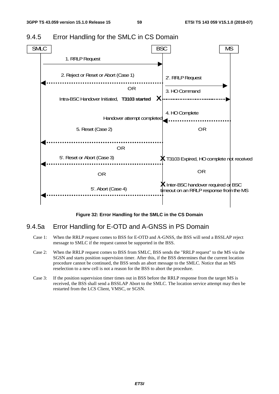

## 9.4.5 Error Handling for the SMLC in CS Domain

**Figure 32: Error Handling for the SMLC in the CS Domain** 

## 9.4.5a Error Handling for E-OTD and A-GNSS in PS Domain

- Case 1: When the RRLP request comes to BSS for E-OTD and A-GNSS, the BSS will send a BSSLAP reject message to SMLC if the request cannot be supported in the BSS.
- Case 2: When the RRLP request comes to BSS from SMLC, BSS sends the "RRLP request" to the MS via the SGSN and starts position supervision timer. After this, if the BSS determines that the current location procedure cannot be continued, the BSS sends an abort message to the SMLC. Notice that an MS reselection to a new cell is not a reason for the BSS to abort the procedure.
- Case 3: If the position supervision timer times out in BSS before the RRLP response from the target MS is received, the BSS shall send a BSSLAP Abort to the SMLC. The location service attempt may then be restarted from the LCS Client, VMSC, or SGSN.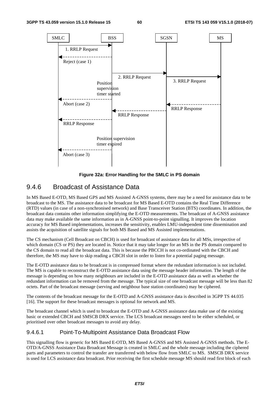

**Figure 32a: Error Handling for the SMLC in PS domain** 

## 9.4.6 Broadcast of Assistance Data

In MS Based E-OTD, MS Based GPS and MS Assisted A-GNSS systems, there may be a need for assistance data to be broadcast to the MS. The assistance data to be broadcast for MS Based E-OTD contains the Real Time Difference (RTD) values (in case of a non-synchronised network) and Base Transceiver Station (BTS) coordinates. In addition, the broadcast data contains other information simplifying the E-OTD measurements. The broadcast of A-GNSS assistance data may make available the same information as in A-GNSS point-to-point signalling. It improves the location accuracy for MS Based implementations, increases the sensitivity, enables LMU-independent time dissemination and assists the acquisition of satellite signals for both MS Based and MS Assisted implementations.

The CS mechanism (Cell Broadcast on CBCH) is used for broadcast of assistance data for all MSs, irrespective of which domain (CS or PS) they are located in. Notice that it may take longer for an MS in the PS domain compared to the CS domain to read all the broadcast data. This is because the PBCCH is not co-ordinated with the CBCH and therefore, the MS may have to skip reading a CBCH slot in order to listen for a potential paging message.

The E-OTD assistance data to be broadcast is in compressed format where the redundant information is not included. The MS is capable to reconstruct the E-OTD assistance data using the message header information. The length of the message is depending on how many neighbours are included in the E-OTD assistance data as well as whether the redundant information can be removed from the message. The typical size of one broadcast message will be less than 82 octets. Part of the broadcast message (serving and neighbour base station coordinates) may be ciphered.

The contents of the broadcast message for the E-OTD and A-GNSS assistance data is described in 3GPP TS 44.035 [16]. The support for these broadcast messages is optional for network and MS.

The broadcast channel which is used to broadcast the E-OTD and A-GNSS assistance data make use of the existing basic or extended CBCH and SMSCB DRX service. The LCS broadcast messages need to be either scheduled, or prioritised over other broadcast messages to avoid any delay.

### 9.4.6.1 Point-To-Multipoint Assistance Data Broadcast Flow

This signalling flow is generic for MS Based E-OTD, MS Based A-GNSS and MS Assisted A-GNSS methods. The E-OTD/A-GNSS Assistance Data Broadcast Message is created in SMLC and the whole message including the ciphered parts and parameters to control the transfer are transferred with below flow from SMLC to MS. SMSCB DRX service is used for LCS assistance data broadcast. Prior receiving the first schedule message MS should read first block of each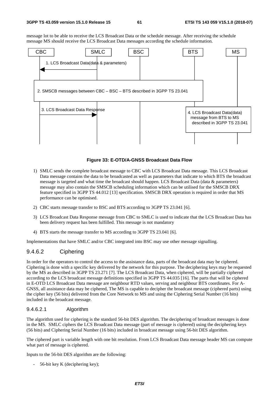message lot to be able to receive the LCS Broadcast Data or the schedule message. After receiving the schedule message MS should receive the LCS Broadcast Data messages according the schedule information.



### **Figure 33: E-OTD/A-GNSS Broadcast Data Flow**

- 1) SMLC sends the complete broadcast message to CBC with LCS Broadcast Data message. This LCS Broadcast Data message contains the data to be broadcasted as well as parameters that indicate to which BTS the broadcast message is targeted and what time the broadcast should happen. LCS Broadcast Data (data & parameters) message may also contain the SMSCB scheduling information which can be utilised for the SMSCB DRX feature specified in 3GPP TS 44.012 [13] specification. SMSCB DRX operation is required in order that MS performance can be optimised.
- 2) CBC starts message transfer to BSC and BTS according to 3GPP TS 23.041 [6].
- 3) LCS Broadcast Data Response message from CBC to SMLC is used to indicate that the LCS Broadcast Data has been delivery request has been fulfilled. This message is not mandatory
- 4) BTS starts the message transfer to MS according to 3GPP TS 23.041 [6].

Implementations that have SMLC and/or CBC integrated into BSC may use other message signalling.

### 9.4.6.2 Ciphering

In order for the operators to control the access to the assistance data, parts of the broadcast data may be ciphered. Ciphering is done with a specific key delivered by the network for this purpose. The deciphering keys may be requested by the MS as described in 3GPP TS 23.271 [7]. The LCS Broadcast Data, when ciphered, will be partially ciphered according to the LCS broadcast message definitions specified in 3GPP TS 44.035 [16]. The parts that will be ciphered in E-OTD LCS Broadcast Data message are neighbour RTD values, serving and neighbour BTS coordinates. For A-GNSS, all assistance data may be ciphered, The MS is capable to decipher the broadcast message (ciphered parts) using the cipher key (56 bits) delivered from the Core Network to MS and using the Ciphering Serial Number (16 bits) included in the broadcast message.

### 9.4.6.2.1 Algorithm

The algorithm used for ciphering is the standard 56-bit DES algorithm. The deciphering of broadcast messages is done in the MS. SMLC ciphers the LCS Broadcast Data message (part of message is ciphered) using the deciphering keys (56 bits) and Ciphering Serial Number (16 bits) included in broadcast message using 56-bit DES algorithm.

The ciphered part is variable length with one bit resolution. From LCS Broadcast Data message header MS can compute what part of message is ciphered.

Inputs to the 56-bit DES algorithm are the following:

- 56-bit key K (deciphering key);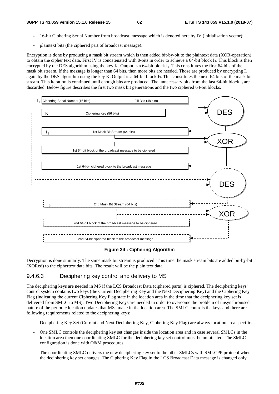- 16-bit Ciphering Serial Number from broadcast message which is denoted here by IV (initialisation vector);
- plaintext bits (the ciphered part of broadcast message).

Encryption is done by producing a mask bit stream which is then added bit-by-bit to the plaintext data (XOR-operation) to obtain the cipher text data. First IV is concatenated with 0-bits in order to achieve a 64-bit block I1. This block is then encrypted by the DES algorithm using the key K. Output is a 64-bit block I2. This constitutes the first 64 bits of the mask bit stream. If the message is longer than 64 bits, then more bits are needed. Those are produced by encrypting  $I_2$ again by the DES algorithm using the key K. Output is a 64-bit block  $I_3$ . This constitutes the next 64 bits of the mask bit stream. This iteration is continued until enough bits are produced. The unnecessary bits from the last  $64$ -bit block  $I_i$  are discarded. Below figure describes the first two mask bit generations and the two ciphered 64-bit blocks.



**Figure 34 : Ciphering Algorithm** 

Decryption is done similarly. The same mask bit stream is produced. This time the mask stream bits are added bit-by-bit (XORed) to the ciphertext data bits. The result will be the plain text data.

### 9.4.6.3 Deciphering key control and delivery to MS

The deciphering keys are needed in MS if the LCS Broadcast Data (ciphered parts) is ciphered. The deciphering keys' control system contains two keys (the Current Deciphering Key and the Next Deciphering Key) and the Ciphering Key Flag (indicating the current Ciphering Key Flag state in the location area in the time that the deciphering key set is delivered from SMLC to MS). Two Deciphering Keys are needed in order to overcome the problem of unsynchronised nature of the periodic location updates that MSs make in the location area. The SMLC controls the keys and there are following requirements related to the deciphering keys:

- Deciphering Key Set (Current and Next Deciphering Key, Ciphering Key Flag) are always location area specific.
- One SMLC controls the deciphering key set changes inside the location area and in case several SMLCs in the location area then one coordinating SMLC for the deciphering key set control must be nominated. The SMLC configuration is done with O&M procedures.
- The coordinating SMLC delivers the new deciphering key set to the other SMLCs with SMLCPP protocol when the deciphering key set changes. The Ciphering Key Flag in the LCS Broadcast Data message is changed only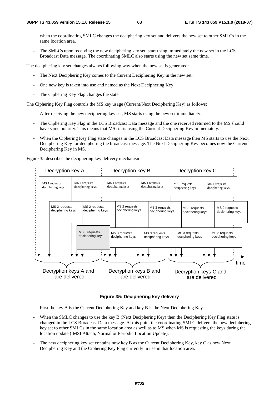when the coordinating SMLC changes the deciphering key set and delivers the new set to other SMLCs in the same location area.

The SMLCs upon receiving the new deciphering key set, start using immediately the new set in the LCS Broadcast Data message. The coordinating SMLC also starts using the new set same time.

The deciphering key set changes always following way when the new set is generated:

- The Next Deciphering Key comes to the Current Deciphering Key in the new set.
- One new key is taken into use and named as the Next Deciphering Key.
- The Ciphering Key Flag changes the state.

The Ciphering Key Flag controls the MS key usage (Current/Next Deciphering Key) as follows:

- After receiving the new deciphering key set, MS starts using the new set immediately.
- The Ciphering Key Flag in the LCS Broadcast Data message and the one received returned to the MS should have same polarity. This means that MS starts using the Current Deciphering Key immediately.
- When the Ciphering Key Flag state changes in the LCS Broadcast Data message then MS starts to use the Next Deciphering Key for deciphering the broadcast message. The Next Deciphering Key becomes now the Current Deciphering Key in MS.

Figure 35 describes the deciphering key delivery mechanism.





- First the key A is the Current Deciphering Key and key B is the Next Deciphering Key.
- When the SMLC changes to use the key B (Next Deciphering Key) then the Deciphering Key Flag state is changed in the LCS Broadcast Data message. At this point the coordinating SMLC delivers the new deciphering key set to other SMLCs in the same location area as well as to MS when MS is requesting the keys during the location update (IMSI Attach, Normal or Periodic Location Update).
- The new deciphering key set contains now key B as the Current Deciphering Key, key C as new Next Deciphering Key and the Ciphering Key Flag currently in use in that location area.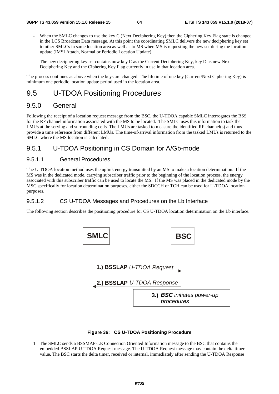- When the SMLC changes to use the key C (Next Deciphering Key) then the Ciphering Key Flag state is changed in the LCS Broadcast Data message. At this point the coordinating SMLC delivers the new deciphering key set to other SMLCs in same location area as well as to MS when MS is requesting the new set during the location update (IMSI Attach, Normal or Periodic Location Update).
- The new deciphering key set contains now key C as the Current Deciphering Key, key D as new Next Deciphering Key and the Ciphering Key Flag currently in use in that location area.

The process continues as above when the keys are changed. The lifetime of one key (Current/Next Ciphering Key) is minimum one periodic location update period used in the location area.

# 9.5 U-TDOA Positioning Procedures

## 9.5.0 General

Following the receipt of a location request message from the BSC, the U-TDOA capable SMLC interrogates the BSS for the RF channel information associated with the MS to be located. The SMLC uses this information to task the LMUs at the serving and surrounding cells. The LMUs are tasked to measure the identified RF channel(s) and thus provide a time reference from different LMUs. The time-of-arrival information from the tasked LMUs is returned to the SMLC where the MS location is calculated.

## 9.5.1 U-TDOA Positioning in CS Domain for A/Gb-mode

### 9.5.1.1 General Procedures

The U-TDOA location method uses the uplink energy transmitted by an MS to make a location determination. If the MS was in the dedicated mode, carrying subscriber traffic prior to the beginning of the location process, the energy associated with this subscriber traffic can be used to locate the MS. If the MS was placed in the dedicated mode by the MSC specifically for location determination purposes, either the SDCCH or TCH can be used for U-TDOA location purposes.

### 9.5.1.2 CS U-TDOA Messages and Procedures on the Lb Interface

The following section describes the positioning procedure for CS U-TDOA location determination on the Lb interface.



### **Figure 36: CS U-TDOA Positioning Procedure**

1. The SMLC sends a BSSMAP-LE Connection Oriented Information message to the BSC that contains the embedded BSSLAP U-TDOA Request message. The U-TDOA Request message may contain the delta timer value. The BSC starts the delta timer, received or internal, immediately after sending the U-TDOA Response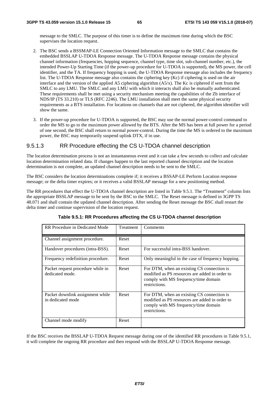message to the SMLC. The purpose of this timer is to define the maximum time during which the BSC supervises the location request.

- 2. The BSC sends a BSSMAP-LE Connection Oriented Information message to the SMLC that contains the embedded BSSLAP U-TDOA Response message. The U-TDOA Response message contains the physical channel information (frequencies, hopping sequence, channel type, time slot, sub-channel number, etc.), the intended Power-Up Starting Time (if the power-up procedure for U-TDOA is supported), the MS power, the cell identifier, and the TA. If frequency hopping is used, the U-TDOA Response message also includes the frequency list. The U-TDOA Response message also contains the ciphering key (Kc) if ciphering is used on the air interface and the version of the applied A5 ciphering algorithm (A5/x). The Kc is ciphered if sent from the SMLC to any LMU. The SMLC and any LMU with which it interacts shall also be mutually authenticated. These requirements shall be met using a security mechanism meeting the capabilities of the Zb interface of NDS/IP (TS 33.210) or TLS (RFC 2246). The LMU installation shall meet the same physical security requirements as a BTS installation. For locations on channels that are not ciphered, the algorithm identifier will show the same.
- 3. If the power-up procedure for U-TDOA is supported, the BSC may use the normal power-control command to order the MS to go to the maximum power allowed by the BTS. After the MS has been at full power for a period of one second, the BSC shall return to normal power-control. During the time the MS is ordered to the maximum power, the BSC may temporarily suspend uplink DTX, if in use.

### 9.5.1.3 RR Procedure effecting the CS U-TDOA channel description

The location determination process is not an instantaneous event and it can take a few seconds to collect and calculate location determination related data. If changes happen to the last reported channel description and the location determination is not complete, an updated channel description needs to be sent to the SMLC.

The BSC considers the location determinations complete if; it receives a BSSAP-LE Perform Location response message; or the delta timer expires; or it receives a valid BSSLAP message for a new positioning method.

The RR procedures that effect the U-TDOA channel description are listed in Table 9.5.1. The "Treatment" column lists the appropriate BSSLAP message to be sent by the BSC to the SMLC. The Reset message is defined in 3GPP TS 48.071 and shall contain the updated channel description. After sending the Reset message the BSC shall restart the delta timer and continue supervision of the location request.

| RR Procedure in Dedicated Mode                        | Treatment | Comments                                                                                                                                              |
|-------------------------------------------------------|-----------|-------------------------------------------------------------------------------------------------------------------------------------------------------|
| Channel assignment procedure.                         | Reset     |                                                                                                                                                       |
| Handover procedures (intra-BSS).                      | Reset     | For successful intra-BSS handover.                                                                                                                    |
| Frequency redefinition procedure.                     | Reset     | Only meaningful in the case of frequency hopping.                                                                                                     |
| Packet request procedure while in<br>dedicated mode.  | Reset     | For DTM, when an existing CS connection is<br>modified as PS resources are added in order to<br>comply with MS frequency/time domain<br>restrictions. |
| Packet downlink assignment while<br>in dedicated mode | Reset     | For DTM, when an existing CS connection is<br>modified as PS resources are added in order to<br>comply with MS frequency/time domain<br>restrictions. |
| Channel mode modify                                   | Reset     |                                                                                                                                                       |

#### **Table 9.5.1: RR Procedures affecting the CS U-TDOA channel description**

If the BSC receives the BSSLAP U-TDOA Request message during one of the identified RR procedures in Table 9.5.1, it will complete the ongoing RR procedure and then respond with the BSSLAP U-TDOA Response message.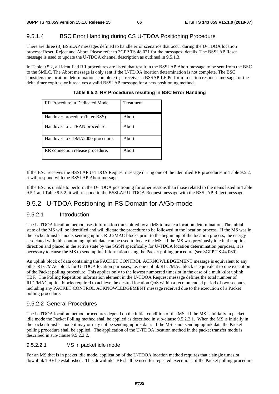## 9.5.1.4 BSC Error Handling during CS U-TDOA Positioning Procedure

There are three (3) BSSLAP messages defined to handle error scenarios that occur during the U-TDOA location process: Reset, Reject and Abort. Please refer to 3GPP TS 48.071 for the messages' details. The BSSLAP Reset message is used to update the U-TDOA channel description as outlined in 9.5.1.3.

In Table 9.5.2, all identified RR procedures are listed that result in the BSSLAP Abort message to be sent from the BSC to the SMLC. The Abort message is only sent if the U-TDOA location determination is not complete. The BSC considers the location determinations complete if; it receives a BSSAP-LE Perform Location response message; or the delta timer expires; or it receives a valid BSSLAP message for a new positioning method.

| RR Procedure in Dedicated Mode   | Treatment |
|----------------------------------|-----------|
| Handover procedure (inter-BSS).  | Abort     |
| Handover to UTRAN procedure.     | Abort     |
| Handover to CDMA2000 procedure.  | Abort     |
| RR connection release procedure. | Abort     |

**Table 9.5.2: RR Procedures resulting in BSC Error Handling** 

If the BSC receives the BSSLAP U-TDOA Request message during one of the identified RR procedures in Table 9.5.2, it will respond with the BSSLAP Abort message.

If the BSC is unable to perform the U-TDOA positioning for other reasons than those related to the items listed in Table 9.5.1 and Table 9.5.2, it will respond to the BSSLAP U-TDOA Request message with the BSSLAP Reject message.

## 9.5.2 U-TDOA Positioning in PS Domain for A/Gb-mode

## 9.5.2.1 Introduction

The U-TDOA location method uses information transmitted by an MS to make a location determination. The initial state of the MS will be identified and will dictate the procedure to be followed in the location process. If the MS was in the packet transfer mode, sending uplink RLC/MAC blocks prior to the beginning of the location process, the energy associated with this continuing uplink data can be used to locate the MS. If the MS was previously idle in the uplink direction and placed in the active state by the SGSN specifically for U-TDOA location determination purposes, it is necessary to cause the MS to send uplink information using the Packet polling procedure (see 3GPP TS 44.060).

An uplink block of data containing the PACKET CONTROL ACKNOWLEDGEMENT message is equivalent to any other RLC/MAC block for U-TDOA location purposes; i.e. one uplink RLC/MAC block is equivalent to one execution of the Packet polling procedure. This applies only to the lowest numbered timeslot in the case of a multi-slot uplink TBF. The Polling Repetition information element in the U-TDOA Request message defines the total number of RLC/MAC uplink blocks required to achieve the desired location QoS within a recommended period of two seconds, including any PACKET CONTROL ACKNOWLEDGEMENT message received due to the execution of a Packet polling procedure.

### 9.5.2.2 General Procedures

The U-TDOA location method procedures depend on the initial condition of the MS. If the MS is initially in packet idle mode the Packet Polling method shall be applied as described in sub-clause 9.5.2.2.1. When the MS is initially in the packet transfer mode it may or may not be sending uplink data. If the MS is not sending uplink data the Packet polling procedure shall be applied. The application of the U-TDOA location method in the packet transfer mode is described in sub-clause 9.5.2.2.2.

### 9.5.2.2.1 MS in packet idle mode

For an MS that is in packet idle mode, application of the U-TDOA location method requires that a single timeslot downlink TBF be established. This downlink TBF shall be used for repeated executions of the Packet polling procedure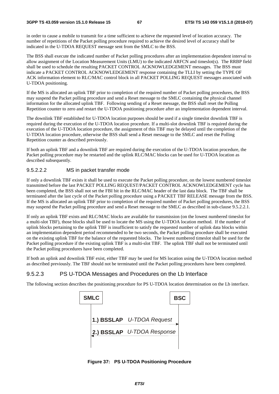in order to cause a mobile to transmit for a time sufficient to achieve the requested level of location accuracy. The number of repetitions of the Packet polling procedure required to achieve the desired level of accuracy shall be indicated in the U-TDOA REQUEST message sent from the SMLC to the BSS.

The BSS shall execute the indicated number of Packet polling procedures after an implementation dependent interval to allow assignment of the Location Measurement Units (LMU) to the indicated ARFCN and timeslot(s). The RRBP field shall be used to schedule the resulting PACKET CONTROL ACKNOWLEDGEMENT messages. The BSS must indicate a PACKET CONTROL ACKNOWLEDGEMENT response containing the TLLI by setting the TYPE OF ACK information element to RLC/MAC control block in all PACKET POLLING REQUEST messages associated with U-TDOA positioning.

If the MS is allocated an uplink TBF prior to completion of the required number of Packet polling procedures, the BSS may suspend the Packet polling procedure and send a Reset message to the SMLC containing the physical channel information for the allocated uplink TBF. Following sending of a Reset message, the BSS shall reset the Polling Repetition counter to zero and restart the U-TDOA positioning procedure after an implementation dependent interval.

The downlink TBF established for U-TDOA location purposes should be used if a single timeslot downlink TBF is required during the execution of the U-TDOA location procedure. If a multi-slot downlink TBF is required during the execution of the U-TDOA location procedure, the assignment of this TBF may be delayed until the completion of the U-TDOA location procedure, otherwise the BSS shall send a Reset message to the SMLC and reset the Polling Repetition counter as described previously.

If both an uplink TBF and a downlink TBF are required during the execution of the U-TDOA location procedure, the Packet polling procedure may be restarted and the uplink RLC/MAC blocks can be used for U-TDOA location as described subsequently.

### 9.5.2.2.2 MS in packet transfer mode

If only a downlink TBF exists it shall be used to execute the Packet polling procedure, on the lowest numbered timeslot transmitted before the last PACKET POLLING REQUEST/PACKET CONTROL ACKNOWLEDGEMENT cycle has been completed, the BSS shall not set the FBI bit in the RLC/MAC header of the last data block. The TBF shall be terminated after the last cycle of the Packet polling procedure using a PACKET TBF RELEASE message from the BSS. If the MS is allocated an uplink TBF prior to completion of the required number of Packet polling procedures, the BSS may suspend the Packet polling procedure and send a Reset message to the SMLC as described in sub-clause 9.5.2.2.1.

If only an uplink TBF exists and RLC/MAC blocks are available for transmission (on the lowest numbered timeslot for a multi-slot TBF), those blocks shall be used to locate the MS using the U-TDOA location method. If the number of uplink blocks pertaining to the uplink TBF is insufficient to satisfy the requested number of uplink data blocks within an implementation dependent period recommended to be two seconds, the Packet polling procedure shall be executed on the existing uplink TBF for the balance of the requested blocks. The lowest numbered timeslot shall be used for the Packet polling procedure if the existing uplink TBF is a multi-slot TBF. The uplink TBF shall not be terminated until the Packet polling procedures have been completed.

If both an uplink and downlink TBF exist, either TBF may be used for MS location using the U-TDOA location method as described previously. The TBF should not be terminated until the Packet polling procedures have been completed.

### 9.5.2.3 PS U-TDOA Messages and Procedures on the Lb Interface

The following section describes the positioning procedure for PS U-TDOA location determination on the Lb interface.

| <b>SMLC</b> |                            | <b>BSC</b> |
|-------------|----------------------------|------------|
|             | 1.) BSSLAP U-TDOA Request  |            |
|             | 2.) BSSLAP U-TDOA Response |            |
|             |                            |            |

**Figure 37: PS U-TDOA Positioning Procedure**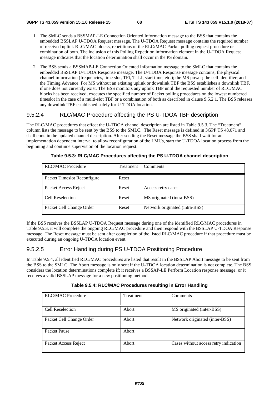- 1. The SMLC sends a BSSMAP-LE Connection Oriented Information message to the BSS that contains the embedded BSSLAP U-TDOA Request message. The U-TDOA Request message contains the required number of received uplink RLC/MAC blocks, repetitions of the RLC/MAC Packet polling request procedure or combination of both. The inclusion of this Polling Repetition information element in the U-TDOA Request message indicates that the location determination shall occur in the PS domain.
- 2. The BSS sends a BSSMAP-LE Connection Oriented Information message to the SMLC that contains the embedded BSSLAP U-TDOA Response message. The U-TDOA Response message contains; the physical channel information (frequencies, time slot, TFI, TLLI, start time, etc.); the MS power; the cell identifier; and the Timing Advance. For MS without an existing uplink or downlink TBF the BSS establishes a downlink TBF, if one does not currently exist. The BSS monitors any uplink TBF until the requested number of RLC/MAC blocks has been received, executes the specified number of Packet polling procedures on the lowest numbered timeslot in the case of a multi-slot TBF or a combination of both as described in clause 9.5.2.1. The BSS releases any downlink TBF established solely for U-TDOA location.

### 9.5.2.4 RLC/MAC Procedure affecting the PS U-TDOA TBF description

The RLC/MAC procedures that effect the U-TDOA channel description are listed in Table 9.5.3. The "Treatment" column lists the message to be sent by the BSS to the SMLC. The Reset message is defined in 3GPP TS 48.071 and shall contain the updated channel description. After sending the Reset message the BSS shall wait for an implementation dependent interval to allow reconfiguration of the LMUs, start the U-TDOA location process from the beginning and continue supervision of the location request.

| <b>RLC/MAC Procedure</b>    | Treatment | Comments                       |
|-----------------------------|-----------|--------------------------------|
| Packet Timeslot Reconfigure | Reset     |                                |
| Packet Access Reject        | Reset     | Access retry cases             |
| Cell Reselection            | Reset     | MS originated (intra-BSS)      |
| Packet Cell Change Order    | Reset     | Network originated (intra-BSS) |

### **Table 9.5.3: RLC/MAC Procedures affecting the PS U-TDOA channel description**

If the BSS receives the BSSLAP U-TDOA Request message during one of the identified RLC/MAC procedures in Table 9.5.3, it will complete the ongoing RLC/MAC procedure and then respond with the BSSLAP U-TDOA Response message. The Reset message must be sent after completion of the listed RLC/MAC procedure if that procedure must be executed during an ongoing U-TDOA location event.

### 9.5.2.5 Error Handling during PS U-TDOA Positioning Procedure

In Table 9.5.4, all identified RLC/MAC procedures are listed that result in the BSSLAP Abort message to be sent from the BSS to the SMLC. The Abort message is only sent if the U-TDOA location determination is not complete. The BSS considers the location determinations complete if; it receives a BSSAP-LE Perform Location response message; or it receives a valid BSSLAP message for a new positioning method.

| <b>RLC/MAC</b> Procedure | <b>Treatment</b> | Comments                              |
|--------------------------|------------------|---------------------------------------|
| Cell Reselection         | Abort            | MS originated (inter-BSS)             |
| Packet Cell Change Order | Abort            | Network originated (inter-BSS)        |
| Packet Pause             | Abort            |                                       |
| Packet Access Reject     | Abort            | Cases without access retry indication |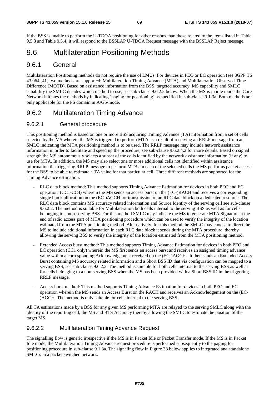If the BSS is unable to perform the U-TDOA positioning for other reasons than those related to the items listed in Table 9.5.3 and Table 9.5.4, it will respond to the BSSLAP U-TDOA Request message with the BSSLAP Reject message.

# 9.6 Multilateration Positioning Methods

### 9.6.1 General

Multilateration Positioning methods do not require the use of LMUs. For devices in PEO or EC operation (see 3GPP TS 43.064 [41] two methods are supported: Multilateration Timing Advance (MTA) and Multilateration Observed Time Difference (MOTD). Based on assistance information from the BSS, targeted accuracy, MS capability and SMLC capability the SMLC decides which method to use, see sub-clause 9.6.2.2 below. When the MS is in idle mode the Core Network initiates the methods by indicating 'paging for positioning' as specified in sub-clause 9.1.3a. Both methods are only applicable for the PS domain in A/Gb-mode.

## 9.6.2 Multilateration Timing Advance

### 9.6.2.1 General procedure

This positioning method is based on one or more BSS acquiring Timing Advance (TA) information from a set of cells selected by the MS wherein the MS is triggered to perform MTA as a result of receiving an RRLP message from an SMLC indicating the MTA positioning method is to be used. The RRLP message may include network assistance information in order to facilitate and speed up the procedure, see sub-clause 9.6.2.4.2 for more details. Based on signal strength the MS autonomously selects a subset of the cells identified by the network assistance information (if any) to use for MTA. In addition, the MS may also select one or more additional cells not identified within assistance information the triggering RRLP message to perform MTA. In each of the selected cells the MS performs packet access for the BSS to be able to estimate a TA value for that particular cell. Three different methods are supported for the Timing Advance estimation.

- RLC data block method: This method supports Timing Advance Estimation for devices in both PEO and EC operation (CC1-CC4) wherein the MS sends an access burst on the (EC-)RACH and receives a corresponding single block allocation on the (EC-)AGCH for transmission of an RLC data block on a dedicated resource. The RLC data block contains MS accuracy related information and Source Identity of the serving cell see sub-clause 9.6.2.2. The method is suitable for Multilateration both cells internal to the serving BSS as well as for cells belonging to a non-serving BSS. For this method SMLC may indicate the MS to generate MTA Signature at the end of radio access part of MTA positioning procedure which can be used to verify the integrity of the location estimated from the MTA positioning method. Alternatively, for this method the SMLC may choose to direct the MS to include additional information in each RLC data block it sends during the MTA procedure, thereby allowing the serving BSS to verify the integrity of the location estimated from the MTA positioning method.
- Extended Access burst method: This method supports Timing Advance Estimation for devices in both PEO and EC operation (CC1 only) wherein the MS first sends an access burst and receives an assigned timing advance value within a corresponding Acknowledgement received on the (EC-)AGCH. It then sends an Extended Access Burst containing MS accuracy related information and a Short BSS ID that via configuration can be mapped to a serving BSS, see sub-clause 9.6.2.2. The method is suitable for both cells internal to the serving BSS as well as for cells belonging to a non-serving BSS when the MS has been provided with a Short BSS ID in the triggering RRLP message.
- Access burst method: This method supports Timing Advance Estimation for devices in both PEO and EC operation wherein the MS sends an Access Burst on the RACH and receives an Acknowledgement on the (EC- )AGCH. The method is only suitable for cells internal to the serving BSS.

All TA estimations made by a BSS for any given MS performing MTA are relayed to the serving SMLC along with the identity of the reporting cell, the MS and BTS Accuracy thereby allowing the SMLC to estimate the position of the target MS.

### 9.6.2.2 Multilateration Timing Advance Request

The signalling flow is generic irrespective if the MS is in Packet Idle or Packet Transfer mode. If the MS is in Packet Idle mode, the Multilateration Timing Advance request procedure is performed subsequently to the paging for positioning procedure in sub-clause 9.1.3a. The signaling flow in Figure 38 below applies to integrated and standalone SMLCs in a packet switched network.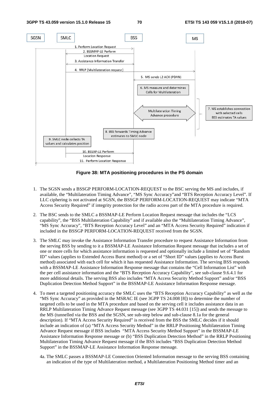

**Figure 38: MTA positioning procedures in the PS domain** 

- 1. The SGSN sends a BSSGP PERFORM-LOCATION-REQUEST to the BSC serving the MS and includes, if available, the "Multilateration Timing Advance", "MS Sync Accuracy"and "BTS Reception Accuracy Level". If LLC ciphering is not activated at SGSN, the BSSGP PERFORM-LOCATION-REQUEST may indicate "MTA Access Security Required" if integrity protection for the radio access part of the MTA procedure is required.
- 2. The BSC sends to the SMLC a BSSMAP-LE Perform Location Request message that includes the "LCS capability", the "BSS Multilateration Capability" and if available also the "Multilateration Timing Advance", "MS Sync Accuracy", "BTS Reception Accuracy Level" and an "MTA Access Security Required" indication if included in the BSSGP PERFORM-LOCATION-REQUEST received from the SGSN.
- 3. The SMLC may invoke the Assistance Information Transfer procedure to request Assistance Information from the serving BSS by sending to it a BSSMAP-LE Assistance Information Request message that includes a set of one or more cells for which assistance information is requested and optionally include a limited set of "Random ID" values (applies to Extended Access Burst method) or a set of "Short ID" values (applies to Access Burst method) associated with each cell for which it has requested Assistance Information. The serving BSS responds with a BSSMAP-LE Assistance Information Response message that contains the "Cell Information List" with the per cell assistance information and the "BTS Reception Accuracy Capability", see sub-clause 9.6.4.1 for more additional details. The serving BSS also includes "MTA Access Security Method Support" and/or "BSS Duplication Detection Method Support" in the BSSMAP-LE Assistance Information Response message.
- 4. To meet a targeted positioning accuracy the SMLC uses the "BTS Reception Accuracy Capability" as well as the "MS Sync Accuracy" as provided in the MSRAC IE (see 3GPP TS 24.008 [8]) to determine the number of targeted cells to be used in the MTA procedure and based on the serving cell it includes assistance data in an RRLP Multilateration Timing Advance Request message (see 3GPP TS 44.031 [15]) and sends the message to the MS (tunnelled via the BSS and the SGSN, see sub-step below and sub-clause 8.1a for the general description). If "MTA Access Security Required" is received from the BSS the SMLC decides if it should include an indication of (a) "MTA Access Security Method" in the RRLP Positioning Multilateration Timing Advance Request message if BSS includes "MTA Access Security Method Support" in the BSSMAP-LE Assistance Information Response message or (b) "BSS Duplication Detection Method" in the RRLP Positioning Multilateration Timing Advance Request message if the BSS includes "BSS Duplication Detection Method Support" in the BSSMAP-LE Assistance Information Response message.
	- 4a. The SMLC passes a BSSMAP-LE Connection Oriented Information message to the serving BSS containing an indication of the type of Multilateration method, a Multilateration Positioning Method timer and an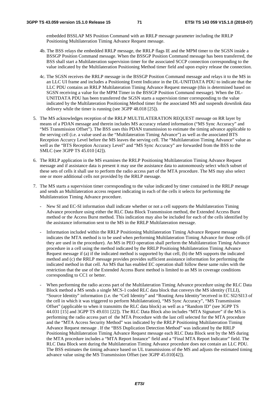embedded BSSLAP MS Position Command with an RRLP message parameter including the RRLP Positioning Multilateration Timing Advance Request message.

- 4b. The BSS relays the embedded RRLP message, the RRLP flags IE and the MPM timer to the SGSN inside a BSSGP Position Command message. When the BSSGP Position Command message has been transferred, the BSS shall start a Multilateration supervision timer for the associated SCCP connection corresponding to the value indicated by the Multilateration Positioning Method timer field and upon expiry release the connection.
- 4c. The SGSN receives the RRLP message in the BSSGP Position Command message and relays it to the MS in an LLC UI frame and includes a Positioning Event Indicator in the DL-UNITDATA PDU to indicate that the LLC PDU contains an RRLP Multilateration Timing Advance Request message (this is determined based on SGSN receiving a value for the MPM Timer in the BSSGP Position Command message). When the DL-UNITDATA PDU has been transferred the SGSN starts a supervision timer corresponding to the value indicated by the Multilateration Positioning Method timer for the associated MS and suspends downlink data delivery while the timer is running (see 3GPP 48.018 [25]).
- 5. The MS acknowledges reception of the RRLP MULTILATERATION REQUEST message on RR layer by means of a PDAN message and therein includes MS accuracy related information ("MS Sync Accuracy" and "MS Transmission Offset"). The BSS uses this PDAN transmission to estimate the timing advance applicable to the serving cell (i.e. a value used as the "Multilateration Timing Advance") as well as the associated BTS Reception Accurcy Level before the MS leaves the serving cell. The "Multilateration Timing Advance" value as well as the "BTS Reception Accuracy Level" and "MS Sync Accuracy" are forwarded from the BSS to the SMLC (see 3GPP TS 45.010 [42]).
- 6. The RRLP application in the MS examines the RRLP Positioning Multilateration Timing Advance Request message and if assistance data is present it may use the assistance data to autonomously select which subset of these sets of cells it shall use to perform the radio access part of the MTA procedure. The MS may also select one or more additional cells not provided by the RRLP message.
- 7. The MS starts a supervision timer corresponding to the value indicated by timer contained in the RRLP mesage and sends an Multilateration access request indicating in each of the cells it selects for performing the Multilateration Timing Advance procedure.
	- New SI and EC-SI information shall indicate whether or not a cell supports the Multilateration Timing Advance procedure using either the RLC Data Block Transmission method, the Extended Access Burst method or the Access Burst method. This indication may also be included for each of the cells identified by the assistance information sent to the MS in the RRLP Multilateration message.
	- Information included within the RRLP Positioning Multilateration Timing Advance Request message indicates the MTA method is to be used when performing Multilateration Timing Advance for those cells (if they are used in the procedure). An MS in PEO operation shall perform the Multilateration Timing Advance procedure in a cell using the method indicated by the RRLP Positioing Multilateration Timing Advance Request message if (a) if the indicated method is supported by that cell, (b) the MS supports the indicated method and (c) the RRLP message provides provides sufficient assistance information for performing the indicated method in that cell. An MS that has enabled EC operation shall follow these same rules with the restriction that the use of the Extended Access Burst method is limited to an MS in coverage conditions corresponding to CC1 or better.
	- When performing the radio access part of the Multilateration Timing Advance procedure using the RLC Data Block method a MS sends a single MCS-1 coded RLC data block that conveys the MS identity (TLLI), "Source Identity" information (i.e. the "Cell Identity" and "Routing Area Identity"received in EC SI2/SI13 of the cell in which it was triggered to perform Multilateration), "MS Sync Accuracy", "MS Transmission Offset" (applicable to when it transmitts the RLC data block) as well as a "Random ID" (see 3GPP TS 44.031 [15] and 3GPP TS 49.031 [22]). The RLC Data Block also includes "MTA Signature" if the MS is performing the radio access part of the MTA Procedure with the last cell selected for the MTA procedure and the "MTA Access Security Method" was indicated by the RRLP Positioning Multilateration Timing Advance Request message . If the "BSS Duplication Detection Method" was indicated by the RRLP Positioning Multilateration Timing Advance Request message each RLC Data Block sent by the MS during the MTA procedure includes a "MTA Report Instance" field and a "Final MTA Report Indicator" field. The RLC Data Block sent during the Multilateration Timing Advance procedure does not contain an LLC PDU. The BSS estimates the timing advance based on UL transmissions of the MS and adjusts the estimated timing advance value using the MS Transmission Offset (see 3GPP 45.010[42]).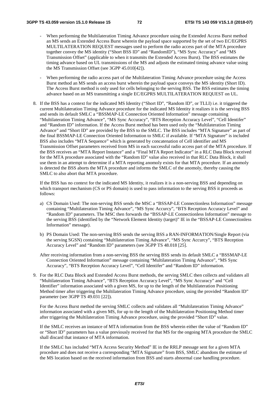- When performing the Multilateration Timing Advance procedure using the Extended Access Burst method an MS sends an Extended Access Burst wherein the payload space supported by the set of two EC/EGPRS MULTILATERATION REQUEST messages used to perform the radio access part of the MTA procedure together convey the MS identity ("Short BSS ID" and "RandomID"), "MS Sync Accuracy" and "MS Transmission Offset" (applicable to when it transmits the Extended Access Burst). The BSS estimates the timing advance based on UL transmissions of the MS and adjusts the estimated timing advance value using the MS Transmission Offset (see 3GPP 45.010[42]).
- When performing the radio access part of the Multilateration Timing Advance procedure using the Access Burst method an MS sends an access burst wherein the payload space conveys the MS identity (Short ID). The Access Burst method is only used for cells belonging to the serving BSS. The BSS estimates the timing advance based on an MS transmitting a single EC/EGPRS MULTILATERATION REQUEST on UL.
- 8. If the BSS has a context for the indicated MS Identity ("Short ID", "Random ID", or TLLI) i.e. it triggered the current Multilateration Timing Advance procedure for the indicated MS Identity it realizes it is the serving BSS and sends its default SMLC a "BSSMAP-LE Connection Oriented Information" message containing "Multilateration Timing Advance", "MS Sync Accuracy", "BTS Reception Accuracy Level", "Cell Identifer" and "Random ID" information. If the Access Burst method has been used only the "Multilateration Timing Advance" and "Short ID" are provided by the BSS to the SMLC. The BSS includes "MTA Signature" as part of the final BSSMAP-LE Connection Oriented Information to SMLC if available. If "MTA Signature" is included BSS also includes "MTA Sequence" which is generated by concatenation of Cell identifier and MS Transmission Offset parameters received from MS in each successful radio access part of the MTA procedure. If the BSS receives an "MTA Report Instance" and a "Final MTA Report Indicator" in a RLC Data Block received for the MTA procedure associated with the "Random ID" value also received in that RLC Data Block, it shall use them in an attempt to determine if a MTA reporting anomoly exists for that MTA procedure. If an anomoly is detected the BSS aborts the MTA procedure and informs the SMLC of the anomoly, thereby causing the SMLC to also abort that MTA procedure.

If the BSS has no context for the indicated MS Identity, it realizes it is a non-serving BSS and depending on which transport mechanism (CS or PS domain) is used to pass information to the serving BSS it proceeds as follows:

- a) CS Domain Used: The non-serving BSS sends the MSC a "BSSAP-LE Connectionless Information" message containing "Multilateration Timing Advance", "MS Sync Accurcy", "BTS Reception Accuracy Level" and "Random ID" parameters. The MSC then forwards the "BSSAP-LE Connectionless Information" message to the serving BSS (identified by the "Network Element Identity (target)" IE in the "BSSAP-LE Connectionless Information" message).
- b) PS Domain Used: The non-serving BSS sends the serving BSS a RAN-INFORMATION/Single Report (via the serving SGSN) containing "Multilateration Timing Advance", "MS Sync Accurcy", "BTS Reception Accuracy Level" and "Random ID" parameters (see 3GPP TS 48.018 [25].
- After receiving information from a non-serving BSS the serving BSS sends its default SMLC a "BSSMAP-LE Connection Oriented Information" message containing "Multilateration Timing Advance", "MS Sync Accuracy", "BTS Reception Accuracy Level", "Cell Identifer" and "Random ID" information.
- 9. For the RLC Data Block and Extended Access Burst methods, the serving SMLC then collects and validates all "Multilateration Timing Advance", "BTS Reception Accuracy Level", "MS Sync Accuracy" and "Cell Identifier" information associated with a given MS, for up to the length of the Multilateration Positioning Method timer after triggering the Multilateration Timing Advance procedure, using the provided "Random ID" parameter (see 3GPP TS 49.031 [22]).

For the Access Burst method the serving SMLC collects and validates all "Multilateration Timing Advance" information associated with a given MS, for up to the length of the Multilateration Positioning Method timer after triggering the Multilateration Timing Advance procedure, using the provided "Short ID" value.

If the SMLC receives an instance of MTA information from the BSS wherein either the value of "Random ID" or "Short ID" parameters has a value previously received for that MS for the ongoing MTA procedure the SMLC shall discard that instance of MTA information.

If the SMLC has included "MTA Access Security Method" IE in the RRLP message sent for a given MTA procedure and does not receive a corresponding "MTA Signature" from BSS, SMLC abandons the estimate of the MS location based on the received information from BSS and starts abnormal case handling procedure.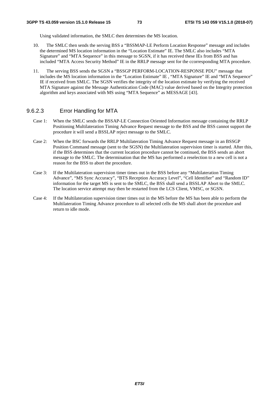Using validated information, the SMLC then determines the MS location.

- 10. The SMLC then sends the serving BSS a "BSSMAP-LE Perform Location Response" message and includes the determined MS location information in the "Location Estimate" IE. The SMLC also includes "MTA Signature" and "MTA Sequence" in this message to SGSN, if it has received these IEs from BSS and has included "MTA Access Security Method" IE in the RRLP message sent for the ccorresponding MTA procedure.
- 11. The serving BSS sends the SGSN a "BSSGP PERFORM-LOCATION-RESPONSE PDU" message that includes the MS location information in the "Location Estimate" IE , "MTA Signature" IE and "MTA Sequence" IE if received from SMLC. The SGSN verifies the integrity of the location estimate by verifying the received MTA Signature against the Message Authentication Code (MAC) value derived based on the Integrity protection algorithm and keys associated with MS using "MTA Sequence" as MESSAGE [43].

#### 9.6.2.3 Error Handling for MTA

- Case 1: When the SMLC sends the BSSAP-LE Connection Oriented Information message containing the RRLP Positioning Multilateration Timing Advance Request message to the BSS and the BSS cannot support the procedure it will send a BSSLAP reject message to the SMLC.
- Case 2: When the BSC forwards the RRLP Multilateration Timing Advance Request message in an BSSGP Position Command message (sent to the SGSN) the Multilateration supervision timer is started. After this, if the BSS determines that the current location procedure cannot be continued, the BSS sends an abort message to the SMLC. The determination that the MS has performed a reselection to a new cell is not a reason for the BSS to abort the procedure.
- Case 3: If the Multilateration supervision timer times out in the BSS before any "Multilateration Timing Advance", "MS Sync Accuracy", "BTS Reception Accuracy Level", "Cell Identifier" and "Random ID" information for the target MS is sent to the SMLC, the BSS shall send a BSSLAP Abort to the SMLC. The location service attempt may then be restarted from the LCS Client, VMSC, or SGSN.
- Case 4: If the Multilateration supervision timer times out in the MS before the MS has been able to perform the Multilateration Timing Advance procedure to all selected cells the MS shall abort the procedure and return to idle mode.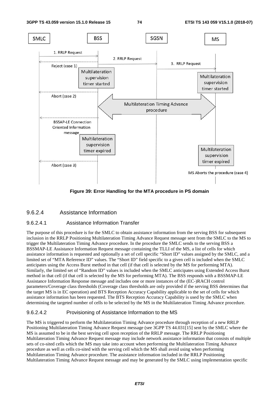

**Figure 39: Error Handling for the MTA procedure in PS domain** 

## 9.6.2.4 Assistance Information

#### 9.6.2.4.1 Assistance Information Transfer

The purpose of this procedure is for the SMLC to obtain assistance information from the serving BSS for subsequent inclusion in the RRLP Positioning Multilateration Timing Advance Request message sent from the SMLC to the MS to trigger the Multilateration Timing Advance procedure. In the procedure the SMLC sends to the serving BSS a BSSMAP-LE Assistance Information Request message containing the TLLI of the MS, a list of cells for which assistance information is requested and optionally a set of cell specific "Short ID" values assigned by the SMLC, and a limited set of "MTA Reference ID" values. The "Short ID" field specific to a given cell is included when the SMLC anticipates using the Access Burst method in that cell (if that cell is selected by the MS for performing MTA). Similarly, the limited set of "Random ID" values is included when the SMLC anticipates using Extended Access Burst method in that cell (if that cell is selected by the MS for performing MTA). The BSS responds with a BSSMAP-LE Assistance Information Response message and includes one or more instances of the (EC-)RACH control parameters/Coverage class thresholds (Coverage class thresholds are only provided if the serving BSS determines that the target MS is in EC operation) and BTS Reception Accuracy Capability applicable to the set of cells for which assistance information has been requested. The BTS Reception Accuracy Capability is used by the SMLC when determining the targeted number of cells to be selected by the MS in the Multilateration Timing Advance procedure.

#### 9.6.2.4.2 Provisioning of Assistance Information to the MS

The MS is triggered to perform the Multilateration Timing Advance procedure through reception of a new RRLP Positioning Multilateration Timing Advance Request message (see 3GPP TS 44.031[15] sent by the SMLC where the MS is assumed to be in the best serving cell upon reception of the RRLP message. The RRLP Positioning Multilateration Timing Advance Request message may include network assistance information that consists of multiple sets of co-sited cells which the MS may take into account when performing the Multilateration Timing Advance procedure as well as cells co-sited with the serving cell which the MS shall avoid using when performing Multilateration Timing Advance procedure. The assistance information included in the RRLP Positioning Multilateration Timing Advance Request message and may be generated by the SMLC using implementation specific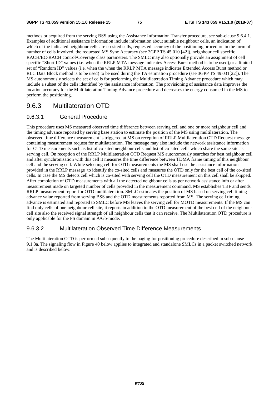methods or acquired from the serving BSS using the Assistance Information Transfer procedure, see sub-clause 9.6.4.1. Examples of additional assistance information include information about suitable neighbour cells, an indication of which of the indicated neighbour cells are co-sited cells, requested accuracy of the positioning procedure in the form of number of cells involved, the requested MS Sync Accuracy (see 3GPP TS 45.010 [42]), neighbour cell specific RACH/EC-RACH control/Coverage class parameters. The SMLC may also optionally provide an assignment of cell specific "Short ID" values (i.e. when the RRLP MTA message indicates Access Burst method is to be used),or a limited set of "Random ID" values (i.e. when the when the RRLP MTA message indicates Extended Access Burst method or RLC Data Block method is to be used) to be used during the TA estimation procedure (see 3GPP TS 49.031[22]). The MS autonomously selects the set of cells for performing the Multilateration Timing Advance procedure which may include a subset of the cells identified by the assistance information. The provisioning of assistance data improves the location accuracy for the Multilateration Timing Advance procedure and decreases the energy consumed in the MS to perform the positioning.

# 9.6.3 Multilateration OTD

### 9.6.3.1 General Procedure

This procedure uses MS measured observed time difference between serving cell and one or more neighbour cell and the timing advance reported by serving base station to estimate the position of the MS using multilateration. The observed time difference measurement is triggered at MS on reception of RRLP Multilateration OTD Request message containing measurement request for multilateration. The message may also include the network assistance information for OTD measurements such as list of co-sited neighbour cells and list of co-sited cells which share the same site as serving cell. On reception of the RRLP Multilateration OTD Request MS autonomously searches for best neighbour cell and after synchronisation with this cell it measures the time difference between TDMA frame timing of this neighbour cell and the serving cell. While selecting cell for OTD measurements the MS shall use the assistance information provided in the RRLP message to identify the co-sited cells and measures the OTD only for the best cell of the co-sited cells. In case the MS detects cell which is co-sited with serving cell the OTD measurement on this cell shall be skipped. After completion of OTD measurements with all the detected neighbour cells as per network assistance info or after measurement made on targeted number of cells provided in the measurement command, MS establishes TBF and sends RRLP measurement report for OTD multilateration. SMLC estimates the position of MS based on serving cell timing advance value reported from serving BSS and the OTD measurements reported from MS. The serving cell timing advance is estimated and reported to SMLC before MS leaves the serving cell for MOTD measurements. If the MS can find only cells of one neighbour cell site, it reports in addition to the OTD measurement of the best cell of the neighbour cell site also the received signal strength of all neighbour cells that it can receive. The Multilateration OTD procedure is only applicable for the PS domain in A/Gb-mode.

### 9.6.3.2 Multilateration Observed Time Difference Measurements

The Multilateration OTD is performed subsequently to the paging for positioning procedure described in sub-clause 9.1.3a. The signaling flow in Figure 40 below applies to integrated and standalone SMLCs in a packet switched network and is described below.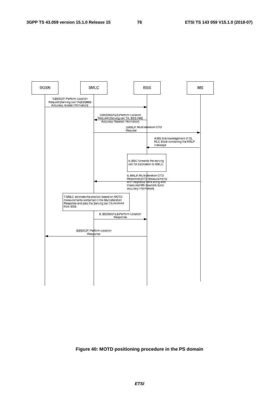



*ETSI*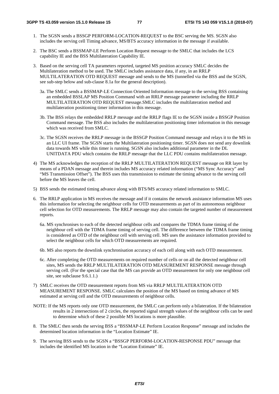- 1. The SGSN sends a BSSGP PERFORM-LOCATION-REQUEST to the BSC serving the MS. SGSN also includes the serving cell Timing advance, MS/BTS accuracy information in the message if available.
- 2. The BSC sends a BSSMAP-LE Perform Location Request message to the SMLC that includes the LCS capability IE and the BSS Multilateration Capability IE.
- 3. Based on the serving cell TA parameters reported, targeted MS position accuracy SMLC decides the Multilateration method to be used. The SMLC includes assistance data, if any, in an RRLP MULTILATERATION OTD REQUEST message and sends to the MS (tunnelled via the BSS and the SGSN, see sub-step below and sub-clause 8.1a for the general description).
	- 3a. The SMLC sends a BSSMAP-LE Connection Oriented Information message to the serving BSS containing an embedded BSSLAP MS Position Command with an RRLP message parameter including the RRLP MULTILATERATION OTD REQUEST message.SMLC includes the multilateration method and multilateration positioning timer information in this message.
	- 3b. The BSS relays the embedded RRLP message and the RRLP flags IE to the SGSN inside a BSSGP Position Command message. The BSS also includes the multilateration positioning timer information in this message which was received from SMLC.
	- 3c. The SGSN receives the RRLP message in the BSSGP Position Command message and relays it to the MS in an LLC UI frame. The SGSN starts the Multilateration positioning timer. SGSN does not send any downlink data towards MS while this timer is running. SGSN also includes additional parameter in the DL UNITDATA PDU which contains the RRLP message that the LLC PDU contains multilateration message.
- 4) The MS acknowledges the reception of the RRLP MULTILATERATION REQUEST message on RR layer by means of a PDAN message and therein includes MS accuracy related information ("MS Sync Accuracy" and "MS Transmission Offset"). The BSS uses this transmission to estimate the timing advance to the serving cell before the MS leaves the cell.
- 5) BSS sends the estimated timing advance along with BTS/MS accuracy related information to SMLC.
- 6. The RRLP application in MS receives the message and if it contains the network assistance information MS uses this information for selecting the neighbour cells for OTD measurements as part of its autonomous neighbour cell selection for OTD measurements. The RRLP message may also contain the targeted number of measurement reports.
	- 6a. MS synchronises to each of the detected neighbour cells and compares the TDMA frame timing of the neighbour cell with the TDMA frame timing of serving cell. The difference between the TDMA frame timing is considered as OTD of the neighbour cell with serving cell. MS uses the assistance information provided to select the neighbour cells for which OTD measurements are required.
	- 6b. MS also reports the downlink synchronisation accuracy of each cell along with each OTD measurement.
	- 6c. After completing the OTD measurements on required number of cells or on all the detected neighbour cell sites, MS sends the RRLP MULTILATERATION OTD MEASUREMENT RESPONSE message through serving cell. (For the special case that the MS can provide an OTD measurement for only one neighbour cell site, see subclause 9.6.1.1.)
- 7) SMLC receives the OTD measurement reports from MS via RRLP MULTILATERATION OTD MEASUREMENT RESPONSE. SMLC calculates the position of the MS based on timing advance of MS estimated at serving cell and the OTD measurements of neighbour cells.
- NOTE: If the MS reports only one OTD measurement, the SMLC can perform only a bilateration. If the bilateration results in 2 intersections of 2 circles, the reported signal strength values of the neighbour cells can be used to determine which of these 2 possible MS locations is more plausible.
- 8. The SMLC then sends the serving BSS a "BSSMAP-LE Perform Location Response" message and includes the determined location information in the "Location Estimate" IE.
- 9. The serving BSS sends to the SGSN a "BSSGP PERFORM-LOCATION-RESPONSE PDU" message that includes the identified MS location in the "Location Estimate" IE.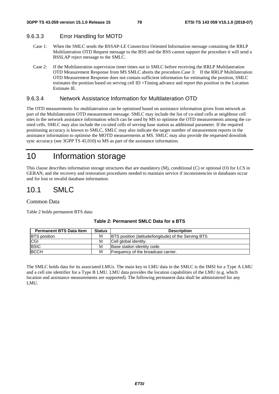# 9.6.3.3 Error Handling for MOTD

- Case 1: When the SMLC sends the BSSAP-LE Connection Oriented Information message containing the RRLP Multilateration OTD Request message to the BSS and the BSS cannot support the procedure it will send a BSSLAP reject message to the SMLC.
- Case 2: If the Multilateration supervision timer times out in SMLC before receiving the RRLP Multilateration OTD Measurement Response from MS SMLC aborts the procedure.Case 3: If the RRLP Multilateration OTD Measurement Response does not contain sufficient information for estimating the position, SMLC estimates the position based on serving cell ID +Timing advance and report this position in the Location Estimate IE.

## 9.6.3.4 Network Assistance Information for Multilateration OTD

The OTD measurements for multilateration can be optimised based on assistance information given from network as part of the Multilateration OTD measurement message. SMLC may include the list of co-sited cells at neighbour cell sites in the network assistance information which can be used by MS to optimise the OTD measurements among the cosited cells. SMLC may also include the co-sited cells of serving base station as additional parameter. If the required positioning accuracy is known to SMLC, SMLC may also indicate the target number of measurement reports in the assistance information to optimise the MOTD measurements at MS. SMLC may also provide the requested downlink sync accuracy (see 3GPP TS 45.010) to MS as part of the assistance information.

# 10 Information storage

This clause describes information storage structures that are mandatory (M), conditional (C) or optional (O) for LCS in GERAN, and the recovery and restoration procedures needed to maintain service if inconsistencies in databases occur and for lost or invalid database information.

# 10.1 SMLC

### Common Data

Table 2 holds permanent BTS data:

| <b>Permanent BTS Data Item</b> | <b>Status</b> | <b>Description</b>                                          |
|--------------------------------|---------------|-------------------------------------------------------------|
|                                |               |                                                             |
| BTS position                   | М             | <b>BTS</b> position (latitude/longitude) of the Serving BTS |
| CGI                            | M             | Cell global identity.                                       |
| BSIC                           | М             | Base station identity code.                                 |
| BCCH                           | М             | Frequency of the broadcast carrier.                         |

#### **Table 2: Permanent SMLC Data for a BTS**

The SMLC holds data for its associated LMUs. The main key to LMU data in the SMLC is the IMSI for a Type A LMU and a cell site identifier for a Type B LMU. LMU data provides the location capabilities of the LMU (e.g. which location and assistance measurements are supported). The following permanent data shall be administered for any LMU.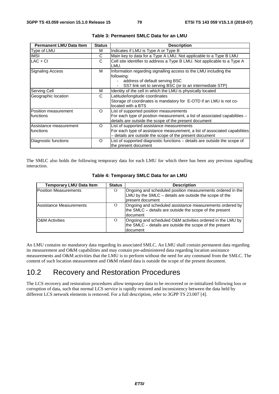| <b>Permanent LMU Data Item</b>       | <b>Status</b> | <b>Description</b>                                                                                                                                                                 |
|--------------------------------------|---------------|------------------------------------------------------------------------------------------------------------------------------------------------------------------------------------|
| Type of LMU                          | м             | Indicates if LMU is Type A or Type B                                                                                                                                               |
| <b>IMSI</b>                          | С             | Main key to data for a Type A LMU. Not applicable to a Type B LMU                                                                                                                  |
| $LAC + CI$                           | С             | Cell site identifier to address a Type B LMU. Not applicable to a Type A<br>LMU.                                                                                                   |
| <b>Signaling Access</b>              | м             | Information regarding signalling access to the LMU including the<br>following:<br>address of default serving BSC<br>SS7 link set to serving BSC (or to an intermediate STP)        |
| Serving Cell                         | м             | Identity of the cell in which the LMU is physically located                                                                                                                        |
| Geographic location                  | С             | Latitude/longitude coordinates<br>Storage of coordinates is mandatory for E-OTD if an LMU is not co-<br>located with a BTS                                                         |
| Position measurement<br>Ifunctions   | O             | List of supported position measurements<br>For each type of position measurement, a list of associated capabilities -<br>details are outside the scope of the present document     |
| Assistance measurement<br>Ifunctions | $\circ$       | List of supported assistance measurements<br>For each type of assistance measurement, a list of associated capabilities<br>- details are outside the scope of the present document |
| Diagnostic functions                 | O             | List of supported diagnostic functions - details are outside the scope of<br>the present document                                                                                  |

| Table 3: Permanent SMLC Data for an LMU |  |  |
|-----------------------------------------|--|--|
|-----------------------------------------|--|--|

The SMLC also holds the following temporary data for each LMU for which there has been any previous signalling interaction.

| <b>Temporary LMU Data Item</b> | <b>Status</b> | <b>Description</b>                                                                                                                        |
|--------------------------------|---------------|-------------------------------------------------------------------------------------------------------------------------------------------|
| <b>Position Measurements</b>   | $\Omega$      | Ongoing and scheduled position measurements ordered in the<br>LMU by the SMLC - details are outside the scope of the<br>Ipresent document |
| Assistance Measurements        | $\Omega$      | Ongoing and scheduled assistance measurements ordered by<br>the SMLC – details are outside the scope of the present<br>document           |
| <b>O&amp;M</b> Activities      | $\Omega$      | Ongoing and scheduled O&M activities ordered in the LMU by<br>the SMLC – details are outside the scope of the present<br>document         |

An LMU contains no mandatory data regarding its associated SMLC. An LMU shall contain permanent data regarding its measurement and O&M capabilities and may contain pre-administered data regarding location assistance measurements and O&M activities that the LMU is to perform without the need for any command from the SMLC. The content of such location measurement and O&M related data is outside the scope of the present document.

# 10.2 Recovery and Restoration Procedures

The LCS recovery and restoration procedures allow temporary data to be recovered or re-initialized following loss or corruption of data, such that normal LCS service is rapidly restored and inconsistency between the data held by different LCS network elements is removed. For a full description, refer to 3GPP TS 23.007 [4].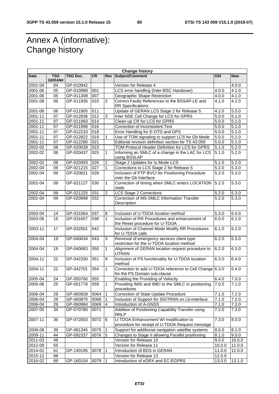# Annex A (informative): Change history

| <b>Change history</b> |                             |                        |              |                         |                                                                                          |                |                             |
|-----------------------|-----------------------------|------------------------|--------------|-------------------------|------------------------------------------------------------------------------------------|----------------|-----------------------------|
| <b>Date</b>           | <b>TSG</b><br><b>GERAN#</b> | <b>TSG Doc.</b>        | <b>CR</b>    | Rev                     | Subject/Comment                                                                          | <b>Old</b>     | <b>New</b>                  |
| 2001-04               | 04                          | GP-010942              |              |                         | Version for Release 4                                                                    |                | 4.0.0                       |
| 2001-06               | 05                          | GP-010988              | 001          |                         | LCS error handling (Inter-BSC Handover)                                                  | 4.0.0          | 4.1.0                       |
| 2001-06               | 05                          | GP-011308              | 007          |                         | Geographic Shape Restriction                                                             | 4.0.0          | 4.1.0                       |
| 2001-08               | 06                          | GP-011935              | 010          | $\overline{c}$          | Correct Faulty References to the BSSAP-LE and                                            | 4.1.0          | 4.2.0                       |
|                       |                             |                        |              |                         | <b>RR Specifications</b>                                                                 |                |                             |
| 2001-08               | 06                          | GP-011905              | 011          |                         | Update of GERAN LCS Stage 2 for Release 5                                                | 4.2.0          | 5.0.0                       |
| 2001-11               | 07                          | GP-012836              | 012          | 3                       | Inter NSE Cell Change for LCS for GPRS                                                   | 5.0.0          | 5.1.0                       |
| $2001 - 11$           | 07                          | GP-011993              | 014          |                         | Clean-up CR for LCS for GPRS                                                             | 5.0.0          | 5.1.0                       |
| 2001-11               | 07                          | GP-011998              | 016          |                         | Correction of Inconsistent Text                                                          | 5.0.0          | 5.1.0                       |
| 2001-11<br>2001-11    | 07<br>07                    | GP-012210<br>GP-012822 | 018<br>019   | 1                       | Error Handling for E-OTD and GPS<br>Use of TOM signaling to support LCS for Gb Mode      | 5.0.0<br>5.0.0 | 5.1.0<br>$\overline{5.1.0}$ |
| 2001-11               | 07                          | GP-012280              | 021          |                         | Editorial revision definition section for TS 43.059                                      | 5.0.0          | 5.1.0                       |
| 2002-02               | 08                          | GP-020039              | 023          |                         | TOM Protocol Header Definition for LCS for GPRS                                          | 5.1.0          | 5.2.0                       |
| 2002-02               | 08                          | GP-020437              | 025          | 1                       | Informing an SMLC of a change in the LAC for LCS                                         | 5.1.0          | 5.2.0                       |
|                       |                             |                        |              |                         | using BSSLAP                                                                             |                |                             |
| 2002-02               | 08                          | GP-020493              | 026          | $\overline{2}$          | Stage 2 Updates for lu Mode LCS                                                          | 5.1.0          | 5.2.0                       |
| 2002-04               | 09                          | GP-021215              | 027          | $\mathbf{1}$            | Corrections to LCS Stage 2 for Release 5                                                 | 5.2.0          | 5.3.0                       |
| 2002-04               | 09                          | GP-020621              | 028          |                         | Inclusion of PTP BVCI for Positioning Procedure<br>over the Gb Interface                 | 5.2.0          | 5.3.0                       |
| 2002-04               | 09                          | GP-021127              | 030          | $\mathbf{1}$            | Correction of timing when SMLC enters LOCATION<br>state                                  | 5.2.0          | 5.3.0                       |
| 2002-04               | 09                          | GP-021225              | 031          | $\overline{c}$          | LCS Stage 2 Corrections                                                                  | 5.2.0          | 5.3.0                       |
| 2002-04               | 09                          | GP-020998              | 032          |                         | Correction of MS-SMLC Information Transfer<br>Description                                | 5.2.0          | 5.3.0                       |
| 2003-04               | 14                          | GP-031064              | 037          | 8                       | Inclusion of U-TDOA location method                                                      | 5.3.0          | 6.0.0                       |
| 2003-06               | 15                          | GP-031657              | 038          | 1                       | Inclusion of RR Procedures and enhancement of                                            | 6.0.0          | 6.1.0                       |
|                       |                             |                        |              |                         | the Reset procedure for U-TDOA                                                           |                |                             |
| 2003-11               | 17                          | GP-032501              | 042          |                         | Inclusion of Channel Mode Modify RR Procedures<br>for U-TDOA calls                       | 6.1.0          | 6.2.0                       |
| 2004-04               | 19                          | GP-040634              | 043          | 3                       | Removal of emergency services client type<br>restriction for the U-TDOA location method  | 6.2.0          | 6.3.0                       |
| 2004-04               | 19                          | GP-040683              | 050          | 1                       | Alignment of GERAN location request procedure to<br><b>UTRAN</b>                         | 6.2.0          | 6.3.0                       |
| 2004-11               | 22                          | GP-042330              | 051          | 9                       | Inclusion of PS functionality for U-TDOA location<br>method                              | 6.3.0          | 6.4.0                       |
| 2004-11               | 22                          | GP-042701              | 054          | $\mathbf{1}$            | Correction to add U-TDOA reference to Cell Change 6.3.0<br>for the PS Domain sub-clause  |                | 6.4.0                       |
| 2005-04               | 24                          | GP-050766              | $\sqrt{055}$ |                         | Enabling the Providing of Velocity                                                       | 6.4.0          | 7.0.0                       |
| 2005-06               | 25                          | GP-051778              | 059          | $\mathbf{1}$            | Providing IMSI and IMEI to the SMLC in positioning<br>procedures                         | 7.0.0          | 7.1.0                       |
| 2006-04               | 29                          | GP-060928              | 0064         | 1                       | Correction of State Update Procedure                                                     | 7.1.0          | 7.2.0                       |
| 2006-04               | 29                          | GP-060870              | 0068         | 1                       | Inclusion of Support for SIGTRAN on Lb-interface                                         | 7.1.0          | 7.2.0                       |
| 2006-04               | 29                          | GP-060984              | 0069         | $\overline{\mathbf{4}}$ | Introduction of A-GNSS                                                                   | 7.1.0          | 7.2.0                       |
| 2007-05               | 34                          | GP-070780              | 0071         |                         | Addition of Positioning Capability Transfer using<br><b>RRLP</b>                         | 7.2.0          | 7.3.0                       |
| 2007-11               | 36                          | GP-072003              | 0072         | 6                       | U-TDOA Enhancement WI modification to<br>procedure for receipt of U-TDOA Request message | 7.3.0          | 8.0.0                       |
| 2008-08               | 39                          | GP-081345              | 0075         | $\mathbf{1}$            | Support for additional navigation satellite systems                                      | 8.0.0          | 8.1.0                       |
| 2009-11               | 44                          | GP-092337              | 0076         | $\overline{5}$          | Changes to Stage II allowing Parallel positioning                                        | 8.1.0          | 9.0.0                       |
| 2011-03               | 49                          |                        |              |                         | Version for Release 10                                                                   | 9.0.0          | 10.0.0                      |
| 2012-09               | 55                          |                        |              |                         | Version for Release 11                                                                   | 10.0.0         | 11.0.0                      |
| 2014-02               | 61                          | GP-140195              | 0078         | 1                       | Introduction of BDS in GERAN                                                             | 11.0.0         | 12.0.0                      |
| 2015-12               | 68                          |                        |              |                         | Version for Release 13                                                                   | 12.0.0         |                             |
| 2016-02               | 69                          | GP-160154              | 0079         | $\vert$ 1               | Introduction of eDRX and EC-EGPRS                                                        | 13.0.0         | 13.1.0                      |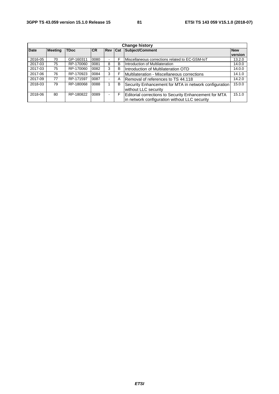| <b>Change history</b> |                |             |           |                |   |                                                                                                               |                       |
|-----------------------|----------------|-------------|-----------|----------------|---|---------------------------------------------------------------------------------------------------------------|-----------------------|
| <b>Date</b>           | <b>Meeting</b> | <b>TDoc</b> | <b>CR</b> | <b>Rev Cat</b> |   | Subject/Comment                                                                                               | <b>New</b><br>version |
| 2016-05               | 70             | GP-160311   | 0080      |                | F | Miscellaneous corrections related to EC-GSM-IoT                                                               | 13.2.0                |
| 2017-03               | 75             | RP-170060   | 0081      | 8              | В | Introduction of Multilateration                                                                               | 14.0.0                |
| 2017-03               | 75             | RP-170060   | 0082      | 3              | в | Introduction of Multilateration OTD                                                                           | 14.0.0                |
| 2017-06               | 76             | RP-170923   | 0084      | 3              |   | Multilateration - Miscellaneous corrections                                                                   | 14.1.0                |
| 2017-09               | 77             | RP-171597   | 0087      |                | Α | Removal of references to TS 44.118                                                                            | 14.2.0                |
| 2018-03               | 79             | RP-180068   | 0088      |                | в | Security Enhancement for MTA in network configuration<br>without LLC security                                 | 15.0.0                |
| 2018-06               | 80             | RP-180822   | 0089      |                | F | <b>Editorial corrections to Security Enhancement for MTA</b><br>in network configuration without LLC security | 15.1.0                |